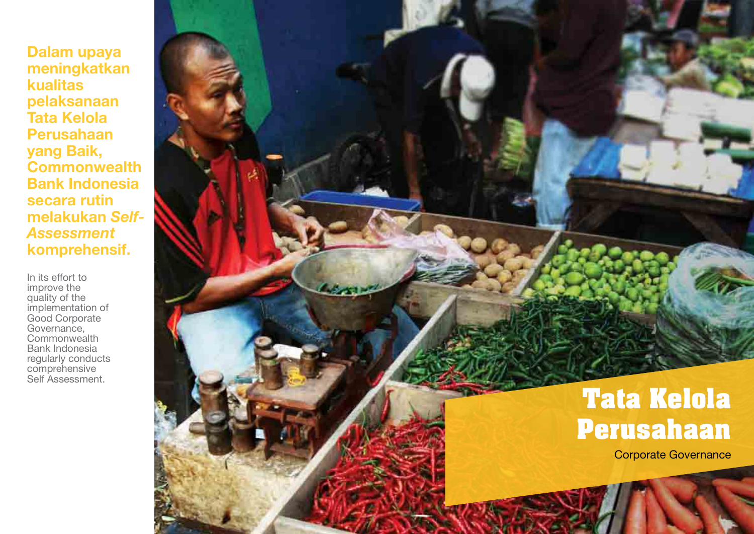In its effort to improve the quality of the implementation of Good Corporate Governance, **Commonwealth** Bank Indonesia regularly conducts comprehensive Self Assessment.



**Dalam upaya meningkatkan kualitas pelaksanaan Tata Kelola Perusahaan yang Baik, Commonwealth Bank Indonesia secara rutin melakukan** *Self-Assessment*  **komprehensif.**

> **Tata Kelola Perusahaan**

> > Corporate Governance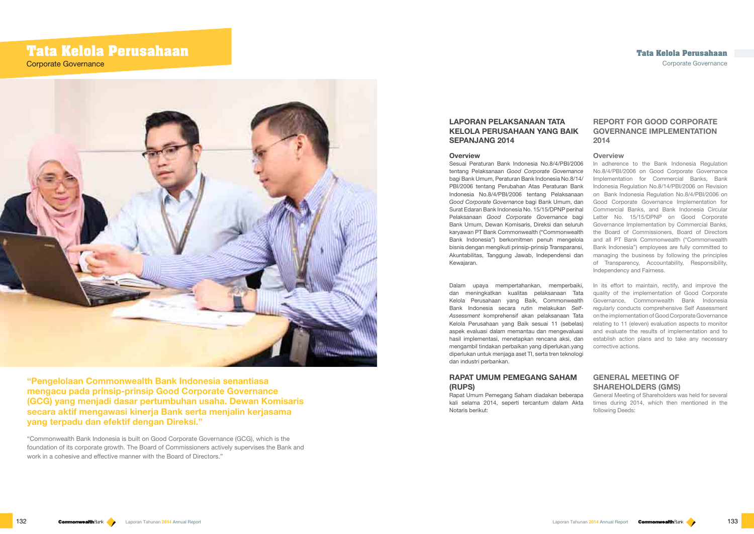## **REPORT FOR GOOD CORPORATE GOVERNANCE IMPLEMENTATION 2014**

## **Overview**

In adherence to the Bank Indonesia Regulation No.8/4/PBI/2006 on Good Corporate Governance Implementation for Commercial Banks, Bank Indonesia Regulation No.8/14/PBI/2006 on Revision on Bank Indonesia Regulation No.8/4/PBI/2006 on Good Corporate Governance Implementation for Commercial Banks, and Bank Indonesia Circular Letter No. 15/15/DPNP on Good Corporate Governance Implementation by Commercial Banks, the Board of Commissioners, Board of Directors and all PT Bank Commonwealth ("Commonwealth Bank Indonesia") employees are fully committed to managing the business by following the principles of Transparency, Accountability, Responsibility, Independency and Fairness.

## **GENERAL MEETING OF SHAREHOLDERS (GMS)**

General Meeting of Shareholders was held for several times during 2014, which then mentioned in the following Deeds:

# **Tata Kelola Perusahaan**

Corporate Governance



## **LAPORAN PELAKSANAAN TATA KELOLA PERUSAHAAN YANG BAIK SEPANJANG 2014**

"Commonwealth Bank Indonesia is built on Good Corporate Governance (GCG), which is the foundation of its corporate growth. The Board of Commissioners actively supervises the Bank and work in a cohesive and effective manner with the Board of Directors."

#### **Overview**

In its effort to maintain, rectify, and improve the quality of the implementation of Good Corporate Governance, Commonwealth Bank Indonesia regularly conducts comprehensive Self Assessment on the implementation of Good Corporate Governance relating to 11 (eleven) evaluation aspects to monitor and evaluate the results of implementation and to establish action plans and to take any necessary corrective actions. Dalam upaya mempertahankan, memperbaiki, dan meningkatkan kualitas pelaksanaan Tata Kelola Perusahaan yang Baik, Commonwealth Bank Indonesia secara rutin melakukan *Self-Assessment* komprehensif akan pelaksanaan Tata Kelola Perusahaan yang Baik sesuai 11 (sebelas) aspek evaluasi dalam memantau dan mengevaluasi hasil implementasi, menetapkan rencana aksi, dan mengambil tindakan perbaikan yang diperlukan.yang diperlukan untuk menjaga aset TI, serta tren teknologi dan industri perbankan.

Sesuai Peraturan Bank Indonesia No.8/4/PBI/2006 tentang Pelaksanaan *Good Corporate Governance*  bagi Bank Umum, Peraturan Bank Indonesia No.8/14/ PBI/2006 tentang Perubahan Atas Peraturan Bank Indonesia No.8/4/PBI/2006 tentang Pelaksanaan *Good Corporate Governance* bagi Bank Umum, dan Surat Edaran Bank Indonesia No. 15/15/DPNP perihal Pelaksanaan *Good Corporate Governance* bagi Bank Umum, Dewan Komisaris, Direksi dan seluruh karyawan PT Bank Commonwealth ("Commonwealth Bank Indonesia") berkomitmen penuh mengelola bisnis dengan mengikuti prinsip-prinsip Transparansi, Akuntabilitas, Tanggung Jawab, Independensi dan Kewajaran.

## **RAPAT UMUM PEMEGANG SAHAM (RUPS)**

Rapat Umum Pemegang Saham diadakan beberapa kali selama 2014, seperti tercantum dalam Akta Notaris berikut:

**"Pengelolaan Commonwealth Bank Indonesia senantiasa mengacu pada prinsip-prinsip Good Corporate Governance (GCG) yang menjadi dasar pertumbuhan usaha. Dewan Komisaris secara aktif mengawasi kinerja Bank serta menjalin kerjasama yang terpadu dan efektif dengan Direksi."**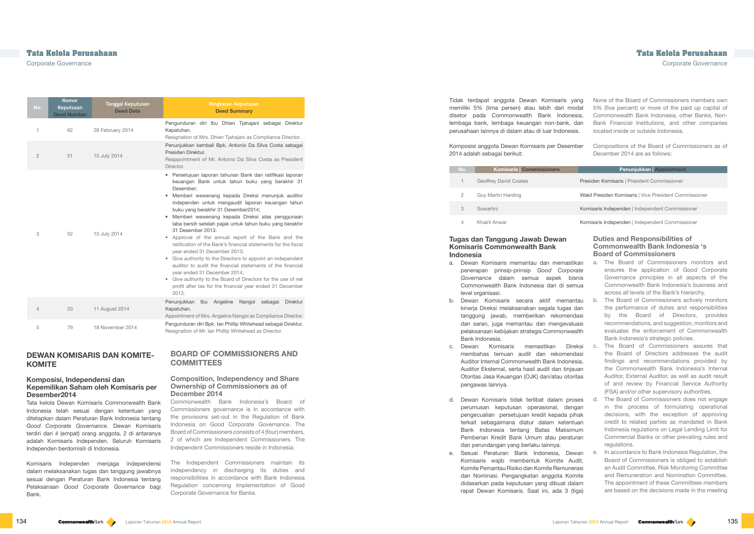| No.            | <b>Nomor</b><br>Keputusan<br><b>Deed Number</b> | <b>Tanggal Keputusan</b><br><b>Deed Date</b> | Ringkasan Keputusan<br><b>Deed Summary</b>                                                                                                                                                                                                                                                                                                                                                                                                                                                                                                                                                                                                                                                                                                                                                                                                                           |
|----------------|-------------------------------------------------|----------------------------------------------|----------------------------------------------------------------------------------------------------------------------------------------------------------------------------------------------------------------------------------------------------------------------------------------------------------------------------------------------------------------------------------------------------------------------------------------------------------------------------------------------------------------------------------------------------------------------------------------------------------------------------------------------------------------------------------------------------------------------------------------------------------------------------------------------------------------------------------------------------------------------|
| 1              | 62                                              | 26 February 2014                             | Pengunduran diri Ibu Dhien Tjahajani sebagai Direktur<br>Kepatuhan.<br>Resignation of Mrs. Dhien Tjahajani as Compliance Director.                                                                                                                                                                                                                                                                                                                                                                                                                                                                                                                                                                                                                                                                                                                                   |
| $\mathbf{2}$   | 51                                              | 15 July 2014                                 | Penunjukkan kembali Bpk. Antonio Da Silva Costa sebagai<br>Presiden Direktur.<br>Reappointment of Mr. Antonio Da Silva Costa as President<br>Director.                                                                                                                                                                                                                                                                                                                                                                                                                                                                                                                                                                                                                                                                                                               |
| 3              | 52                                              | 15 July 2014                                 | • Persetujuan laporan tahunan Bank dan ratifikasi laporan<br>keuangan Bank untuk tahun buku yang berakhir 31<br>Desember;<br>Memberi wewenang kepada Direksi menunjuk auditor<br>independen untuk mengaudit laporan keuangan tahun<br>buku yang berakhir 31 Desember2014;<br>Memberi wewenang kepada Direksi atas penggunaan<br>laba bersih setelah pajak untuk tahun buku yang berakhir<br>31 Desember 2013.<br>Approval of the annual report of the Bank and the<br>ratification of the Bank's financial statements for the fiscal<br>year ended 31 December 2013;<br>Give authority to the Directors to appoint an independent<br>auditor to audit the financial statements of the financial<br>year ended 31 December 2014;<br>Give authority to the Board of Directors for the use of net<br>profit after tax for the financial year ended 31 December<br>2013. |
| $\overline{4}$ | 33                                              | 11 August 2014                               | Penunjukkan<br>Ibu<br>Angeline<br>Nangoi sebagai<br><b>Direktur</b><br>Kepatuhan.<br>Appointment of Mrs. Angeline Nangoi as Compliance Director.                                                                                                                                                                                                                                                                                                                                                                                                                                                                                                                                                                                                                                                                                                                     |
| 5              | 79                                              | 18 November 2014                             | Pengunduran diri Bpk. Ian Phillip Whitehead sebagai Direktur.<br>Resignation of Mr. Ian Phillip Whitehead as Director.                                                                                                                                                                                                                                                                                                                                                                                                                                                                                                                                                                                                                                                                                                                                               |

## **BOARD OF COMMISSIONERS AND COMMITTEES**

#### **Composition, Independency and Share Ownership of Commissioners as of December 2014**

Commonwealth Bank Indonesia's Board of Commissioners governance is in accordance with the provisions set-out in the Regulation of Bank Indonesia on Good Corporate Governance. The Board of Commissioners consists of 4 (four) members, 2 of which are Independent Commissioners. The Independent Commissioners reside in Indonesia.

The Independent Commissioners maintain its independency in discharging its duties and responsibilities in accordance with Bank Indonesia Regulation concerning Implementation of Good Corporate Governance for Banks.

#### **Duties and Responsibilities of Commonwealth Bank Indonesia 's Board of Commissioners**

|     | Tidak terdapat anggota Dewan Komisaris yang<br>memiliki 5% (lima persen) atau lebih dari modal<br>disetor pada Commonwealth Bank Indonesia,<br>lembaga bank, lembaga keuangan non-bank, dan<br>perusahaan lainnya di dalam atau di luar Indonesia.<br>Komposisi anggota Dewan Komisaris per Desember<br>2014 adalah sebagai berikut: | None of the Board of Commissioners members own<br>5% (five percent) or more of the paid up capital of<br>Commonwealth Bank Indonesia, other Banks, Non-<br>Bank Financial Institutions, and other companies<br>located inside or outside Indonesia.<br>Compositions of the Board of Commissioners as of<br>December 2014 are as follows: |
|-----|--------------------------------------------------------------------------------------------------------------------------------------------------------------------------------------------------------------------------------------------------------------------------------------------------------------------------------------|------------------------------------------------------------------------------------------------------------------------------------------------------------------------------------------------------------------------------------------------------------------------------------------------------------------------------------------|
| No. | <b>Komisaris   Commissioners</b>                                                                                                                                                                                                                                                                                                     | <b>Penunjukkan   Appointment</b>                                                                                                                                                                                                                                                                                                         |
| 1   | <b>Geoffrey David Coates</b>                                                                                                                                                                                                                                                                                                         | Presiden Komisaris   President Commissioner                                                                                                                                                                                                                                                                                              |
| 2   | Guy Martin Harding                                                                                                                                                                                                                                                                                                                   | Wakil Presiden Komisaris   Vice President Commissioner                                                                                                                                                                                                                                                                                   |
| 3   | Suwartini                                                                                                                                                                                                                                                                                                                            | Komisaris Independen   Independent Commissioner                                                                                                                                                                                                                                                                                          |
|     |                                                                                                                                                                                                                                                                                                                                      | $12$ and a started trade and the characteristic field $\bigcap$ and $\bigcap$ and $\bigcap$                                                                                                                                                                                                                                              |

## **Tata Kelola Perusahaan Tata Kelola Perusahaan**

Khairil Anwar **Komisaris Independen** | Independent Commissioner

Corporate Governance Corporate Governance

## **DEWAN KOMISARIS DAN KOMITE-KOMITE**

#### **Komposisi, Independensi dan Kepemilikan Saham oleh Komisaris per Desember2014**

Tata kelola Dewan Komisaris Commonwealth Bank Indonesia telah sesuai dengan ketentuan yang ditetapkan dalam Peraturan Bank Indonesia tentang *Good Corporate Governance*. Dewan Komisaris terdiri dari 4 (empat) orang anggota, 2 di antaranya adalah Komisaris Independen. Seluruh Komisaris Independen berdomisili di Indonesia.

- a. The Board of Commissioners monitors and ensures the application of Good Corporate Governance principles in all aspects of the Commonwealth Bank Indonesia's business and across all levels of the Bank's hierarchy. a. Dewan Komisaris memantau dan memastikan penerapan prinsip-prinsip *Good Corporate Governance* dalam semua aspek bisnis Commonwealth Bank Indonesia dan di semua level organisasi.
- b. The Board of Commissioners actively monitors the performance of duties and responsibilities by the Board of Directors, provides recommendations, and suggestion, monitors and evaluates the enforcement of Commonwealth Bank Indonesia's strategic policies. b. Dewan Komisaris secara aktif memantau kinerja Direksi melaksanakan segala tugas dan tanggung jawab, memberikan rekomendasi dan saran, juga memantau dan mengevaluasi pelaksanaan kebijakan strategis Commonwealth Bank Indonesia.
- c. The Board of Commissioners assures that the Board of Directors addresses the audit findings and recommendations provided by the Commonwealth Bank Indonesia's Internal Auditor, External Auditor, as well as audit result of and review by Financial Service Authority (FSA) and/or other supervisory authorities. c. Dewan Komisaris memastikan Direksi membahas temuan audit dan rekomendasi Auditor Internal Commonwealth Bank Indonesia, Auditor Eksternal, serta hasil audit dan tinjauan Otoritas Jasa Keuangan (OJK) dan/atau otoritas pengawas lainnya.
- d. The Board of Commissioners does not engage in the process of formulating operational decisions, with the exception of approving credit to related parties as mandated in Bank Indonesia regulations on Legal Lending Limit for Commercial Banks or other prevailing rules and regulations. d. Dewan Komisaris tidak terlibat dalam proses perumusan keputusan operasional, dengan pengecualian persetujuan kredit kepada pihak terkait sebagaimana diatur dalam ketentuan Bank Indonesia tentang Batas Maksimum Pemberian Kredit Bank Umum atau peraturan dan perundangan yang berlaku lainnya.
- e. In accordance to Bank Indonesia Regulation, the Board of Commissioners is obliged to establish an Audit Committee, Risk Monitoring Committee and Remuneration and Nomination Committee. The appointment of these Committees members are based on the decisions made in the meeting e. Sesuai Peraturan Bank Indonesia, Dewan Komisaris wajib membentuk Komite Audit, Komite Pemantau Risiko dan Komite Remunerasi dan Nominasi. Pengangkatan anggota Komite didasarkan pada keputusan yang dibuat dalam rapat Dewan Komisaris. Saat ini, ada 3 (tiga)

Komisaris Independen menjaga independensi dalam melaksanakan tugas dan tanggung jawabnya sesuai dengan Peraturan Bank Indonesia tentang Pelaksanaan *Good Corporate Governance* bagi Bank.

### **Tugas dan Tanggung Jawab Dewan Komisaris Commonwealth Bank Indonesia**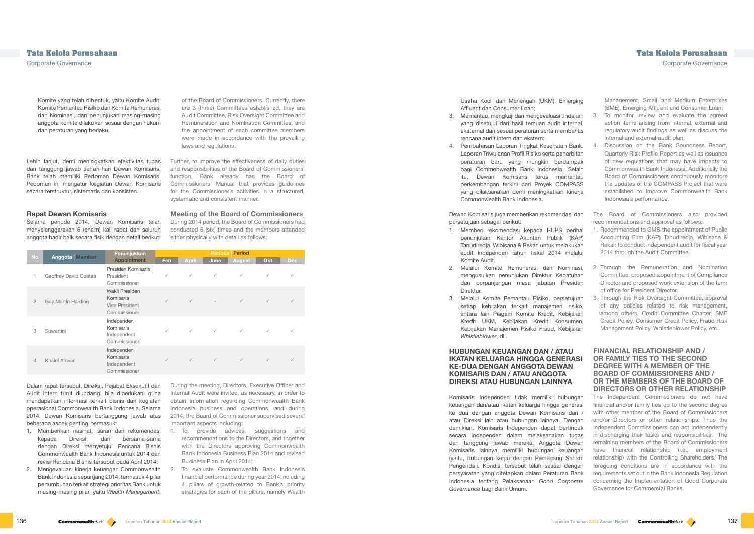of the Board of Commissioners. Currently, there are 3 (three) Committees established, they are Audit Committee, Risk Oversight Committee and Remuneration and Nomination Committee, and the appointment of each committee members were made in accordance with the prevailing laws and regulations.

Further, to improve the effectiveness of daily duties and responsibilities of the Board of Commissioners' function, Bank already has the Board of Commissioners' Manual that provides guidelines for the Commissioner's activities in a structured, systematic and consistent manner.

## **Meeting of the Board of Commissioners**

During 2014 period, the Board of Commissioners had conducted 6 (six) times and the members attended either physically with detail as follows:

| <b>No</b>      | <b>Anggota   Member</b> | Penunjukkan                                                          | <b>Periode Period</b> |              |              |               |              |              |
|----------------|-------------------------|----------------------------------------------------------------------|-----------------------|--------------|--------------|---------------|--------------|--------------|
|                |                         | <b>Appointment</b>                                                   | Feb                   | <b>April</b> | <b>June</b>  | <b>August</b> | Oct          | <b>Dec</b>   |
|                | Geoffrey David Coates   | Presiden Komisaris<br>President<br>Commissioner                      | $\checkmark$          | $\checkmark$ | $\checkmark$ | $\checkmark$  | $\checkmark$ | ✓            |
| $\overline{2}$ | Guy Martin Harding      | Wakil Presiden<br>Komisaris<br><b>Vice President</b><br>Commissioner | $\checkmark$          | $\checkmark$ |              | $\checkmark$  | $\checkmark$ |              |
| 3              | Suwartini               | Independen<br>Komisaris<br>Independent<br>Commissioner               | $\checkmark$          | $\checkmark$ | $\checkmark$ | $\checkmark$  | $\checkmark$ |              |
| $\overline{4}$ | Khairil Anwar           | Independen<br>Komisaris<br>Independent<br>Commissioner               | $\checkmark$          | $\checkmark$ | $\checkmark$ | $\checkmark$  | $\checkmark$ | $\checkmark$ |

During the meeting, Directors, Executive Officer and Internal Audit were invited, as necessary, in order to obtain information regarding Commonwealth Bank Indonesia business and operations, and during 2014, the Board of Commissioner supervised several important aspects including:

- 1. To provide advices, suggestions and recommendations to the Directors, and together with the Directors approving Commonwealth Bank Indonesia Business Plan 2014 and revised Business Plan in April 2014;
- 2. To evaluate Commonwealth Bank Indonesia financial performance during year 2014 including 4 pillars of growth-related to Bank's priority strategies for each of the pillars, namely Wealth

Management, Small and Medium Enterprises (SME), Emerging Affluent and Consumer Loan;

3. To monitor, review and evaluate the agreed action items arising from internal, external and regulatory audit findings as well as discuss the internal and external audit plan;

- 1. Recommended to GMS the appointment of Public Accounting Firm (KAP) Tanudiredja, Wibisana & Rekan to conduct independent audit for fiscal year 2014 through the Audit Committee.
- 2. Through the Remuneration and Nomination Committee, proposed appointment of Compliance Director and proposed work extension of the term of office for President Director.
- 3. Through the Risk Oversight Committee, approval of any policies related to risk management, among others, Credit Committee Charter, SME Credit Policy, Consumer Credit Policy, Fraud Risk Management Policy, Whistleblower Policy, etc..

#### **FINANCIAL RELATIONSHIP AND / OR FAMILY TIES TO THE SECOND DEGREE WITH A MEMBER OF THE BOARD OF COMMISSIONERS AND / OR THE MEMBERS OF THE BOARD OF DIRECTORS OR OTHER RELATIONSHIP**

## **Tata Kelola Perusahaan Tata Kelola Perusahaan**

Corporate Governance Corporate Governance

Komite yang telah dibentuk, yaitu Komite Audit, Komite Pemantau Risiko dan Komite Remunerasi dan Nominasi, dan penunjukan masing-masing anggota komite dilakukan sesuai dengan hukum dan peraturan yang berlaku.

> The Board of Commissioners also provided recommendations and approval as follows: Dewan Komisaris juga memberikan rekomendasi dan persetujuan sebagai berikut:

Lebih lanjut, demi meningkatkan efektivitas tugas dan tanggung jawab sehari-hari Dewan Komisaris, Bank telah memiliki Pedoman Dewan Komisaris. Pedoman ini mengatur kegiatan Dewan Komisaris secara terstruktur, sistematis dan konsisten.

#### **Rapat Dewan Komisaris**

Selama periode 2014, Dewan Komisaris telah menyelenggarakan 6 (enam) kali rapat dan seluruh anggota hadir baik secara fisik dengan detail berikut:

Dalam rapat tersebut, Direksi, Pejabat Eksekutif dan Audit Intern turut diundang, bila diperlukan, guna mendapatkan informasi terkait bisnis dan kegiatan operasional Commonwealth Bank Indonesia. Selama 2014, Dewan Komisaris bertanggung jawab atas beberapa aspek penting, termasuk:

- 1. Memberikan nasihat, saran dan rekomendasi kepada Direksi, dan bersama-sama dengan Direksi menyetujui Rencana Bisnis Commonwealth Bank Indonesia untuk 2014 dan revisi Rencana Bisnis tersebut pada April 2014;
- 2. Mengevaluasi kinerja keuangan Commonwealth Bank Indonesia sepanjang 2014, termasuk 4 pilar pertumbuhan terkait strategi prioritas Bank untuk masing-masing pilar, yaitu *Wealth Management*,

The Independent Commissioners do not have financial and/or family ties up to the second degree with other member of the Board of Commissioners and/or Directors or other relationships. Thus the Independent Commissioners can act independently in discharging their tasks and responsibilities. The remaining members of the Board of Commissioners have financial relationship (i.e., employment relationship) with the Controlling Shareholders. The foregoing conditions are in accordance with the requirements set out in the Bank Indonesia Regulation concerning the Implementation of Good Corporate Governance for Commercial Banks. Komisaris Independen tidak memiliki hubungan keuangan dan/atau ikatan keluarga hingga generasi ke dua dengan anggota Dewan Komisaris dan / atau Direksi lain atau hubungan lainnya. Dengan demikian, Komisaris Independen dapat bertindak secara independen dalam melaksanakan tugas dan tanggung jawab mereka. Anggota Dewan Komisaris lainnya memiliki hubungan keuangan (yaitu, hubungan kerja) dengan Pemegang Saham Pengendali. Kondisi tersebut telah sesuai dengan persyaratan yang ditetapkan dalam Peraturan Bank Indonesia tentang Pelaksanaan *Good Corporate Governance* bagi Bank Umum.

Usaha Kecil dan Menengah (UKM), Emerging Affluent dan Consumer Loan;

- 3. Memantau, mengkaji dan mengevaluasi tindakan yang disetujui dari hasil temuan audit internal, eksternal dan sesuai peraturan serta membahas rencana audit intern dan ekstern;
- 4. Discussion on the Bank Soundness Report, Quarterly Risk Profile Report as well as issuance of new regulations that may have impacts to Commonwealth Bank Indonesia. Additionally the Board of Commissioners continuously monitors the updates of the COMPASS Project that were established to improve Commonwealth Bank Indonesia's performance. 4. Pembahasan Laporan Tingkat Kesehatan Bank, Laporan Triwulanan Profil Risiko serta penerbitan peraturan baru yang mungkin berdampak bagi Commonwealth Bank Indonesia. Selain itu, Dewan Komisaris terus memantau perkembangan terkini dari Proyek COMPASS yang dilaksanakan demi meningkatkan kinerja Commonwealth Bank Indonesia.

- 1. Memberi rekomendasi kepada RUPS perihal penunjukan Kantor Akuntan Publik (KAP) Tanudiredja, Wibisana & Rekan untuk melakukan audit independen tahun fiskal 2014 melalui Komite Audit.
- 2. Melalui Komite Remunerasi dan Nominasi, mengusulkan penunjukan Direktur Kepatuhan dan perpanjangan masa jabatan Presiden Direktur.
- 3. Melalui Komite Pemantau Risiko, persetujuan setiap kebijakan terkait manajemen risiko, antara lain Piagam Komite Kredit, Kebijakan Kredit UKM, Kebijakan Kredit Konsumen, Kebijakan Manajemen Risiko Fraud, Kebijakan *Whistleblower*, dll.

## **HUBUNGAN KEUANGAN DAN / ATAU IKATAN KELUARGA HINGGA GENERASI KE-DUA DENGAN ANGGOTA DEWAN KOMISARIS DAN / ATAU ANGGOTA DIREKSI ATAU HUBUNGAN LAINNYA**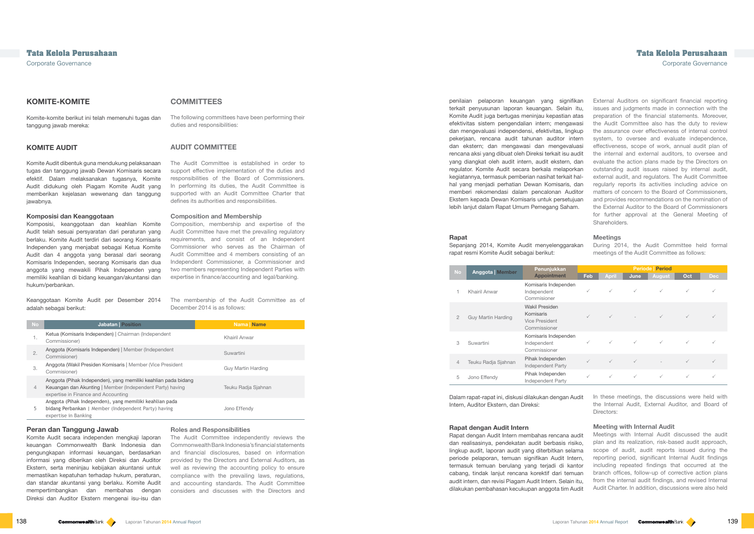In these meetings, the discussions were held with the Internal Audit, External Auditor, and Board of Directors:

#### **Meetings**

During 2014, the Audit Committee held formal meetings of the Audit Committee as follows:

| <b>No</b>      | <b>Anggota   Member</b> | Penunjukkan                                                                 | <b>Periode   Period</b> |              |              |              |              |            |
|----------------|-------------------------|-----------------------------------------------------------------------------|-------------------------|--------------|--------------|--------------|--------------|------------|
|                |                         | <b>Appointment</b>                                                          | Feb                     | April        | June         | August       | Oct          | <b>Dec</b> |
|                | Khairil Anwar           | Komisaris Independen<br>Independent<br>Commisioner                          | $\checkmark$            | $\checkmark$ | $\checkmark$ | $\checkmark$ | $\checkmark$ |            |
| $\mathbf{2}$   | Guy Martin Harding      | <b>Wakil Presiden</b><br>Komisaris<br><b>Vice President</b><br>Commissioner | $\checkmark$            | $\checkmark$ |              | $\checkmark$ | $\checkmark$ |            |
| 3              | Suwartini               | Komisaris Independen<br>Independent<br>Commissioner                         | $\checkmark$            | $\checkmark$ | $\checkmark$ | $\checkmark$ |              |            |
| $\overline{4}$ | Teuku Radja Sjahnan     | Pihak Independen<br><b>Independent Party</b>                                | $\checkmark$            | $\checkmark$ | $\checkmark$ |              | $\checkmark$ |            |
| 5              | Jono Effendy            | Pihak Independen<br>Independent Party                                       | $\checkmark$            | $\checkmark$ | $\checkmark$ | $\checkmark$ | $\checkmark$ |            |

#### **Meeting with Internal Audit**

## **COMMITTEES**

The following committees have been performing their duties and responsibilities:

## **AUDIT COMMITTEE**

The Audit Committee is established in order to support effective implementation of the duties and responsibilities of the Board of Commissioners. In performing its duties, the Audit Committee is supported with an Audit Committee Charter that defines its authorities and responsibilities.

#### **Composition and Membership**

Composition, membership and expertise of the Audit Committee have met the prevailing regulatory requirements, and consist of an Independent Commissioner who serves as the Chairman of Audit Committee and 4 members consisting of an Independent Commissioner, a Commissioner and two members representing Independent Parties with expertise in finance/accounting and legal/banking.

The membership of the Audit Committee as of December 2014 is as follows:

External Auditors on significant financial reporting issues and judgments made in connection with the preparation of the financial statements. Moreover, the Audit Committee also has the duty to review the assurance over effectiveness of internal control system, to oversee and evaluate independence, effectiveness, scope of work, annual audit plan of the internal and external auditors, to oversee and evaluate the action plans made by the Directors on outstanding audit issues raised by internal audit, external audit, and regulators. The Audit Committee regularly reports its activities including advice on matters of concern to the Board of Commissioners, and provides recommendations on the nomination of the External Auditor to the Board of Commissioners for further approval at the General Meeting of Shareholders. penilaian pelaporan keuangan yang signifikan terkait penyusunan laporan keuangan. Selain itu, Komite Audit juga bertugas meninjau kepastian atas efektivitas sistem pengendalian intern; mengawasi dan mengevaluasi independensi, efektivitas, lingkup pekerjaan, rencana audit tahunan auditor intern dan ekstern; dan mengawasi dan mengevaluasi rencana aksi yang dibuat oleh Direksi terkait isu audit yang diangkat oleh audit intern, audit ekstern, dan regulator. Komite Audit secara berkala melaporkan kegiatannya, termasuk pemberian nasihat terkait halhal yang menjadi perhatian Dewan Komisaris, dan memberi rekomendasi dalam pencalonan Auditor Ekstern kepada Dewan Komisaris untuk persetujuan lebih lanjut dalam Rapat Umum Pemegang Saham.

| <b>No</b> | <b>Jabatan</b> Position                                                                                                                                            | <b>Nama</b> Name    |
|-----------|--------------------------------------------------------------------------------------------------------------------------------------------------------------------|---------------------|
| 1.        | Ketua (Komisaris Independen)   Chairman (Independent<br>Commissioner)                                                                                              | Khairil Anwar       |
| 2.        | Anggota (Komisaris Independen)   Member (Independent<br>Commisioner)                                                                                               | Suwartini           |
| 3.        | Anggota (Wakil Presiden Komisaris   Member (Vice President<br>Commisioner)                                                                                         | Guy Martin Harding  |
| 4         | Anggota (Pihak Independen), yang memiliki keahlian pada bidang<br>Keuangan dan Akunting   Member (Independent Party) having<br>expertise in Finance and Accounting | Teuku Radja Sjahnan |
| 5         | Anggota (Pihak Independen), yang memiliki keahlian pada<br>bidang Perbankan   Member (Independent Party) having<br>expertise in Banking                            | Jono Effendy        |

#### **Roles and Responsibilities**

The Audit Committee independently reviews the Commonwealth Bank Indonesia's financial statements and financial disclosures, based on information provided by the Directors and External Auditors, as well as reviewing the accounting policy to ensure compliance with the prevailing laws, regulations, and accounting standards. The Audit Committee considers and discusses with the Directors and

## **Tata Kelola Perusahaan Tata Kelola Perusahaan**

Corporate Governance Corporate Governance

## **KOMITE-KOMITE**

Komite-komite berikut ini telah memenuhi tugas dan tanggung jawab mereka:

#### **KOMITE AUDIT**

Meetings with Internal Audit discussed the audit plan and its realization, risk-based audit approach, scope of audit, audit reports issued during the reporting period, significant Internal Audit findings including repeated findings that occurred at the branch offices, follow-up of corrective action plans from the internal audit findings, and revised Internal Audit Charter. In addition, discussions were also held Rapat dengan Audit Intern membahas rencana audit dan realisasinya, pendekatan audit berbasis risiko, lingkup audit, laporan audit yang diterbitkan selama periode pelaporan, temuan signifikan Audit Intern, termasuk temuan berulang yang terjadi di kantor cabang, tindak lanjut rencana korektif dari temuan audit intern, dan revisi Piagam Audit Intern. Selain itu, dilakukan pembahasan kecukupan anggota tim Audit

Komite Audit dibentuk guna mendukung pelaksanaan tugas dan tanggung jawab Dewan Komisaris secara efektif. Dalam melaksanakan tugasnya, Komite Audit didukung oleh Piagam Komite Audit yang memberikan kejelasan wewenang dan tanggung jawabnya.

#### **Komposisi dan Keanggotaan**

Komposisi, keanggotaan dan keahlian Komite Audit telah sesuai persyaratan dari peraturan yang berlaku. Komite Audit terdiri dari seorang Komisaris Independen yang menjabat sebagai Ketua Komite Audit dan 4 anggota yang berasal dari seorang Komisaris Independen, seorang Komisaris dan dua anggota yang mewakili Pihak Independen yang memiliki keahlian di bidang keuangan/akuntansi dan hukum/perbankan.

Keanggotaan Komite Audit per Desember 2014 adalah sebagai berikut:

#### **Peran dan Tanggung Jawab**

Komite Audit secara independen mengkaji laporan keuangan Commonwealth Bank Indonesia dan pengungkapan informasi keuangan, berdasarkan informasi yang diberikan oleh Direksi dan Auditor Ekstern, serta meninjau kebijakan akuntansi untuk memastikan kepatuhan terhadap hukum, peraturan, dan standar akuntansi yang berlaku. Komite Audit mempertimbangkan dan membahas dengan Direksi dan Auditor Ekstern mengenai isu-isu dan

#### **Rapat**

Sepanjang 2014, Komite Audit menyelenggarakan rapat resmi Komite Audit sebagai berikut:

Dalam rapat-rapat ini, diskusi dilakukan dengan Audit Intern, Auditor Ekstern, dan Direksi:

#### **Rapat dengan Audit Intern**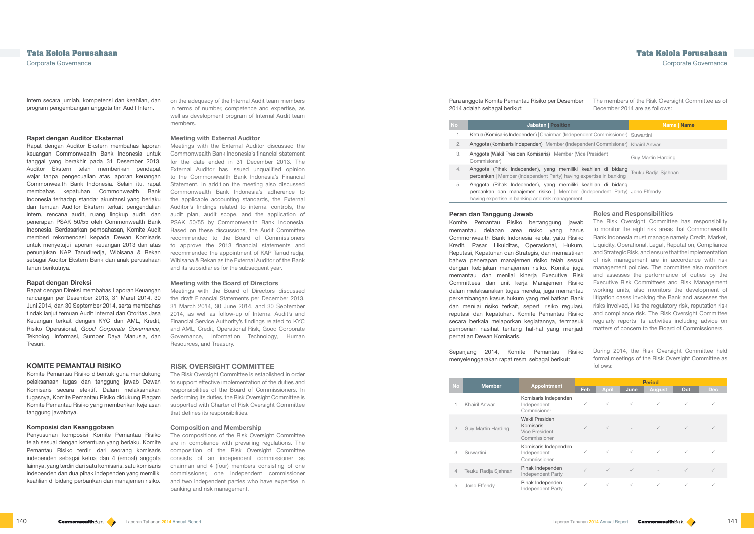on the adequacy of the Internal Audit team members in terms of number, competence and expertise, as well as development program of Internal Audit team members.

#### **Meeting with External Auditor**

Meetings with the External Auditor discussed the Commonwealth Bank Indonesia's financial statement for the date ended in 31 December 2013. The External Auditor has issued unqualified opinion to the Commonwealth Bank Indonesia's Financial Statement. In addition the meeting also discussed Commonwealth Bank Indonesia's adherence to the applicable accounting standards, the External Auditor's findings related to internal controls, the audit plan, audit scope, and the application of PSAK 50/55 by Commonwealth Bank Indonesia. Based on these discussions, the Audit Committee recommended to the Board of Commissioners to approve the 2013 financial statements and recommended the appointment of KAP Tanudiredja, Wibisana & Rekan as the External Auditor of the Bank and its subsidiaries for the subsequent year.

#### **Meeting with the Board of Directors**

Meetings with the Board of Directors discussed the draft Financial Statements per December 2013, 31 March 2014, 30 June 2014, and 30 September 2014, as well as follow-up of Internal Audit's and Financial Service Authority's findings related to KYC and AML, Credit, Operational Risk, Good Corporate Governance, Information Technology, Human Resources, and Treasury.

### **RISK OVERSIGHT COMMITTEE**

The Risk Oversight Committee is established in order to support effective implementation of the duties and responsibilities of the Board of Commissioners. In performing its duties, the Risk Oversight Committee is supported with Charter of Risk Oversight Committee that defines its responsibilities.

#### **Composition and Membership**

The compositions of the Risk Oversight Committee are in compliance with prevailing regulations. The composition of the Risk Oversight Committee consists of an independent commissioner as chairman and 4 (four) members consisting of one commissioner, one independent commissioner and two independent parties who have expertise in banking and risk management.

### The members of the Risk Oversight Committee as of December 2014 are as follows:

| <b>Jabatan   Position</b>                                                                                                                                                                   | <b>Nama</b> Name    |
|---------------------------------------------------------------------------------------------------------------------------------------------------------------------------------------------|---------------------|
| Ketua (Komisaris Independen)   Chairman (Independent Commissioner) Suwartini                                                                                                                |                     |
| Anggota (Komisaris Independen)   Member (Independent Commisioner)   Khairil Anwar                                                                                                           |                     |
| Anggota (Wakil Presiden Komisaris)   Member (Vice President<br>Commisioner)                                                                                                                 | Guy Martin Harding  |
| Anggota (Pihak Independen), yang memiliki keahlian di bidang<br>perbankan   Member (Independent Party) having expertise in banking                                                          | Teuku Radja Sjahnan |
| Anggota (Pihak Independen), yang memiliki keahlian di bidang<br>perbankan dan manajemen risiko   Member (Independent Party) Jono Effendy<br>having expertise in banking and risk management |                     |

#### **Roles and Responsibilities**

## During 2014, the Risk Oversight Committee held formal meetings of the Risk Oversight Committee as follows:

| <b>No</b>      | <b>Member</b>             | <b>Appointment</b>                                                   | <b>Period</b> |              |              |              |              |              |
|----------------|---------------------------|----------------------------------------------------------------------|---------------|--------------|--------------|--------------|--------------|--------------|
|                |                           |                                                                      | Feb           | <b>April</b> | June         | August       | Oct          | <b>Dec</b>   |
|                | Khairil Anwar             | Komisaris Independen<br>Independent<br>Commisioner                   | $\checkmark$  | $\checkmark$ | $\checkmark$ | $\checkmark$ | $\checkmark$ | $\checkmark$ |
| $\mathfrak{D}$ | <b>Guy Martin Harding</b> | <b>Wakil Presiden</b><br>Komisaris<br>Vice President<br>Commissioner | $\checkmark$  | $\checkmark$ |              | $\checkmark$ | $\checkmark$ |              |
| 3              | Suwartini                 | Komisaris Independen<br>Independent<br>Commissioner                  | $\checkmark$  | $\checkmark$ | $\checkmark$ | $\checkmark$ | $\checkmark$ |              |
| 4              | Teuku Radja Sjahnan       | Pihak Independen<br>Independent Party                                | $\checkmark$  | $\checkmark$ | $\checkmark$ |              | $\checkmark$ | $\checkmark$ |
| 5              | Jono Effendy              | Pihak Independen<br>Independent Party                                | $\checkmark$  | $\checkmark$ | $\checkmark$ | ✓            | $\checkmark$ | $\checkmark$ |

Intern secara jumlah, kompetensi dan keahlian, dan program pengembangan anggota tim Audit Intern.

#### **Rapat dengan Auditor Eksternal**

Rapat dengan Auditor Ekstern membahas laporan keuangan Commonwealth Bank Indonesia untuk tanggal yang berakhir pada 31 Desember 2013. Auditor Ekstern telah memberikan pendapat wajar tanpa pengecualian atas laporan keuangan Commonwealth Bank Indonesia. Selain itu, rapat membahas kepatuhan Commonwealth Bank Indonesia terhadap standar akuntansi yang berlaku dan temuan Auditor Ekstern terkait pengendalian intern, rencana audit, ruang lingkup audit, dan penerapan PSAK 50/55 oleh Commonwealth Bank Indonesia. Berdasarkan pembahasan, Komite Audit memberi rekomendasi kepada Dewan Komisaris untuk menyetujui laporan keuangan 2013 dan atas penunjukan KAP Tanudiredja, Wibisana & Rekan sebagai Auditor Ekstern Bank dan anak perusahaan tahun berikutnya.

The Risk Oversight Committee has responsibility to monitor the eight risk areas that Commonwealth Bank Indonesia must manage namely Credit, Market, Liquidity, Operational, Legal, Reputation, Compliance and Strategic Risk, and ensure that the implementation of risk management are in accordance with risk management policies. The committee also monitors and assesses the performance of duties by the Executive Risk Committees and Risk Management working units, also monitors the development of litigation cases involving the Bank and assesses the risks involved, like the regulatory risk, reputation risk and compliance risk. The Risk Oversight Committee regularly reports its activities including advice on matters of concern to the Board of Commissioners. Komite Pemantau Risiko bertanggung jawab memantau delapan area risiko yang harus Commonwealth Bank Indonesia kelola, yaitu Risiko Kredit, Pasar, Likuiditas, Operasional, Hukum, Reputasi, Kepatuhan dan Strategis, dan memastikan bahwa penerapan manajemen risiko telah sesuai dengan kebijakan manajemen risiko. Komite juga memantau dan menilai kineria Executive Risk Committees dan unit kerja Manajemen Risiko dalam melaksanakan tugas mereka, juga memantau perkembangan kasus hukum yang melibatkan Bank dan menilai risiko terkait, seperti risiko regulasi, reputasi dan kepatuhan. Komite Pemantau Risiko secara berkala melaporkan kegiatannya, termasuk pemberian nasihat tentang hal-hal yang menjadi perhatian Dewan Komisaris.

#### **Rapat dengan Direksi**

Rapat dengan Direksi membahas Laporan Keuangan rancangan per Desember 2013, 31 Maret 2014, 30 Juni 2014, dan 30 September 2014, serta membahas tindak lanjut temuan Audit Internal dan Otoritas Jasa Keuangan terkait dengan KYC dan AML, Kredit, Risiko Operasional, *Good Corporate Governance*, Teknologi Informasi, Sumber Daya Manusia, dan Tresuri.

#### **KOMITE PEMANTAU RISIKO**

Komite Pemantau Risiko dibentuk guna mendukung pelaksanaan tugas dan tanggung jawab Dewan Komisaris secara efektif. Dalam melaksanakan tugasnya, Komite Pemantau Risiko didukung Piagam Komite Pemantau Risiko yang memberikan kejelasan tanggung jawabnya.

#### **Komposisi dan Keanggotaan**

Penyusunan komposisi Komite Pemantau Risiko telah sesuai dengan ketentuan yang berlaku. Komite Pemantau Risiko terdiri dari seorang komisaris independen sebagai ketua dan 4 (empat) anggota lainnya, yang terdiri dari satu komisaris, satu komisaris independen dan dua pihak independen yang memiliki keahlian di bidang perbankan dan manajemen risiko.

Para anggota Komite Pemantau Risiko per Desember 2014 adalah sebagai berikut:

#### **Jabatan | Position**

- 1. Ketua (Komisaris Independen) | Chairman (Independent)
- 2. Anggota (Komisaris Independen) | Member (Independent Communist) Communist Communist Communist Communist Communist Communist Communist Communist Communist Communist Communist Communist Communist Communist Communist Commu
- 3. Anggota (Wakil Presiden Komisaris) | Memb
- 4. Anggota (Pihak Independen), yang men perbankan | Member (Independent Party) ha
- 5. Anggota (Pihak Independen), yang mem perbankan dan manajemen risiko | Mem having expertise in banking and risk manage

#### **Peran dan Tanggung Jawab**

Sepanjang 2014, Komite Pemantau Risiko menyelenggarakan rapat resmi sebagai berikut: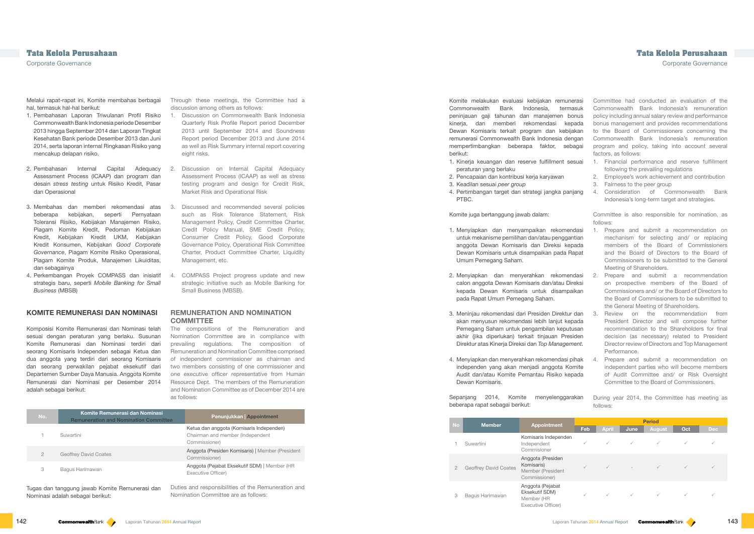Through these meetings, the Committee had a discussion among others as follows:

- 1. Discussion on Commonwealth Bank Indonesia Quarterly Risk Profile Report period December 2013 until September 2014 and Soundness Report period December 2013 and June 2014 as well as Risk Summary internal report covering eight risks.
- 2. Discussion on Internal Capital Adequacy Assessment Process (ICAAP) as well as stress testing program and design for Credit Risk, Market Risk and Operational Risk
- Discussed and recommended several policies such as Risk Tolerance Statement, Risk Management Policy, Credit Committee Charter, Credit Policy Manual, SME Credit Policy, Consumer Credit Policy, Good Corporate Governance Policy, Operational Risk Committee Charter, Product Committee Charter, Liquidity Management, etc.
- 4. COMPASS Project progress update and new strategic initiative such as Mobile Banking for Small Business (MBSB).

#### **REMUNERATION AND NOMINATION COMMITTEE**

The compositions of the Remuneration and Nomination Committee are in compliance with prevailing regulations. The composition of Remuneration and Nomination Committee comprised of independent commissioner as chairman and two members consisting of one commissioner and one executive officer representative from Human Resource Dept. The members of the Remuneration and Nomination Committee as of December 2014 are as follows:

| No.           | Komite Remunerasi dan Nominasi<br><b>Remuneration and Nomination Committee</b> | <b>Penunjukkan Appointment</b>                                                                |
|---------------|--------------------------------------------------------------------------------|-----------------------------------------------------------------------------------------------|
|               | Suwartini                                                                      | Ketua dan anggota (Komisaris Independen)<br>Chairman and member (Independent<br>Commissioner) |
| $\mathcal{P}$ | <b>Geoffrey David Coates</b>                                                   | Anggota (Presiden Komisaris)   Member (President<br>Commissioner)                             |
| 3             | Bagus Harimawan                                                                | Anggota (Pejabat Eksekutif SDM)   Member (HR<br>Executive Officer)                            |
|               |                                                                                |                                                                                               |

Committee had conducted an evaluation of the Commonwealth Bank Indonesia's remuneration policy including annual salary review and performance bonus management and provides recommendations to the Board of Commissioners concerning the Commonwealth Bank Indonesia's remuneration program and policy, taking into account several factors, as follows:

- 2. Employee's work achievement and contribution
- 3. Fairness to the peer group

Committee is also responsible for nomination, as follows:

During year 2014, the Committee has meeting as follows:

| No             | <b>Member</b>         | <b>Appointment</b>                                                     | <b>Period</b> |              |              |               |              |              |
|----------------|-----------------------|------------------------------------------------------------------------|---------------|--------------|--------------|---------------|--------------|--------------|
|                |                       |                                                                        | Feb           | <b>April</b> | June         | <b>August</b> | Oct          | <b>Dec</b>   |
|                | Suwartini             | Komisaris Independen<br>Independent<br>Commisioner                     | ✓             | $\checkmark$ | $\checkmark$ | $\checkmark$  | $\checkmark$ | $\checkmark$ |
| $\overline{2}$ | Geoffrey David Coates | Anggota (Presiden<br>Komisaris)<br>Member (President<br>Commissioner)  |               |              |              | $\checkmark$  |              |              |
| 3              | Bagus Harimawan       | Anggota (Pejabat<br>Eksekutif SDM)<br>Member (HR<br>Executive Officer) | $\checkmark$  | $\checkmark$ | $\checkmark$ | $\checkmark$  |              |              |

## **Tata Kelola Perusahaan Tata Kelola Perusahaan**

Corporate Governance Corporate Governance

Melalui rapat-rapat ini, Komite membahas berbagai hal, termasuk hal-hal berikut:

- 1. Financial performance and reserve fulfillment following the prevailing regulations 1. Kinerja keuangan dan reserve fulfillment sesuai peraturan yang berlaku
- 2. Pencapaian dan kontribusi kerja karyawan
- 3. Keadilan sesuai *peer group*
- 4. Consideration of Commonwealth Bank Indonesia's long-term target and strategies. 4. Pertimbangan target dan strategi jangka panjang PTBC.
- 1. Pembahasan Laporan Triwulanan Profil Risiko Commonwealth Bank Indonesia periode Desember 2013 hingga September 2014 dan Laporan Tingkat Kesehatan Bank periode Desember 2013 dan Juni 2014, serta laporan internal Ringkasan Risiko yang mencakup delapan risiko.
- 2. Pembahasan Internal Capital Adequacy Assessment Process (ICAAP) dan program dan desain *stress testing* untuk Risiko Kredit, Pasar dan Operasional
- 3. Membahas dan memberi rekomendasi atas beberapa kebijakan, seperti Pernyataan Toleransi Risiko, Kebijakan Manajemen Risiko, Piagam Komite Kredit, Pedoman Kebijakan Kredit, Kebijakan Kredit UKM, Kebijakan Kredit Konsumen, Kebijakan *Good Corporate Governance*, Piagam Komite Risiko Operasional, Piagam Komite Produk, Manajemen Likuiditas, dan sebagainya
- 4. Perkembangan Proyek COMPASS dan inisiatif strategis baru, seperti *Mobile Banking for Small Business* (MBSB)
- 1. Prepare and submit a recommendation on mechanism for selecting and/ or replacing members of the Board of Commissioners and the Board of Directors to the Board of Commissioners to be submitted to the General Meeting of Shareholders. 1. Menyiapkan dan menyampaikan rekomendasi untuk mekanisme pemilihan dan/atau penggantian anggota Dewan Komisaris dan Direksi kepada Dewan Komisaris untuk disampaikan pada Rapat Umum Pemegang Saham.
- 2. Prepare and submit a recommendation on prospective members of the Board of Commissioners and/ or the Board of Directors to the Board of Commissioners to be submitted to the General Meeting of Shareholders. 2. Menyiapkan dan menyerahkan rekomendasi calon anggota Dewan Komisaris dan/atau Direksi kepada Dewan Komisaris untuk disampaikan pada Rapat Umum Pemegang Saham.
- 3. Review on the recommendation from President Director and will compose further recommendation to the Shareholders for final decision (as necessary) related to President Director review of Directors and Top Management Performance. 3. Meninjau rekomendasi dari Presiden Direktur dan akan menyusun rekomendasi lebih lanjut kepada Pemegang Saham untuk pengambilan keputusan akhir (jika diperlukan) terkait tinjauan Presiden Direktur atas Kinerja Direksi dan *Top Management.*
- 4. Prepare and submit a recommendation on independent parties who will become members of Audit Committee and/ or Risk Oversight Committee to the Board of Commissioners. 4. Menyiapkan dan menyerahkan rekomendasi pihak independen yang akan menjadi anggota Komite Audit dan/atau Komite Pemantau Risiko kepada Dewan Komisaris.

### **KOMITE REMUNERASI DAN NOMINASI**

Komposisi Komite Remunerasi dan Nominasi telah sesuai dengan peraturan yang berlaku. Susunan Komite Remunerasi dan Nominasi terdiri dari seorang Komisaris Independen sebagai Ketua dan dua anggota yang terdiri dari seorang Komisaris dan seorang perwakilan pejabat eksekutif dari Departemen Sumber Daya Manusia. Anggota Komite Remunerasi dan Nominasi per Desember 2014 adalah sebagai berikut:

Tugas dan tanggung jawab Komite Remunerasi dan Nominasi adalah sebagai berikut:

Komite melakukan evaluasi kebijakan remunerasi Commonwealth Bank Indonesia, termasuk peninjauan gaji tahunan dan manajemen bonus kinerja, dan memberi rekomendasi kepada Dewan Komisaris terkait program dan kebijakan remunerasi Commonwealth Bank Indonesia dengan mempertimbangkan beberapa faktor, sebagai berikut:

#### Komite juga bertanggung jawab dalam:

Sepanjang 2014, Komite menyelenggarakan beberapa rapat sebagai berikut: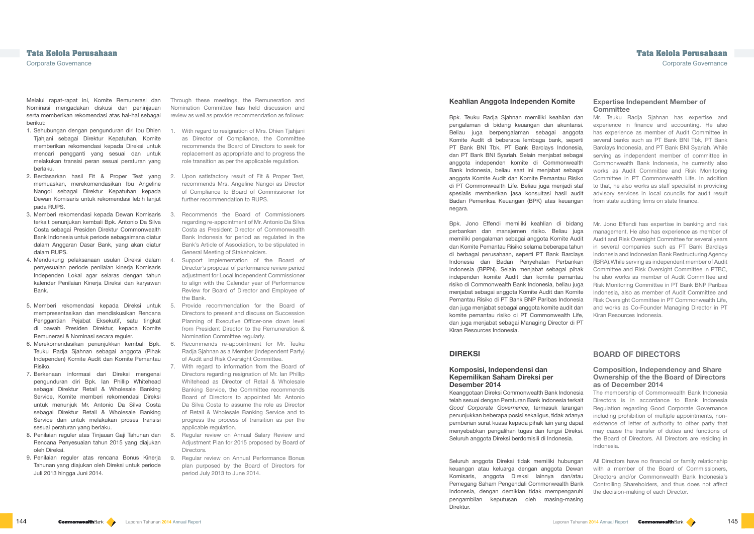Through these meetings, the Remuneration and Nomination Committee has held discussion and review as well as provide recommendation as follows:

- 1. With regard to resignation of Mrs. Dhien Tjahjani as Director of Compliance, the Committee recommends the Board of Directors to seek for replacement as appropriate and to progress the role transition as per the applicable regulation.
- 2. Upon satisfactory result of Fit & Proper Test, recommends Mrs. Angeline Nangoi as Director of Compliance to Board of Commissioner for further recommendation to RUPS.
- 3. Recommends the Board of Commissioners regarding re-appointment of Mr. Antonio Da Silva Costa as President Director of Commonwealth Bank Indonesia for period as regulated in the Bank's Article of Association, to be stipulated in General Meeting of Stakeholders.
	- Support implementation of the Board of Director's proposal of performance review period adjustment for Local Independent Commissioner to align with the Calendar year of Performance Review for Board of Director and Employee of the Bank.
- 5. Provide recommendation for the Board of Directors to present and discuss on Succession Planning of Executive Officer-one down level from President Director to the Remuneration & Nomination Committee regularly.
- 6. Recommends re-appointment for Mr. Teuku Radja Sjahnan as a Member (Independent Party) of Audit and Risk Oversight Committee.
- 7. With regard to information from the Board of Directors regarding resignation of Mr. Ian Phillip Whitehead as Director of Retail & Wholesale Banking Service, the Committee recommends Board of Directors to appointed Mr. Antonio Da Silva Costa to assume the role as Director of Retail & Wholesale Banking Service and to progress the process of transition as per the applicable regulation.
- Regular review on Annual Salary Review and Adjustment Plan for 2015 proposed by Board of **Directors**
- Regular review on Annual Performance Bonus plan purposed by the Board of Directors for period July 2013 to June 2014.

### **Expertise Independent Member of Committee**

Mr. Teuku Radja Sjahnan has expertise and experience in finance and accounting. He also has experience as member of Audit Committee in several banks such as PT Bank BNI Tbk, PT Bank Barclays Indonesia, and PT Bank BNI Syariah. While serving as independent member of committee in Commonwealth Bank Indonesia, he currently also works as Audit Committee and Risk Monitoring Committee in PT Commonwealth Life. In addition to that, he also works as staff specialist in providing advisory services in local councils for audit result from state auditing firms on state finance.

Mr. Jono Effendi has expertise in banking and risk management. He also has experience as member of Audit and Risk Oversight Committee for several years in several companies such as PT Bank Barclays Indonesia and Indonesian Bank Restructuring Agency (IBRA).While serving as independent member of Audit Committee and Risk Oversight Committee in PTBC, he also works as member of Audit Committee and Risk Monitoring Committee in PT Bank BNP Paribas Indonesia, also as member of Audit Committee and Risk Oversight Committee in PT Commonwealth Life, and works as Co-Founder Managing Director in PT Kiran Resources Indonesia.

## **BOARD OF DIRECTORS**

#### **Composition, Independency and Share Ownership of the the Board of Directors as of December 2014**

The membership of Commonwealth Bank Indonesia Directors is in accordance to Bank Indonesia Regulation regarding Good Corporate Governance including prohibition of multiple appointments, nonexistence of letter of authority to other party that may cause the transfer of duties and functions of the Board of Directors. All Directors are residing in Indonesia.

All Directors have no financial or family relationship with a member of the Board of Commissioners. Directors and/or Commonwealth Bank Indonesia's Controlling Shareholders, and thus does not affect the decision-making of each Director.

# **Tata Kelola Perusahaan Tata Kelola Perusahaan**

Corporate Governance Corporate Governance

Melalui rapat-rapat ini, Komite Remunerasi dan Nominasi mengadakan diskusi dan peninjauan serta memberikan rekomendasi atas hal-hal sebagai berikut:

- 1. Sehubungan dengan pengunduran diri Ibu Dhien Tjahjani sebagai Direktur Kepatuhan, Komite memberikan rekomendasi kepada Direksi untuk mencari pengganti yang sesuai dan untuk melakukan transisi peran sesuai peraturan yang berlaku.
- 2. Berdasarkan hasil Fit & Proper Test yang memuaskan, merekomendasikan Ibu Angeline Nangoi sebagai Direktur Kepatuhan kepada Dewan Komisaris untuk rekomendasi lebih lanjut pada RUPS.
- 3. Memberi rekomendasi kepada Dewan Komisaris terkait penunjukan kembali Bpk. Antonio Da Silva Costa sebagai Presiden Direktur Commonwealth Bank Indonesia untuk periode sebagaimana diatur dalam Anggaran Dasar Bank, yang akan diatur dalam RUPS.
- 4. Mendukung pelaksanaan usulan Direksi dalam penyesuaian periode penilaian kinerja Komisaris Independen Lokal agar selaras dengan tahun kalender Penilaian Kineria Direksi dan karyawan Bank.
- 5. Memberi rekomendasi kepada Direksi untuk mempresentasikan dan mendiskusikan Rencana Penggantian Pejabat Eksekutif, satu tingkat di bawah Presiden Direktur, kepada Komite Remunerasi & Nominasi secara reguler.
- 6. Merekomendasikan penunjukkan kembali Bpk. Teuku Radja Sjahnan sebagai anggota (Pihak Independen) Komite Audit dan Komite Pemantau Risiko.
- 7. Berkenaan informasi dari Direksi mengenai pengunduran diri Bpk. Ian Phillip Whitehead sebagai Direktur Retail & Wholesale Banking Service, Komite memberi rekomendasi Direksi untuk menunjuk Mr. Antonio Da Silva Costa sebagai Direktur Retail & Wholesale Banking Service dan untuk melakukan proses transisi sesuai peraturan yang berlaku.
- 8. Penilaian reguler atas Tinjauan Gaji Tahunan dan Rencana Penyesuaian tahun 2015 yang diajukan oleh Direksi.
- 9. Penilaian reguler atas rencana Bonus Kinerja Tahunan yang diajukan oleh Direksi untuk periode Juli 2013 hingga Juni 2014.

#### **Keahlian Anggota Independen Komite**

Bpk. Teuku Radja Sjahnan memiliki keahlian dan pengalaman di bidang keuangan dan akuntansi. Beliau juga berpengalaman sebagai anggota Komite Audit di beberapa lembaga bank, seperti PT Bank BNI Tbk, PT Bank Barclays Indonesia, dan PT Bank BNI Syariah. Selain menjabat sebagai anggota independen komite di Commonwealth Bank Indonesia, beliau saat ini menjabat sebagai anggota Komite Audit dan Komite Pemantau Risiko di PT Commonwealth Life. Beliau juga menjadi staf spesialis memberikan jasa konsultasi hasil audit Badan Pemeriksa Keuangan (BPK) atas keuangan negara.

Bpk. Jono Effendi memiliki keahlian di bidang perbankan dan manajemen risiko. Beliau juga memiliki pengalaman sebagai anggota Komite Audit dan Komite Pemantau Risiko selama beberapa tahun di berbagai perusahaan, seperti PT Bank Barclays Indonesia dan Badan Penyehatan Perbankan Indonesia (BPPN). Selain menjabat sebagai pihak independen komite Audit dan komite pemantau risiko di Commonwealth Bank Indonesia, beliau juga menjabat sebagai anggota Komite Audit dan Komite Pemantau Risiko di PT Bank BNP Paribas Indonesia dan juga menjabat sebagai anggota komite audit dan komite pemantau risiko di PT Commonwealth Life, dan juga menjabat sebagai Managing Director di PT Kiran Resources Indonesia.

## **DIREKSI**

#### **Komposisi, Independensi dan Kepemilikan Saham Direksi per Desember 2014**

Keanggotaan Direksi Commonwealth Bank Indonesia telah sesuai dengan Peraturan Bank Indonesia terkait *Good Corporate Governance*, termasuk larangan penunjukkan beberapa posisi sekaligus, tidak adanya pemberian surat kuasa kepada pihak lain yang dapat menyebabkan pengalihan tugas dan fungsi Direksi. Seluruh anggota Direksi berdomisili di Indonesia.

Seluruh anggota Direksi tidak memiliki hubungan keuangan atau keluarga dengan anggota Dewan Komisaris, anggota Direksi lainnya dan/atau Pemegang Saham Pengendali Commonwealth Bank Indonesia, dengan demikian tidak mempengaruhi pengambilan keputusan oleh masing-masing Direktur.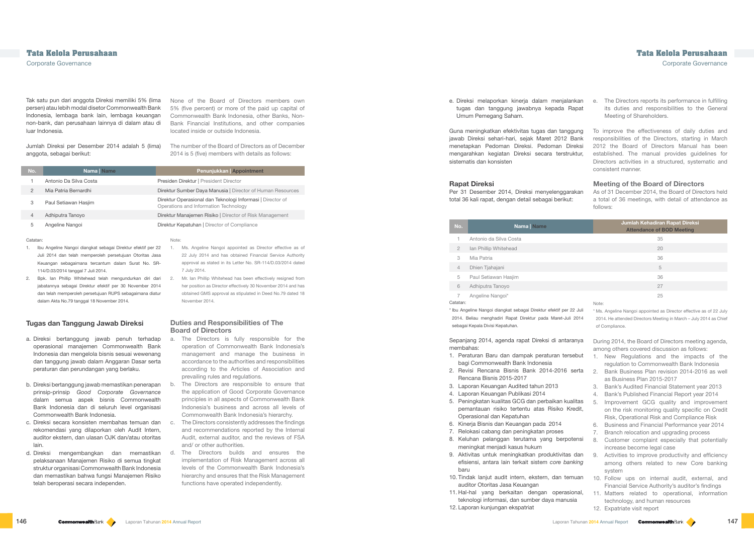None of the Board of Directors members own 5% (five percent) or more of the paid up capital of Commonwealth Bank Indonesia, other Banks, Non-Bank Financial Institutions, and other companies located inside or outside Indonesia.

The number of the Board of Directors as of December 2014 is 5 (five) members with details as follows:

| No. | <b>Nama</b> Name       | Penunjukkan Appointment                                                                             |
|-----|------------------------|-----------------------------------------------------------------------------------------------------|
|     | Antonio Da Silva Costa | Presiden Direktur   President Director                                                              |
| 2   | Mia Patria Bernardhi   | Direktur Sumber Daya Manusia   Director of Human Resources                                          |
| 3   | Paul Setiawan Hasjim   | Direktur Operasional dan Teknologi Informasi   Director of<br>Operations and Information Technology |
| 4   | Adhiputra Tanoyo       | Direktur Manajemen Risiko   Director of Risk Management                                             |
| 5   | Angeline Nangoi        | Direktur Kepatuhan   Director of Compliance                                                         |

#### **Catatan**

#### Note:

- 1. Ms. Angeline Nangoi appointed as Director effective as of 22 July 2014 and has obtained Financial Service Authority approval as stated in its Letter No. SR-114/D.03/2014 dated 7 July 2014.
	- Mr. Ian Phillip Whitehead has been effectively resigned from her position as Director effectively 30 November 2014 and has obtained GMS approval as stipulated in Deed No.79 dated 18 November 2014.

#### **Duties and Responsibilities of The Board of Directors**

- a. The Directors is fully responsible for the operation of Commonwealth Bank Indonesia's management and manage the business in accordance to the authorities and responsibilities according to the Articles of Association and prevailing rules and regulations.
- The Directors are responsible to ensure that the application of Good Corporate Governance principles in all aspects of Commonwealth Bank Indonesia's business and across all levels of Commonwealth Bank Indonesia's hierarchy.
- The Directors consistently addresses the findings and recommendations reported by the Internal Audit, external auditor, and the reviews of FSA and/ or other authorities.
- d. Direksi mengembangkan dan memastikan d. The Directors builds and ensures the implementation of Risk Management across all levels of the Commonwealth Bank Indonesia's hierarchy and ensures that the Risk Management functions have operated independently.

e. The Directors reports its performance in fulfilling its duties and responsibilities to the General Meeting of Shareholders. e. Direksi melaporkan kinerja dalam menjalankan tugas dan tanggung jawabnya kepada Rapat Umum Pemegang Saham.

To improve the effectiveness of daily duties and responsibilities of the Directors, starting in March 2012 the Board of Directors Manual has been established. The manual provides guidelines for Directors activities in a structured, systematic and consistent manner. Guna meningkatkan efektivitas tugas dan tanggung jawab Direksi sehari-hari, sejak Maret 2012 Bank menetapkan Pedoman Direksi. Pedoman Direksi mengarahkan kegiatan Direksi secara terstruktur, sistematis dan konsisten

Tak satu pun dari anggota Direksi memiliki 5% (lima persen) atau lebih modal disetor Commonwealth Bank Indonesia, lembaga bank lain, lembaga keuangan non-bank, dan perusahaan lainnya di dalam atau di luar Indonesia.

> **Meeting of the Board of Directors** As of 31 December 2014, the Board of Directors held a total of 36 meetings, with detail of attendance as follows: Per 31 Desember 2014, Direksi menyelenggarakan total 36 kali rapat, dengan detail sebagai berikut:

Jumlah Direksi per Desember 2014 adalah 5 (lima) anggota, sebagai berikut:

- 1. Ibu Angeline Nangoi diangkat sebagai Direktur efektif per 22 Juli 2014 dan telah memperoleh persetujuan Otoritas Jasa Keuangan sebagaimana tercantum dalam Surat No. SR-114/D.03/2014 tanggal 7 Juli 2014.
- 2. Bpk. Ian Phillip Whitehead telah mengundurkan diri dari jabatannya sebagai Direktur efektif per 30 November 2014 dan telah memperoleh persetujuan RUPS sebagaimana diatur dalam Akta No.79 tanggal 18 November 2014.

### **Tugas dan Tanggung Jawab Direksi**

| No.               | Nama   Name                                                                                                                                                                                                                                                                                                                                                                                                                                                                                                                                                                                                                                                                                                                                                                                                                                                                 | Jumlah Kehadiran Rapat Direksi<br><b>Attendance of BOD Meeting</b>                                                                                                                                                                                                                                                                                                                                                                                                                                                                                                                                                                                                                                                                                                                                                                                                                                                                                                                                                          |
|-------------------|-----------------------------------------------------------------------------------------------------------------------------------------------------------------------------------------------------------------------------------------------------------------------------------------------------------------------------------------------------------------------------------------------------------------------------------------------------------------------------------------------------------------------------------------------------------------------------------------------------------------------------------------------------------------------------------------------------------------------------------------------------------------------------------------------------------------------------------------------------------------------------|-----------------------------------------------------------------------------------------------------------------------------------------------------------------------------------------------------------------------------------------------------------------------------------------------------------------------------------------------------------------------------------------------------------------------------------------------------------------------------------------------------------------------------------------------------------------------------------------------------------------------------------------------------------------------------------------------------------------------------------------------------------------------------------------------------------------------------------------------------------------------------------------------------------------------------------------------------------------------------------------------------------------------------|
| 1                 | Antonio da Silva Costa                                                                                                                                                                                                                                                                                                                                                                                                                                                                                                                                                                                                                                                                                                                                                                                                                                                      | 35                                                                                                                                                                                                                                                                                                                                                                                                                                                                                                                                                                                                                                                                                                                                                                                                                                                                                                                                                                                                                          |
| $\mathbf{2}$      | Ian Phillip Whitehead                                                                                                                                                                                                                                                                                                                                                                                                                                                                                                                                                                                                                                                                                                                                                                                                                                                       | 20                                                                                                                                                                                                                                                                                                                                                                                                                                                                                                                                                                                                                                                                                                                                                                                                                                                                                                                                                                                                                          |
| 3                 | Mia Patria                                                                                                                                                                                                                                                                                                                                                                                                                                                                                                                                                                                                                                                                                                                                                                                                                                                                  | 36                                                                                                                                                                                                                                                                                                                                                                                                                                                                                                                                                                                                                                                                                                                                                                                                                                                                                                                                                                                                                          |
| $\overline{4}$    | Dhien Tjahajani                                                                                                                                                                                                                                                                                                                                                                                                                                                                                                                                                                                                                                                                                                                                                                                                                                                             | 5                                                                                                                                                                                                                                                                                                                                                                                                                                                                                                                                                                                                                                                                                                                                                                                                                                                                                                                                                                                                                           |
| 5                 | Paul Setiawan Hasjim                                                                                                                                                                                                                                                                                                                                                                                                                                                                                                                                                                                                                                                                                                                                                                                                                                                        | 36                                                                                                                                                                                                                                                                                                                                                                                                                                                                                                                                                                                                                                                                                                                                                                                                                                                                                                                                                                                                                          |
| 6                 | Adhiputra Tanoyo                                                                                                                                                                                                                                                                                                                                                                                                                                                                                                                                                                                                                                                                                                                                                                                                                                                            | 27                                                                                                                                                                                                                                                                                                                                                                                                                                                                                                                                                                                                                                                                                                                                                                                                                                                                                                                                                                                                                          |
| 7                 | Angeline Nangoi*                                                                                                                                                                                                                                                                                                                                                                                                                                                                                                                                                                                                                                                                                                                                                                                                                                                            | 25                                                                                                                                                                                                                                                                                                                                                                                                                                                                                                                                                                                                                                                                                                                                                                                                                                                                                                                                                                                                                          |
| Catatan:          |                                                                                                                                                                                                                                                                                                                                                                                                                                                                                                                                                                                                                                                                                                                                                                                                                                                                             | Note:                                                                                                                                                                                                                                                                                                                                                                                                                                                                                                                                                                                                                                                                                                                                                                                                                                                                                                                                                                                                                       |
|                   | Ibu Angeline Nangoi diangkat sebagai Direktur efektif per 22 Juli<br>2014. Beliau menghadiri Rapat Direktur pada Maret-Juli 2014<br>sebagai Kepala Divisi Kepatuhan.                                                                                                                                                                                                                                                                                                                                                                                                                                                                                                                                                                                                                                                                                                        | * Ms. Angeline Nangoi appointed as Director effective as of 22 July<br>2014. He attended Directors Meeting in March - July 2014 as Chief<br>of Compliance.                                                                                                                                                                                                                                                                                                                                                                                                                                                                                                                                                                                                                                                                                                                                                                                                                                                                  |
| membahas:<br>baru | Sepanjang 2014, agenda rapat Direksi di antaranya<br>1. Peraturan Baru dan dampak peraturan tersebut<br>bagi Commonwealth Bank Indonesia<br>2. Revisi Rencana Bisnis Bank 2014-2016 serta<br>Rencana Bisnis 2015-2017<br>3. Laporan Keuangan Audited tahun 2013<br>4. Laporan Keuangan Publikasi 2014<br>5. Peningkatan kualitas GCG dan perbaikan kualitas<br>pemantauan risiko tertentu atas Risiko Kredit,<br>Operasional dan Kepatuhan<br>6. Kinerja Bisnis dan Keuangan pada 2014<br>7. Relokasi cabang dan peningkatan proses<br>8. Keluhan pelanggan terutama yang berpotensi<br>meningkat menjadi kasus hukum<br>9. Aktivitas untuk meningkatkan produktivitas dan<br>efisiensi, antara lain terkait sistem core banking<br>10. Tindak lanjut audit intern, ekstern, dan temuan<br>auditor Otoritas Jasa Keuangan<br>11. Hal-hal yang berkaitan dengan operasional, | During 2014, the Board of Directors meeting agenda,<br>among others covered discussion as follows:<br>New Regulations and the impacts of the<br>1.<br>regulation to Commonwealth Bank Indonesia<br>Bank Business Plan revision 2014-2016 as well<br>2.<br>as Business Plan 2015-2017<br>3.<br>Bank's Audited Financial Statement year 2013<br>Bank's Published Financial Report year 2014<br>4.<br>5.<br>Improvement GCG quality and improvement<br>on the risk monitoring quality specific on Credit<br>Risk, Operational Risk and Compliance Risk<br>Business and Financial Performance year 2014<br>6.<br>7.<br>Branch relocation and upgrading process<br>Customer complaint especially that potentially<br>8.<br>increase become legal case<br>Activities to improve productivity and efficiency<br>9.<br>among others related to new Core banking<br>system<br>10. Follow ups on internal audit, external, and<br>Financial Service Authority's auditor's findings<br>11. Matters related to operational, information |
|                   | teknologi informasi, dan sumber daya manusia<br>12. Laporan kunjungan ekspatriat                                                                                                                                                                                                                                                                                                                                                                                                                                                                                                                                                                                                                                                                                                                                                                                            | technology, and human resources<br>12. Expatriate visit report                                                                                                                                                                                                                                                                                                                                                                                                                                                                                                                                                                                                                                                                                                                                                                                                                                                                                                                                                              |

- a. Direksi bertanggung jawab penuh terhadap operasional manajemen Commonwealth Bank Indonesia dan mengelola bisnis sesuai wewenang dan tanggung jawab dalam Anggaran Dasar serta peraturan dan perundangan yang berlaku.
- b. Direksi bertanggung jawab memastikan penerapan prinsip-prinsip *Good Corporate Governance*  dalam semua aspek bisnis Commonwealth Bank Indonesia dan di seluruh level organisasi Commonwealth Bank Indonesia.
- c. Direksi secara konsisten membahas temuan dan rekomendasi yang dilaporkan oleh Audit Intern, auditor ekstern, dan ulasan OJK dan/atau otoritas lain.
- pelaksanaan Manajemen Risiko di semua tingkat struktur organisasi Commonwealth Bank Indonesia dan memastikan bahwa fungsi Manajemen Risiko telah beroperasi secara independen.

#### **Rapat Direksi**

- 
- 
- 3. Laporan Keuangan Audited tahun 2013
- 
- 
- 
- 
- 
- 
- 
- 
-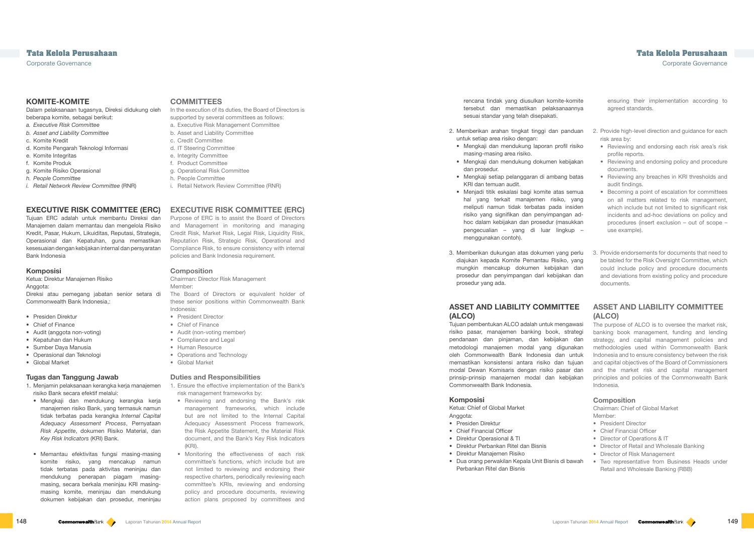## **COMMITTEES**

In the execution of its duties, the Board of Directors is supported by several committees as follows:

- a. Executive Risk Management Committee
- b. Asset and Liability Committee
- c. Credit Committee
- d. IT Steering Committee
- e. Integrity Committee
- f. Product Committee
- g. Operational Risk Committee
- h. People Committee
- i. Retail Network Review Committee (RNR)

## **EXECUTIVE RISK COMMITTEE (ERC)**

Purpose of ERC is to assist the Board of Directors and Management in monitoring and managing Credit Risk, Market Risk, Legal Risk, Liquidity Risk, Reputation Risk, Strategic Risk, Operational and Compliance Risk, to ensure consistency with internal policies and Bank Indonesia requirement.

#### **Composition**

Chairman: Director Risk Management Member:

The Board of Directors or equivalent holder of these senior positions within Commonwealth Bank Indonesia:

- President Director
- Chief of Finance
- Audit (non-voting member)
- Compliance and Legal
- Human Resource
- Operations and Technology
- Global Market

### **Duties and Responsibilities**

- 1. Ensure the effective implementation of the Bank's risk management frameworks by:
- Reviewing and endorsing the Bank's risk management frameworks, which include but are not limited to the Internal Capital Adequacy Assessment Process framework, the Risk Appetite Statement, the Material Risk document, and the Bank's Key Risk Indicators  $(KR)$
- Monitoring the effectiveness of each risk committee's functions, which include but are not limited to reviewing and endorsing their respective charters, periodically reviewing each committee's KRIs, reviewing and endorsing policy and procedure documents, reviewing action plans proposed by committees and

Chairman: Chief of Global Market Memher:

| omite<br>annya                                | ensuring their implementation according to<br>agreed standards.                                                                                                                                                                                                                  |
|-----------------------------------------------|----------------------------------------------------------------------------------------------------------------------------------------------------------------------------------------------------------------------------------------------------------------------------------|
| ıduan                                         | 2. Provide high-level direction and guidance for each<br>risk area by:                                                                                                                                                                                                           |
| risiko                                        | Reviewing and endorsing each risk area's risk<br>profile reports.                                                                                                                                                                                                                |
| jakan                                         | Reviewing and endorsing policy and procedure<br>$\bullet$<br>documents.                                                                                                                                                                                                          |
| batas                                         | Reviewing any breaches in KRI thresholds and<br>audit findings.                                                                                                                                                                                                                  |
| emua<br>yang<br>siden<br>n ad-<br>ıkkan<br>up | Becoming a point of escalation for committees<br>$\bullet$<br>on all matters related to risk management,<br>which include but not limited to significant risk<br>incidents and ad-hoc deviations on policy and<br>procedures (insert exclusion – out of scope –<br>use example). |

rencana tindak yang diusulkan komite-ko tersebut dan memastikan pelaksanaan sesuai standar yang telah disepakati.

> The purpose of ALCO is to oversee the market risk, banking book management, funding and lending strategy, and capital management policies and methodologies used within Commonwealth Bank Indonesia and to ensure consistency between the risk and capital objectives of the Board of Commissioners and the market risk and capital management principles and policies of the Commonwealth Bank Indonesia.

- 2. Memberikan arahan tingkat tinggi dan pan untuk setiap area risiko dengan:
	- Mengkaji dan mendukung laporan profil masing-masing area risiko.
	- Mengkaji dan mendukung dokumen kebi dan prosedur.
	- Mengkaji setiap pelanggaran di ambang KRI dan temuan audit.
- Menjadi titik eskalasi bagi komite atas se hal yang terkait manajemen risiko, meliputi namun tidak terbatas pada in risiko yang signifikan dan penyimpangar hoc dalam kebijakan dan prosedur (masuk pengecualian – yang di luar lingku menggunakan contoh).
- 3. Provide endorsements for documents that need to be tabled for the Risk Oversight Committee, which could include policy and procedure documents and deviations from existing policy and procedure documents. 3. Memberikan dukungan atas dokumen yang perlu diajukan kepada Komite Pemantau Risiko, yang mungkin mencakup dokumen kebijakan dan prosedur dan penyimpangan dari kebijakan dan prosedur yang ada.

### **Composition**

- President Director
- Chief Financial Officer
- Director of Operations & IT
- Director of Retail and Wholesale Banking
- Director of Risk Management
- Two representative from Business Heads under Retail and Wholesale Banking (RBB)

Corporate Governance Corporate Governance

## **KOMITE-KOMITE**

Dalam pelaksanaan tugasnya, Direksi didukung oleh beberapa komite, sebagai berikut:

- *a. Executive Risk Committee*
- *b. Asset and Liability Committee*
- c. Komite Kredit
- d. Komite Pengarah Teknologi Informasi
- e. Komite Integritas
- f. Komite Produk
- g. Komite Risiko Operasional
- *h. People Committee*
- *i. Retail Network Review Committee* (RNR)

## **EXECUTIVE RISK COMMITTEE (ERC)**

Tujuan ERC adalah untuk membantu Direksi dan Manajemen dalam memantau dan mengelola Risiko Kredit, Pasar, Hukum, Likuiditas, Reputasi, Strategis, Operasional dan Kepatuhan, guna memastikan kesesuaian dengan kebijakan internal dan persyaratan Bank Indonesia

#### **Komposisi**

Ketua: Direktur Manajemen Risiko Anggota:

Direksi atau pemegang jabatan senior setara di Commonwealth Bank Indonesia,:

#### **ASSET AND LIABILITY COMMITTEE (ALCO) ASSET AND LIABILITY COMMITTEE (ALCO)**

- Presiden Direktur
- Chief of Finance
- Audit (anggota non-voting)
- Kepatuhan dan Hukum
- Sumber Daya Manusia
- Operasional dan Teknologi
- Global Market

## **Tugas dan Tanggung Jawab**

- 1. Menjamin pelaksanaan kerangka kerja manajemen risiko Bank secara efektif melalui:
	- Mengkaji dan mendukung kerangka kerja manajemen risiko Bank, yang termasuk namun tidak terbatas pada kerangka *Internal Capital Adequacy Assessment Process*, Pernyataan *Risk Appetite*, dokumen Risiko Material, dan *Key Risk Indicators* (KRI) Bank.
	- Memantau efektivitas fungsi masing-masing komite risiko, yang mencakup namun tidak terbatas pada aktivitas meninjau dan mendukung penerapan piagam masingmasing, secara berkala meninjau KRI masingmasing komite, meninjau dan mendukung dokumen kebijakan dan prosedur, meninjau

Tujuan pembentukan ALCO adalah untuk mengawasi risiko pasar, manajemen banking book, strategi pendanaan dan pinjaman, dan kebijakan dan metodologi manajemen modal yang digunakan oleh Commonwealth Bank Indonesia dan untuk memastikan konsistensi antara risiko dan tujuan modal Dewan Komisaris dengan risiko pasar dan prinsip-prinsip manajemen modal dan kebijakan Commonwealth Bank Indonesia.

### **Komposisi**

Ketua: Chief of Global Market Anggota:

- Presiden Direktur
- Chief Financial Officer
- Direktur Operasional & TI
- Direktur Perbankan Ritel dan Bisnis
- Direktur Manajemen Risiko
- Dua orang perwakilan Kepala Unit Bisnis di bawah Perbankan Ritel dan Bisnis

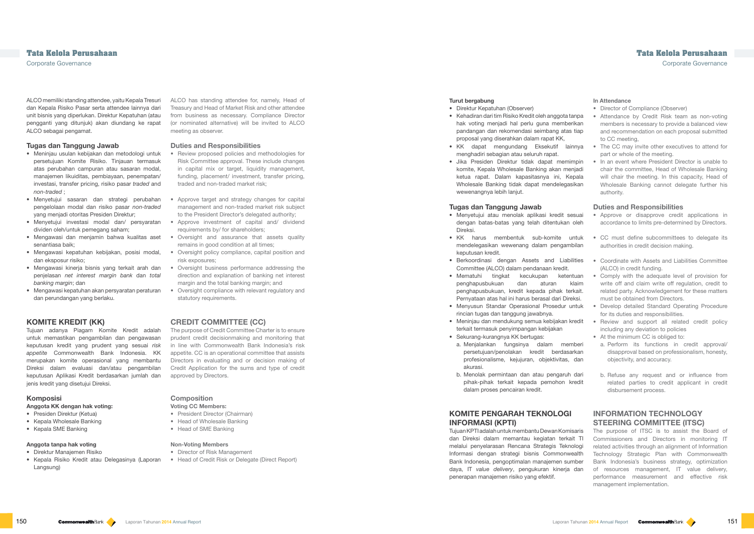ALCO has standing attendee for, namely, Head of Treasury and Head of Market Risk and other attendee from business as necessary. Compliance Director (or nominated alternative) will be invited to ALCO meeting as observer.

#### **Duties and Responsibilities**

- Review proposed policies and methodologies for Risk Committee approval. These include changes in capital mix or target, liquidity management, funding, placement/ investment, transfer pricing, traded and non-traded market risk;
- Approve target and strategy changes for capital management and non-traded market risk subject to the President Director's delegated authority;
- Approve investment of capital and/ dividend requirements by/ for shareholders;
- Oversight and assurance that assets quality remains in good condition at all times;
- Oversight policy compliance, capital position and risk exposures;
- Oversight business performance addressing the direction and explanation of banking net interest margin and the total banking margin; and
- Oversight compliance with relevant regulatory and statutory requirements.

## **CREDIT COMMITTEE (CC)**

The purpose of Credit Committee Charter is to ensure prudent credit decisionmaking and monitoring that in line with Commonwealth Bank Indonesia's risk appetite. CC is an operational committee that assists Directors in evaluating and or decision making of Credit Application for the sums and type of credit approved by Directors.

## **Composition**

## **Voting CC Members:**

- President Director (Chairman)
- Head of Wholesale Banking
- Head of SME Banking

#### **Non-Voting Members**

- Director of Risk Management
- Head of Credit Risk or Delegate (Direct Report)

## **In Attendance**

- Director of Compliance (Observer)
- Attendance by Credit Risk team as non-voting members is necessary to provide a balanced view and recommendation on each proposal submitted to CC meeting,
- The CC may invite other executives to attend for part or whole of the meeting.

## **Duties and Responsibilities**

- Approve or disapprove credit applications in accordance to limits pre-determined by Directors.
- Comply with the adequate level of provision for write off and claim write off regulation, credit to related party. Acknowledgement for these matters must be obtained from Directors.
	- Develop detailed Standard Operating Procedure for its duties and responsibilities.
- Review and support all related credit policy including any deviation to policies
	- At the minimum CC is obliged to:
	- a. Perform its functions in credit approval/ disapproval based on professionalism, honesty, objectivity, and accuracy.
	- b. Refuse any request and or influence from related parties to credit applicant in credit disbursement process.

## **INFORMATION TECHNOLOGY STEERING COMMITTEE (ITSC)**

## **Tata Kelola Perusahaan Tata Kelola Perusahaan**

Corporate Governance Corporate Governance

ALCO memiliki standing attendee, yaitu Kepala Tresuri dan Kepala Risiko Pasar serta attendee lainnya dari unit bisnis yang diperlukan. Direktur Kepatuhan (atau pengganti yang ditunjuk) akan diundang ke rapat ALCO sebagai pengamat.

#### **Tugas dan Tanggung Jawab**

- Meninjau usulan kebijakan dan metodologi untuk persetujuan Komite Risiko. Tinjauan termasuk atas perubahan campuran atau sasaran modal, manajemen likuiditas, pembiayaan, penempatan/ investasi, transfer pricing, risiko pasar *traded* and *non-traded* ;
- Menyetujui sasaran dan strategi perubahan pengelolaan modal dan risiko pasar *non-traded*  yang menjadi otoritas Presiden Direktur;
- Menyetujui investasi modal dan/ persyaratan dividen oleh/untuk pemegang saham;
- Mengawasi dan menjamin bahwa kualitas aset senantiasa baik;
- Mengawasi kepatuhan kebijakan, posisi modal, dan eksposur risiko;
- Mengawasi kinerja bisnis yang terkait arah dan penjelasan *net interest margin bank* dan *total banking margin*; dan
- Mengawasi kepatuhan akan persyaratan peraturan dan perundangan yang berlaku.

## **KOMITE KREDIT (KK)**

Tujuan adanya Piagam Komite Kredit adalah untuk memastikan pengambilan dan pengawasan keputusan kredit yang prudent yang sesuai *risk appetite* Commonwealth Bank Indonesia. KK merupakan komite operasional yang membantu Direksi dalam evaluasi dan/atau pengambilan keputusan Aplikasi Kredit berdasarkan jumlah dan jenis kredit yang disetujui Direksi.

#### **Komposisi**

#### **Anggota KK dengan hak voting:**

- Presiden Direktur (Ketua)
- Kepala Wholesale Banking
- Kepala SME Banking

The purpose of ITSC is to assist the Board of Commissioners and Directors in monitoring IT related activities through an alignment of Information Technology Strategic Plan with Commonwealth Bank Indonesia's business strategy, optimization of resources management, IT value delivery, performance measurement and effective risk management implementation. Tujuan KPTI adalah untuk membantu Dewan Komisaris dan Direksi dalam memantau kegiatan terkait TI melalui penyelarasan Rencana Strategis Teknologi Informasi dengan strategi bisnis Commonwealth Bank Indonesia, pengoptimalan manajemen sumber daya, IT *value delivery*, pengukuran kinerja dan penerapan manajemen risiko yang efektif.

## **Anggota tanpa hak voting**

- Direktur Manajemen Risiko
- Kepala Risiko Kredit atau Delegasinya (Laporan Langsung)

#### **Turut bergabung**

- Direktur Kepatuhan (Observer)
- Kehadiran dari tim Risiko Kredit oleh anggota tanpa hak voting menjadi hal perlu guna memberikan pandangan dan rekomendasi seimbang atas tiap proposal yang diserahkan dalam rapat KK,
- KK dapat mengundang Eksekutif lainnya menghadiri sebagian atau seluruh rapat.
- In an event where President Director is unable to chair the committee, Head of Wholesale Banking will chair the meeting. In this capacity, Head of Wholesale Banking cannot delegate further his authority. • Jika Presiden Direktur tidak dapat memimpin komite, Kepala Wholesale Banking akan menjadi ketua rapat. Dalam kapasitasnya ini, Kepala Wholesale Banking tidak dapat mendelegasikan wewenangnya lebih lanjut.

### **Tugas dan Tanggung Jawab**

- Menyetujui atau menolak aplikasi kredit sesuai dengan batas-batas yang telah ditentukan oleh Direksi.
- CC must define subcommittees to delegate its authorities in credit decision making. • KK harus membentuk sub-komite untuk mendelegasikan wewenang dalam pengambilan keputusan kredit.
- Coordinate with Assets and Liabilities Committee (ALCO) in credit funding. • Berkoordinasi dengan Assets and Liabilities Committee (ALCO) dalam pendanaan kredit.
- Mematuhi tingkat kecukupan ketentuan penghapusbukuan dan aturan klaim penghapusbukuan, kredit kepada pihak terkait. Pernyataan atas hal ini harus berasal dari Direksi.
- Menyusun Standar Operasional Prosedur untuk rincian tugas dan tanggung jawabnya.
- Meninjau dan mendukung semua kebijakan kredit terkait termasuk penyimpangan kebijakan
- Sekurang-kurangnya KK bertugas:
- a. Menjalankan fungsinya dalam memberi persetujuan/penolakan kredit berdasarkan profesionalisme, kejujuran, objektivitas, dan akurasi.
- b. Menolak permintaan dan atau pengaruh dari pihak-pihak terkait kepada pemohon kredit dalam proses pencairan kredit.

## **KOMITE PENGARAH TEKNOLOGI INFORMASI (KPTI)**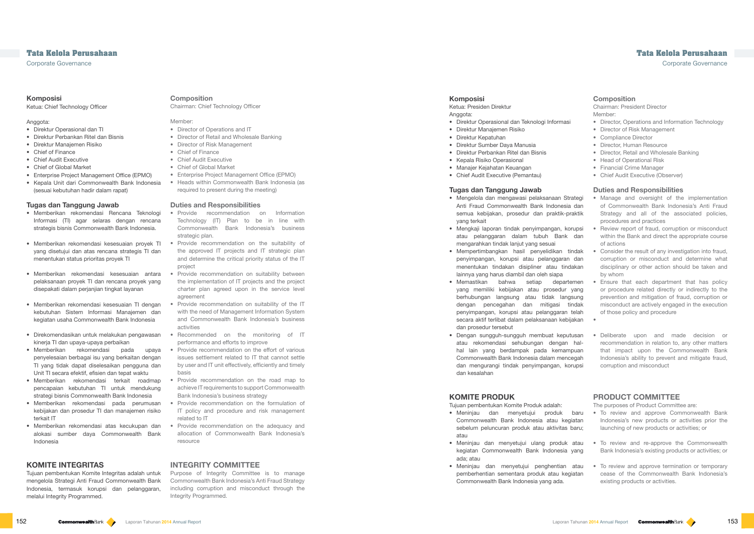## **Composition**

Chairman: Chief Technology Officer

#### Member:

- Director of Operations and IT
- Director of Retail and Wholesale Banking
- Director of Risk Management
- Chief of Finance
- Chief Audit Executive
- Chief of Global Market
- Enterprise Project Management Office (EPMO)
- Heads within Commonwealth Bank Indonesia (as required to present during the meeting)

#### **Duties and Responsibilities**

- Provide recommendation on Information Technology (IT) Plan to be in line with Commonwealth Bank Indonesia's business strategic plan.
- Provide recommendation on the suitability of the approved IT projects and IT strategic plan and determine the critical priority status of the IT project
- Provide recommendation on suitability between the implementation of IT projects and the project charter plan agreed upon in the service level agreement
- Provide recommendation on suitability of the IT with the need of Management Information System and Commonwealth Bank Indonesia's business activities
- Recommended on the monitoring of IT performance and efforts to improve
- Provide recommendation on the effort of various issues settlement related to IT that cannot settle by user and IT unit effectively, efficiently and timely basis
- Provide recommendation on the road map to achieve IT requirements to support Commonwealth Bank Indonesia's business strategy
- Provide recommendation on the formulation of IT policy and procedure and risk management related to IT
- Provide recommendation on the adequacy and allocation of Commonwealth Bank Indonesia's resource

## **INTEGRITY COMMITTEE**

Purpose of Integrity Committee is to manage Commonwealth Bank Indonesia's Anti Fraud Strategy including corruption and misconduct through the Integrity Programmed.

### **Composition**

Chairman: President Director Member:

- Director, Operations and Information Technology
- Director of Risk Management
- Compliance Director
- Director, Human Resource
- Director, Retail and Wholesale Banking
- Head of Operational Risk
- Financial Crime Manager
- Chief Audit Executive (Observer)

#### **Duties and Responsibilities**

- Review report of fraud, corruption or misconduct within the Bank and direct the appropriate course of actions
- Consider the result of any investigation into fraud, corruption or misconduct and determine what disciplinary or other action should be taken and by whom
- Ensure that each department that has policy or procedure related directly or indirectly to the prevention and mitigation of fraud, corruption or misconduct are actively engaged in the execution of those policy and procedure
- 

Ketua: Presiden Direktur Anggota:

•

• Deliberate upon and made decision or recommendation in relation to, any other matters that impact upon the Commonwealth Bank Indonesia's ability to prevent and mitigate fraud, corruption and misconduct

## **PRODUCT COMMITTEE**

The purposes of Product Committee are:

• To review and approve Commonwealth Bank Indonesia's new products or activities prior the launching of new products or activities; or

## **Tata Kelola Perusahaan Tata Kelola Perusahaan**

Corporate Governance Corporate Governance

### **Komposisi**

Ketua: Chief Technology Officer

### Anggota:

- Direktur Operasional dan TI
- Direktur Perbankan Ritel dan Bisnis
- Direktur Manajemen Risiko
- Chief of Finance
- Chief Audit Executive
- Chief of Global Market
- Enterprise Project Management Office (EPMO)
- Kepala Unit dari Commonwealth Bank Indonesia (sesuai kebutuhan hadir dalam rapat)

#### **Tugas dan Tanggung Jawab**

- Manage and oversight of the implementation of Commonwealth Bank Indonesia's Anti Fraud Strategy and all of the associated policies, procedures and practices • Mengelola dan mengawasi pelaksanaan Strategi Anti Fraud Commonwealth Bank Indonesia dan semua kebijakan, prosedur dan praktik-praktik yang terkait
- Mengkaji laporan tindak penyimpangan, korupsi atau pelanggaran dalam tubuh Bank dan mengarahkan tindak lanjut yang sesuai
- Mempertimbangkan hasil penyelidikan tindak penyimpangan, korupsi atau pelanggaran dan menentukan tindakan disipliner atau tindakan lainnya yang harus diambil dan oleh siapa
- Memastikan bahwa setiap departemen yang memiliki kebijakan atau prosedur yang berhubungan langsung atau tidak langsung dengan pencegahan dan mitigasi tindak penyimpangan, korupsi atau pelanggaran telah secara aktif terlibat dalam pelaksanaan kebijakan dan prosedur tersebut
- Dengan sungguh-sungguh membuat keputusan atau rekomendasi sehubungan dengan halhal lain yang berdampak pada kemampuan Commonwealth Bank Indonesia dalam mencegah dan mengurangi tindak penyimpangan, korupsi dan kesalahan
- Memberikan rekomendasi Rencana Teknologi Informasi (TI) agar selaras dengan rencana strategis bisnis Commonwealth Bank Indonesia.
- Memberikan rekomendasi kesesuaian proyek TI yang disetujui dan atas rencana strategis TI dan menentukan status prioritas proyek TI
- Memberikan rekomendasi kesesuaian antara pelaksanaan proyek TI dan rencana proyek yang disepakati dalam perjanjian tingkat layanan
- Memberikan rekomendasi kesesuaian TI dengan kebutuhan Sistem Informasi Manajemen dan kegiatan usaha Commonwealth Bank Indonesia
- Direkomendasikan untuk melakukan pengawasan kinerja TI dan upaya-upaya perbaikan
- Memberikan rekomendasi pada upaya penyelesaian berbagai isu yang berkaitan dengan TI yang tidak dapat diselesaikan pengguna dan Unit TI secara efektif, efisien dan tepat waktu
- Memberikan rekomendasi terkait roadmap pencapaian kebutuhan TI untuk mendukung strategi bisnis Commonwealth Bank Indonesia
- Memberikan rekomendasi pada perumusan kebijakan dan prosedur TI dan manajemen risiko terkait IT
- Memberikan rekomendasi atas kecukupan dan alokasi sumber daya Commonwealth Bank Indonesia

## **KOMITE INTEGRITAS**

Tujuan pembentukan Komite Integritas adalah untuk mengelola Strategi Anti Fraud Commonwealth Bank Indonesia, termasuk korupsi dan pelanggaran, melalui Integrity Programmed.

#### **Komposisi**

- Direktur Operasional dan Teknologi Informasi
- Direktur Manajemen Risiko
- Direktur Kepatuhan
- Direktur Sumber Daya Manusia
- Direktur Perbankan Ritel dan Bisnis
- Kepala Risiko Operasional
- Manajer Kejahatan Keuangan
- Chief Audit Executive (Pemantau)

#### **Tugas dan Tanggung Jawab**

## **KOMITE PRODUK**

Tujuan pembentukan Komite Produk adalah:

- Meninjau dan menyetujui produk baru Commonwealth Bank Indonesia atau kegiatan sebelum peluncuran produk atau aktivitas baru; atau
- To review and re-approve the Commonwealth Bank Indonesia's existing products or activities; or • Meninjau dan menyetujui ulang produk atau kegiatan Commonwealth Bank Indonesia yang ada; atau
- To review and approve termination or temporary cease of the Commonwealth Bank Indonesia's existing products or activities. • Meninjau dan menyetujui penghentian atau pemberhentian sementara produk atau kegiatan Commonwealth Bank Indonesia yang ada.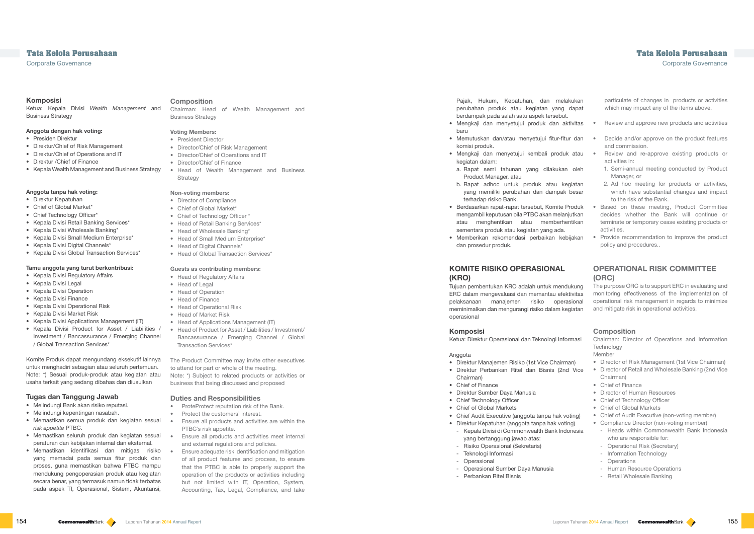#### **Composition**

- President Director
- Director/Chief of Risk Management
- Director/Chief of Operations and IT
- Director/Chief of Finance
- Head of Wealth Management and Business **Strategy**

Chairman: Head of Wealth Management and Business Strategy

## **Voting Members:**

- Director of Compliance
- Chief of Global Market\*
- Chief of Technology Officer \*
- Head of Retail Banking Services\*
- Head of Wholesale Banking\*
- Head of Small Medium Enterprise\*
- Head of Digital Channels\*
- Head of Global Transaction Services\*

### **Non-voting members:**

#### **Guests as contributing members:**

- Head of Regulatory Affairs
- Head of Legal
- Head of Operation
- Head of Finance
- Head of Operational Risk
- Head of Market Risk
- Head of Applications Management (IT)
- Head of Product for Asset / Liabilities / Investment/ Bancassurance / Emerging Channel / Global Transaction Services\*

The Product Committee may invite other executives to attend for part or whole of the meeting. Note: \*) Subject to related products or activities or business that being discussed and proposed

#### **Duties and Responsibilities**

- ProteProtect reputation risk of the Bank.
- Protect the customers' interest.
- Ensure all products and activities are within the PTBC's risk appetite.
- and external regulations and policies.
- Ensure adequate risk identification and mitigation of all product features and process, to ensure that the PTBC is able to properly support the operation of the products or activities including but not limited with IT, Operation, System, Accounting, Tax, Legal, Compliance, and take

particulate of changes in products or activities which may impact any of the items above.

| tivitas                              | Review and approve new products and activities                                                                                                                                                                                                                                                                                                                   |
|--------------------------------------|------------------------------------------------------------------------------------------------------------------------------------------------------------------------------------------------------------------------------------------------------------------------------------------------------------------------------------------------------------------|
| r dan                                | Decide and/or approve on the product features<br>۰<br>and commission.                                                                                                                                                                                                                                                                                            |
| atau:                                | Review and re-approve existing products or<br>activities in:                                                                                                                                                                                                                                                                                                     |
| oleh                                 | 1. Semi-annual meeting conducted by Product<br>Manager, or                                                                                                                                                                                                                                                                                                       |
| giatan<br>besar                      | 2. Ad hoc meeting for products or activities,<br>which have substantial changes and impact<br>to the risk of the Bank.                                                                                                                                                                                                                                           |
| 'roduk<br>jutkan<br>ntikan           | Based on these meeting, Product Committee<br>decides whether the Bank will continue or<br>terminate or temporary cease existing products or<br>activities.                                                                                                                                                                                                       |
| ijakan                               | Provide recommendation to improve the product<br>policy and procedures                                                                                                                                                                                                                                                                                           |
| ukung<br>tivitas<br>sional<br>giatan | <b>OPERATIONAL RISK COMMITTEE</b><br>(ORC)<br>The purpose ORC is to support ERC in evaluating and<br>monitoring effectiveness of the implementation of<br>operational risk management in regards to minimize<br>and mitigate risk in operational activities.                                                                                                     |
| rmasi                                | <b>Composition</b><br>Chairman: Director of Operations and Information<br>Technology<br>Member<br>• Director of Risk Management (1st Vice Chairman)                                                                                                                                                                                                              |
| an)<br>Vice                          | • Director of Retail and Wholesale Banking (2nd Vice<br>Chairman)<br>Chief of Finance<br>۰<br>• Director of Human Resources<br>• Chief of Technology Officer<br><b>Chief of Global Markets</b><br>۰                                                                                                                                                              |
| ting)<br>าg)<br>pnesia               | Chief of Audit Executive (non-voting member)<br>۰<br>Compliance Director (non-voting member)<br>۰<br>Heads within Commonwealth Bank Indonesia<br>who are responsible for:<br><b>Operational Risk (Secretary)</b><br>Information Technology<br>$\overline{\phantom{0}}$<br>Operations<br>-<br><b>Human Resource Operations</b><br><b>Retail Wholesale Banking</b> |

- Mengkaji dan menyetujui produk dan ak baru
- Memutuskan dan/atau menyetujui fitur-fitur komisi produk.
- Mengkaji dan menyetujui kembali produk kegiatan dalam:
- a. Rapat semi tahunan yang dilakukan Product Manager, atau
- b. Rapat adhoc untuk produk atau keg yang memiliki perubahan dan dampak terhadap risiko Bank.
- Berdasarkan rapat-rapat tersebut, Komite Pr mengambil keputusan bila PTBC akan melanj atau menghentikan atau memberhentikan sementara produk atau kegiatan yang ada.
- Memberikan rekomendasi perbaikan kebi dan prosedur produk.

Tujuan pembentukan KRO adalah untuk mendu ERC dalam mengevaluasi dan memantau efek pelaksanaan manajemen risiko operas meminimalkan dan mengurangi risiko dalam keg operasional

# **Tata Kelola Perusahaan Tata Kelola Perusahaan**

Corporate Governance Corporate Governance

- Direktur Manajemen Risiko (1st Vice Chairma • Direktur Perbankan Ritel dan Bisnis (2nd
- Chairman)
- Chief of Finance
- Direktur Sumber Daya Manusia
- Chief Technology Officer
- Chief of Global Markets
- Chief Audit Executive (anggota tanpa hak vot
- Direktur Kepatuhan (anggota tanpa hak votir - Kepala Divisi di Commonwealth Bank Indonesia
- yang bertanggung jawab atas: - Risiko Operasional (Sekretaris)
- Teknologi Informasi
- Operasional
- Operasional Sumber Daya Manusia
- Perbankan Ritel Bisnis

#### **Komposisi**

Ketua: Kepala Divisi *Wealth Management* and Business Strategy

#### **Anggota dengan hak voting:**

- Presiden Direktur
- Direktur/Chief of Risk Management
- Direktur/Chief of Operations and IT
- Direktur /Chief of Finance
- Kepala Wealth Management and Business Strategy

#### **Anggota tanpa hak voting:**

- Direktur Kepatuhan
- Chief of Global Market\*
- Chief Technology Officer\*
- Kepala Divisi Retail Banking Services\*
- Kepala Divisi Wholesale Banking\*
- Kepala Divisi Small Medium Enterprise\*
- Kepala Divisi Digital Channels\*
- Kepala Divisi Global Transaction Services\*

#### **Tamu anggota yang turut berkontribusi:**

## • Kepala Divisi Regulatory Affairs

- Kepala Divisi Legal
- Kepala Divisi Operation
- Kepala Divisi Finance
- Kepala Divisi Operational Risk
- Kepala Divisi Market Risk
- Kepala Divisi Applications Management (IT)
- Kepala Divisi Product for Asset / Liabilities / Investment / Bancassurance / Emerging Channel / Global Transaction Services\*

Komite Produk dapat mengundang eksekutif lainnya untuk menghadiri sebagian atau seluruh pertemuan. Note: \*) Sesuai produk-produk atau kegiatan atau usaha terkait yang sedang dibahas dan diusulkan

### **Tugas dan Tanggung Jawab**

- Melindungi Bank akan risiko reputasi.
- Melindungi kepentingan nasabah.
- Memastikan semua produk dan kegiatan sesuai *risk appetite* PTBC.
- Memastikan seluruh produk dan kegiatan sesuai Ensure all products and activities meet internal peraturan dan kebijakan internal dan eksternal.
- Memastikan identifikasi dan mitigasi risiko yang memadai pada semua fitur produk dan proses, guna memastikan bahwa PTBC mampu mendukung pengoperasian produk atau kegiatan secara benar, yang termasuk namun tidak terbatas pada aspek TI, Operasional, Sistem, Akuntansi,

Pajak, Hukum, Kepatuhan, dan melakukan perubahan produk atau kegiatan yang dapat berdampak pada salah satu aspek tersebut.

## **KOMITE RISIKO OPERASIONAL (KRO)**

#### **Komposisi**

Ketua: Direktur Operasional dan Teknologi Infor

#### Anggota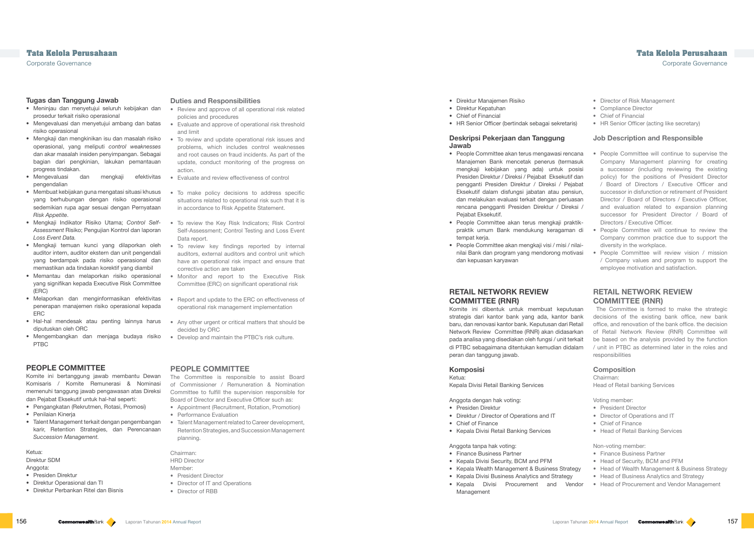#### **Duties and Responsibilities**

- Review and approve of all operational risk related policies and procedures
- Evaluate and approve of operational risk threshold and limit
- To review and update operational risk issues and problems, which includes control weaknesses and root causes on fraud incidents. As part of the update, conduct monitoring of the progress on action.
- Evaluate and review effectiveness of control
- To make policy decisions to address specific situations related to operational risk such that it is in accordance to Risk Appetite Statement.
- To review the Key Risk Indicators; Risk Control Self-Assessment; Control Testing and Loss Event Data report.
- To review key findings reported by internal auditors, external auditors and control unit which have an operational risk impact and ensure that corrective action are taken
- Monitor and report to the Executive Risk Committee (ERC) on significant operational risk
- Report and update to the ERC on effectiveness of operational risk management implementation
- Any other urgent or critical matters that should be decided by ORC
- Develop and maintain the PTBC's risk culture.

## **PEOPLE COMMITTEE**

The Committee is responsible to assist Board of Commissioner / Remuneration & Nomination Committee to fulfill the supervision responsible for Board of Director and Executive Officer such as:

- Appointment (Recruitment, Rotation, Promotion)
- Performance Evaluation
- Talent Management related to Career development, Retention Strategies, and Succession Management planning.

Chairman: HRD Director Member: • President Director

- Director of IT and Operations
- Director of RBB
- Director of Risk Management
- Compliance Director
- Chief of Financial
- HR Senior Officer (acting like secretary)

## **Job Description and Responsible**

- People Committee will continue to supervise the Company Management planning for creating a successor (including reviewing the existing policy) for the positions of President Director / Board of Directors / Executive Officer and successor in disfunction or retirement of President Director / Board of Directors / Executive Officer, and evaluation related to expansion planning successor for President Director / Board of Directors / Executive Officer.
	- People Committee will continue to review the Company common practice due to support the diversity in the workplace.
	- People Committee will review vision / mission / Company values and program to support the employee motivation and satisfaction.

## **RETAIL NETWORK REVIEW COMMITTEE (RNR)**

The Committee is formed to make the strategic decisions of the existing bank office, new bank office, and renovation of the bank office. the decision of Retail Network Review (RNR) Committee will be based on the analysis provided by the function / unit in PTBC as determined later in the roles and responsibilities

### **Composition**

Chairman: Head of Retail banking Services

Voting member:

- President Director
- Director of Operations and IT
- Chief of Finance
- Head of Retail Banking Services

Non-voting member:

- Finance Business Partner
- Head of Security, BCM and PFM
- Head of Wealth Management & Business Strategy
- Head of Business Analytics and Strategy
- Head of Procurement and Vendor Management

Corporate Governance Corporate Governance

### **Tugas dan Tanggung Jawab**

- Meninjau dan menyetujui seluruh kebijakan dan prosedur terkait risiko operasional
- Mengevaluasi dan menyetujui ambang dan batas risiko operasional
- Mengkaji dan mengkinikan isu dan masalah risiko operasional, yang meliputi *control weaknesses*  dan akar masalah insiden penyimpangan. Sebagai bagian dari pengkinian, lakukan pemantauan progress tindakan.
- Mengevaluasi dan mengkaji efektivitas pengendalian
- Membuat kebijakan guna mengatasi situasi khusus yang berhubungan dengan risiko operasional sedemikian rupa agar sesuai dengan Pernyataan *Risk Appetite*.
- Mengkaji Indikator Risiko Utama; *Control Self-Assessment* Risiko; Pengujian Kontrol dan laporan *Loss Event Data.*
- Mengkaji temuan kunci yang dilaporkan oleh auditor intern, auditor ekstern dan unit pengendali yang berdampak pada risiko operasional dan memastikan ada tindakan korektif yang diambil
- Memantau dan melaporkan risiko operasional yang signifikan kepada Executive Risk Committee (ERC)
- Melaporkan dan menginformasikan efektivitas penerapan manajemen risiko operasional kepada **FRC**
- Hal-hal mendesak atau penting lainnya harus diputuskan oleh ORC
- Mengembangkan dan menjaga budaya risiko PTBC

## **PEOPLE COMMITTEE**

Komite ini bertanggung jawab membantu Dewan Komisaris / Komite Remunerasi & Nominasi memenuhi tanggung jawab pengawasan atas Direksi dan Pejabat Eksekutif untuk hal-hal seperti:

- Pengangkatan (Rekrutmen, Rotasi, Promosi)
- Penilaian Kineria
- Talent Management terkait dengan pengembangan karir, Retention Strategies, dan Perencanaan *Succession Management.*

#### Ketua:

Direktur SDM

- Anggota: • Presiden Direktur
- Direktur Operasional dan TI
- Direktur Perbankan Ritel dan Bisnis
- Direktur Manajemen Risiko
- Direktur Kepatuhan
- Chief of Financial
- HR Senior Officer (bertindak sebagai sekretaris)

### **Deskripsi Pekerjaan dan Tanggung Jawab**

- People Committee akan terus mengawasi rencana Manajemen Bank mencetak penerus (termasuk mengkaji kebijakan yang ada) untuk posisi Presiden Direktur / Direksi / Pejabat Eksekutif dan pengganti Presiden Direktur / Direksi / Pejabat Eksekutif dalam disfungsi jabatan atau pensiun, dan melakukan evaluasi terkait dengan perluasan rencana pengganti Presiden Direktur / Direksi / Pejabat Eksekutif.
- People Committee akan terus mengkaji praktikpraktik umum Bank mendukung keragaman di tempat keria.
- People Committee akan mengkaji visi / misi / nilainilai Bank dan program yang mendorong motivasi dan kepuasan karyawan

## **RETAIL NETWORK REVIEW COMMITTEE (RNR)**

Komite ini dibentuk untuk membuat keputusan strategis dari kantor bank yang ada, kantor bank baru, dan renovasi kantor bank. Keputusan dari Retail Network Review Committee (RNR) akan didasarkan pada analisa yang disediakan oleh fungsi / unit terkait di PTBC sebagaimana ditentukan kemudian didalam peran dan tanggung jawab.

### **Komposisi**

Ketua: Kepala Divisi Retail Banking Services

## Anggota dengan hak voting:

- Presiden Direktur
- Direktur / Director of Operations and IT
- Chief of Finance
- Kepala Divisi Retail Banking Services

#### Anggota tanpa hak voting:

- Finance Business Partner
- Kepala Divisi Security, BCM and PFM
- Kepala Wealth Management & Business Strategy
- Kepala Divisi Business Analytics and Strategy
- Kepala Divisi Procurement and Vendor Management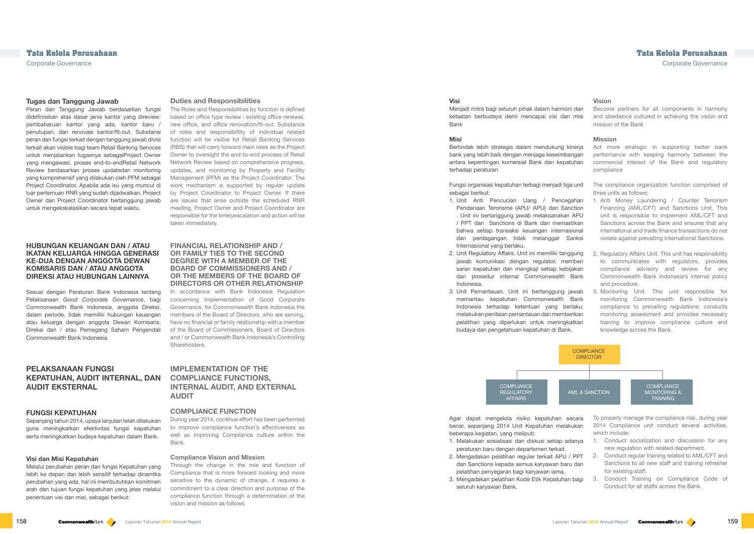### **Visi**

Menjadi mitra bagi seluruh pihak dalam harmoni dan ketaatan berbudaya demi mencapai visi dan misi Bank

#### **Misi**

Bertindak lebih strategis dalam mendukung kinerja bank yang lebih baik dengan menjaga keseimbangan antara kepentingan komersial Bank dan kepatuhan terhadap peraturan

Fungsi organisasi kepatuhan terbagi menjadi tiga unit sebagai berikut:

During year 2014, continue effort has been performed to improve compliance function's effectiveness as well as improving Compliance culture within the **Bank** 

#### **Duties and Responsibilities**

- Act more strategic in supporting better bank performance with keeping harmony between the commercial interest of the Bank and regulatory compliance
- The compliance organization function comprised of three units as follows:

The Roles and Responsibilities by funciton is defined based on office type review : existing office renewal, new office, and office renovation/fit-out. Substance of roles and responsibiltity of individual related function will be visible for Retail Banking Services (RBS) that will carry forward main roles as the Project Owner to oversight the end-to-end process of Retail Network Review based on comprehensive progress, updates, and monitoring by Property and Facility Management (PFM) as the Project Coordinator. The work mechanism is supported by regular update by Project Coordinator to Project Owner. If there are issues that arise outside the scheduled RNR meeting, Project Owner and Project Coordinator are responsible for the timelyescalation and action will be taken immediately.

## **COMPLIANCE** DIRECTOR COMPLIANCE MONITORING & TRAINING AML & SANCTION

#### **FINANCIAL RELATIONSHIP AND / OR FAMILY TIES TO THE SECOND DEGREE WITH A MEMBER OF THE BOARD OF COMMISSIONERS AND / OR THE MEMBERS OF THE BOARD OF DIRECTORS OR OTHER RELATIONSHIP**

- 1. Unit Anti Pencucian Uang / Pencegahan Pendanaan Terorisme (APU/ APU) dan Sanction . Unit ini bertanggung jawab melaksanakan APU / PPT dan Sanctions di Bank dan memastikan bahwa setiap transaksi keuangan internasional dan perdagangan tidak melanggar Sanksi Internasional yang berlaku. 1. Anti Money Laundering / Counter Terrorism Financing (AML/CFT) and Sanctions Unit. This unit is responsible to implement AML/CFT and Sanctions across the Bank and ensures that any international and trade finance transactions do not violate against prevailing International Sanctions.
- 2. Unit Regulatory Affairs. Unit ini memiliki tanggung jawab komunikasi dengan regulator, memberi saran kepatuhan dan mengkaji setiap kebijakan dan prosedur internal Commonwealth Bank Indonesia. 2. Regulatory Affairs Unit. This unit has responsibility to communicates with regulators, provides compliance advisory and review for any Commonwealth Bank Indonesia's internal policy and procedure.
- 3. Unit Pemantauan. Unit ini bertanggung jawab memantau kepatuhan Commonwealth Bank Indonesia terhadap ketentuan yang berlaku; melakukan penilaian pemantauan dan memberikan pelatihan yang diperlukan untuk meningkatkan budaya dan pengetahuan kepatuhan di Bank. 3. Monitoring Unit. This unit responsible for monitoring Commonwealth Bank Indonesia's compliance to prevailing regulations; conducts monitoring assessment and provides necessary training to improve compliance culture and knowledge across the Bank.

In accordance with Bank Indonesia Regulation concerning Implementation of Good Corporate Governance, for Commonwealth Bank Indonesia the members of the Board of Directors, who are serving, have no financial or family relationship with a member of the Board of Commissioners, Board of Directors and / or Commonwealth Bank Indonesia's Controlling Shareholders.

## **IMPLEMENTATION OF THE COMPLIANCE FUNCTIONS, INTERNAL AUDIT, AND EXTERNAL AUDIT**

#### **COMPLIANCE FUNCTION**

- Agar dapat mengelola risiko kepatuhan secara benar, sepanjang 2014 Unit Kepatuhan melakukan beberapa kegiatan, yang meliputi: 1. Melakukan sosialisasi dan diskusi setiap adanya peraturan baru dengan departemen terkait. 2. Mengadakan pelatihan reguler terkait APU / PPT dan Sanctions kepada semua karyawan baru dan pelatihan penyegaran bagi karyawan lama. To properly manage the compliance risk, during year 2014 Compliance unit conduct several activities, which include: 1. Conduct socialization and discussion for any new regulation with related department. 2. Conduct regular training related to AML/CFT and Sanctions to all new staff and training refresher for existing staff.
- 
- 3. Mengadakan pelatihan Kode Etik Kepatuhan bagi 3. Conduct Training on Compliance Code of seluruh karyawan Bank. Conduct for all staffs across the Bank.

#### **Compliance Vision and Mission**

Through the change in the role and function of Compliance that is more forward looking and more sensitive to the dynamic of change, it requires a commitment to a clear direction and purpose of the compliance function through a determination of the vision and mission as follows:

#### **Vision**

Become partners for all components in harmony and obedience cultured in achieving the vision and mission of the Bank

#### **Mission**



## **Tata Kelola Perusahaan Tata Kelola Perusahaan**

Corporate Governance Corporate Governance

#### **Tugas dan Tanggung Jawab**

Peran dan Tanggung Jawab berdasarkan fungsi didefinisikan atas dasar jenis kantor yang direview: pembaharuan kantor yang ada, kantor baru / penutupan, dan renovasi kantor/fit-out. Substansi peran dan fungsi terkait dengan tanggung jawab divisi terkait akan visible bagi team Retail Banking Services untuk menjalankan tugasnya sebagaiProject Owner yang mengawasi, proses end-to-endRetail Network Review berdasarkan proses updatedan monitoring yang komprehensif yang dilakukan oleh PFM sebagai Project Coordinator. Apabila ada isu yang muncul di luar pertemuan RNR yang sudah dijadwalkan, Project Owner dan Project Coordinator bertanggung jawab untuk mengekskalasikan secara tepat waktu.

#### **HUBUNGAN KEUANGAN DAN / ATAU IKATAN KELUARGA HINGGA GENERASI KE-DUA DENGAN ANGGOTA DEWAN KOMISARIS DAN / ATAU ANGGOTA DIREKSI ATAU HUBUNGAN LAINNYA**

Sesuai dengan Peraturan Bank Indonesia tentang Pelaksanaan *Good Corporate Governance*, bagi Commonwealth Bank Indonesia, anggota Direksi, dalam periode, tidak memiliki hubungan keuangan atau keluarga dengan anggota Dewan Komisaris, Direksi dan / atau Pemegang Saham Pengendali Commonwealth Bank Indonesia

## **PELAKSANAAN FUNGSI KEPATUHAN, AUDIT INTERNAL, DAN AUDIT EKSTERNAL**

#### **FUNGSI KEPATUHAN**

Sepanjang tahun 2014, upaya lanjutan telah dilakukan guna meningkatkan efektivitas fungsi kepatuhan serta meningkatkan budaya kepatuhan dalam Bank.

#### **Visi dan Misi Kepatuhan**

Melalui perubahan peran dan fungsi Kepatuhan yang lebih ke depan dan lebih sensitif terhadap dinamika perubahan yang ada, hal ini membutuhkan komitmen arah dan tujuan fungsi kepatuhan yang jelas melalui penentuan visi dan misi, sebagai berikut: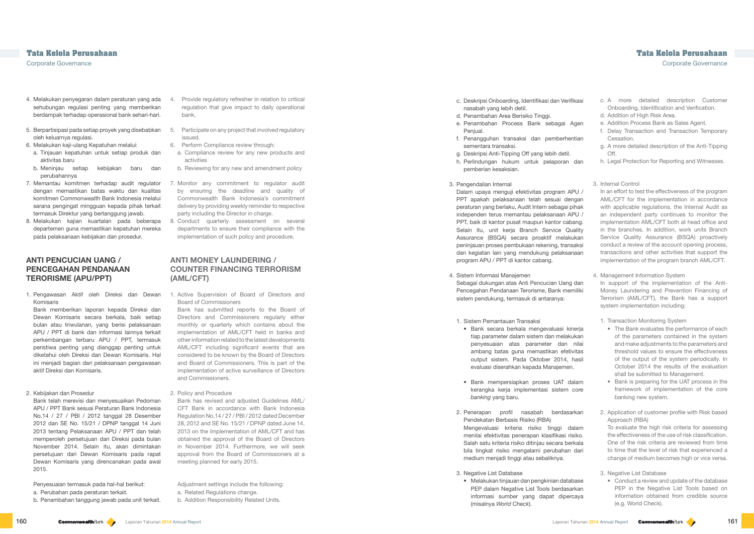- 4. Provide regulatory refresher in relation to critical regulation that give impact to daily operational bank.
- 5. Participate on any project that involved regulatory issued.
- 6. Perform Compliance review through:
- a. Compliance review for any new products and activities
- b. Reviewing for any new and amendment policy
- 7. Monitor any commitment to regulator audit by ensuring the deadline and quality of Commonwealth Bank Indonesia's commitment delivery by providing weekly reminder to respective party including the Director in charge.
- 8. Conduct quarterly assessment on several departments to ensure their compliance with the implementation of such policy and procedure.

## **ANTI MONEY LAUNDERING / COUNTER FINANCING TERRORISM (AML/CFT)**

1. Active Supervision of Board of Directors and Board of Commissioners

Bank has submitted reports to the Board of Directors and Commissioners regularly either monthly or quarterly which contains about the implementation of AML/CFT held in banks and other information related to the latest developments AML/CFT including significant events that are considered to be known by the Board of Directors and Board of Commissioners. This is part of the implementation of active surveillance of Directors and Commissioners.

- 2. Policy and Procedure
- Bank has revised and adjusted Guidelines AML/ CFT Bank in accordance with Bank Indonesia Regulation No.14 / 27 / PBI / 2012 dated December 28, 2012 and SE No. 15/21 / DPNP dated June 14, 2013 on the Implementation of AML/CFT and has obtained the approval of the Board of Directors in November 2014. Furthermore, we will seek approval from the Board of Commissioners at a meeting planned for early 2015.
- Adjustment settings include the following: a. Related Regulations change.
- b. Addition Responsibility Related Units.

Corporate Governance Corporate Governance

- c. A more detailed description Customer Onboarding, Identification and Verification. d. Addition of High Risk Area. e. Addition Process Bank as Sales Agent. f. Delay Transaction and Transaction Temporary Cessation. g. A more detailed description of the Anti-Tipping Off. h. Legal Protection for Reporting and Witnesses. 3. Internal Control In an effort to test the effectiveness of the program AML/CFT for the implementation in accordance with applicable regulations, the Internal Audit as an independent party continues to monitor the implementation AML/CFT both at head office and in the branches. In addition, work units Branch Service Quality Assurance (BSQA) proactively conduct a review of the account opening process, transactions and other activities that support the implementation of the program branch AML/CFT. 4. Management Information System In support of the implementation of the Anti-Money Laundering and Prevention Financing of Terrorism (AML/CFT), the Bank has a support system implementation including: 1. Transaction Monitoring System • The Bank evaluates the performance of each of the parameters contained in the system and make adjustments to the parameters and threshold values to ensure the effectiveness of the output of the system periodically. In October 2014 the results of the evaluation shall be submitted to Management. • Bank is preparing for the UAT process in the framework of implementation of the core banking new system. 2. Application of customer profile with Risk based Approach (RBA) To evaluate the high risk criteria for assessing the effectiveness of the use of risk classification. One of the risk criteria are reviewed from time to time that the level of risk that experienced a change of medium becomes high or vice versa. 3. Negative List Database • Conduct a review and update of the database PEP in the Negative List Tools based on information obtained from credible source (e.g. World Check). c. Deskripsi Onboarding, Identifikasi dan Verifikasi nasabah yang lebih detil. d. Penambahan Area Berisiko Tinggi. e. Penambahan Process Bank sebagai Agen Penjual. f. Penangguhan transaksi dan pemberhentian sementara transaksi. g. Deskripsi Anti-Tipping Off yang lebih detil. h. Perlindungan hukum untuk pelaporan dan pemberian kesaksian. Dalam upaya menguji efektivitas program APU / PPT apakah pelaksanaan telah sesuai dengan peraturan yang berlaku, Audit Intern sebagai pihak independen terus memantau pelaksanaan APU / PPT, baik di kantor pusat maupun kantor cabang. Selain itu, unit keria Branch Service Quality Assurance (BSQA) secara proaktif melakukan peninjauan proses pembukaan rekening, transaksi dan kegiatan lain yang mendukung pelaksanaan program APU / PPT di kantor cabang. Sebagai dukungan atas Anti Pencucian Uang dan Pencegahan Pendanaan Terorisme, Bank memiliki sistem pendukung, termasuk di antaranya: 1. Sistem Pemantauan Transaksi • Bank secara berkala mengevaluasi kinerja tiap parameter dalam sistem dan melakukan penyesuaian atas parameter dan nilai ambang batas guna memastikan efetivitas output sistem. Pada Oktober 2014, hasil evaluasi diserahkan kepada Manajemen. • Bank mempersiapkan proses UAT dalam kerangka kerja implementasi sistem *core banking* yang baru. 2. Penerapan profil nasabah berdasarkan Pendekatan Berbasis Risiko (RBA) Mengevaluasi kriteria risiko tinggi dalam menilai efektivitas penerapan klasifikasi risiko. Salah satu kriteria risiko ditinjau secara berkala bila tingkat risiko mengalami perubahan dari medium menjadi tinggi atau sebaliknya. 3. Negative List Database • Melakukan tinjauan dan pengkinian database PEP dalam Negative List Tools berdasarkan informasi sumber yang dapat dipercaya (misalnya *World Check*).
- 
- 3. Pengendalian Internal 4. Sistem Informasi Manajemen
- 
- 
- 

- 
- 
- 
- 
- 
- 

- 4. Melakukan penyegaran dalam peraturan yang ada sehubungan regulasi penting yang memberikan berdampak terhadap operasional bank sehari-hari.
- 5. Berpartisipasi pada setiap proyek yang disebabkan oleh keluarnya regulasi.
- 6. Melakukan kaji-ulang Kepatuhan melalui:
	- a. Tinjauan kepatuhan untuk setiap produk dan aktivitas baru
- b. Meninjau setiap kebijakan baru dan perubahannya
- 7. Memantau komitmen terhadap audit regulator dengan memastikan batas waktu dan kualitas komitmen Commonwealth Bank Indonesia melalui sarana pengingat mingguan kepada pihak terkait termasuk Direktur yang bertanggung jawab.
- 8. Melakukan kajian kuartalan pada beberapa departemen guna memastikan kepatuhan mereka pada pelaksanaan kebijakan dan prosedur.

## **ANTI PENCUCIAN UANG / PENCEGAHAN PENDANAAN TERORISME (APU/PPT)**

1. Pengawasan Aktif oleh Direksi dan Dewan Komisaris

Bank memberikan laporan kepada Direksi dan Dewan Komisaris secara berkala, baik setiap bulan atau triwulanan, yang berisi pelaksanaan APU / PPT di bank dan informasi lainnya terkait perkembangan terbaru APU / PPT, termasuk peristiwa penting yang dianggap penting untuk diketahui oleh Direksi dan Dewan Komisaris. Hal ini menjadi bagian dari pelaksanaan pengawasan aktif Direksi dan Komisaris.

### 2. Kebijakan dan Prosedur

- Bank telah merevisi dan menyesuaikan Pedoman APU / PPT Bank sesuai Peraturan Bank Indonesia No.14 / 27 / PBI / 2012 tanggal 28 Desember 2012 dan SE No. 15/21 / DPNP tanggal 14 Juni 2013 tentang Pelaksanaan APU / PPT dan telah memperoleh persetujuan dari Direksi pada bulan November 2014. Selain itu, akan dimintakan persetujuan dari Dewan Komisaris pada rapat Dewan Komisaris yang direncanakan pada awal 2015.
- Penyesuaian termasuk pada hal-hal berikut:
- a. Perubahan pada peraturan terkait.
- b. Penambahan tanggung jawab pada unit terkait.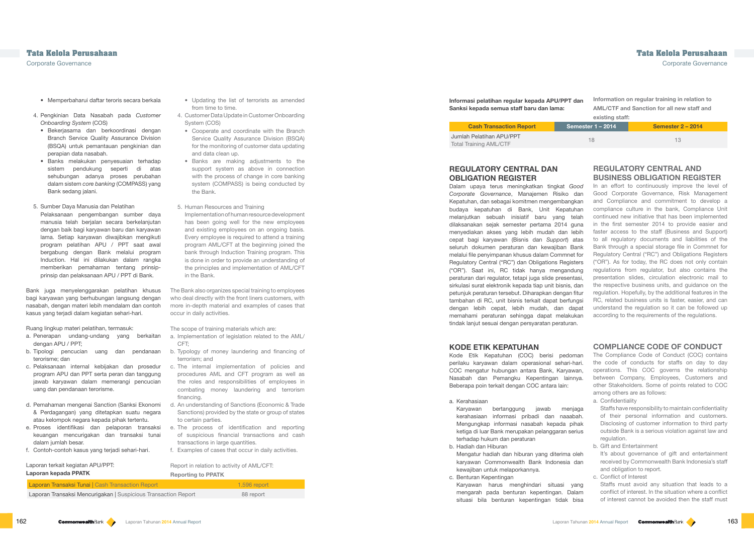- from time to time.
- 4. Customer Data Update in Customer Onboarding System (COS)
- Cooperate and coordinate with the Branch Service Quality Assurance Division (BSQA) for the monitoring of customer data updating and data clean up.
- Banks are making adjustments to the support system as above in connection with the process of change in core banking system (COMPASS) is being conducted by the Bank.
- 5. Human Resources and Training Implementation of human resource development has been going well for the new employees and existing employees on an ongoing basis. Every employee is required to attend a training program AML/CFT at the beginning joined the bank through Induction Training program. This is done in order to provide an understanding of the principles and implementation of AML/CFT in the Bank.

The Bank also organizes special training to employees who deal directly with the front liners customers, with more in-depth material and examples of cases that occur in daily activities.

The scope of training materials which are:

- a. Implementation of legislation related to the AML/ CFT;
- b. Typology of money laundering and financing of terrorism; and
- c. The internal implementation of policies and procedures AML and CFT program as well as the roles and responsibilities of employees in combating money laundering and terrorism financing.
- d. An understanding of Sanctions (Economic & Trade Sanctions) provided by the state or group of states to certain parties.
- e. The process of identification and reporting of suspicious financial transactions and cash transactions in large quantities.
- f. Examples of cases that occur in daily activities.

162 Laporan **2014** Annual Report Laporan Company of the list of terrorists as a set of terrorists and the list of terrorists and the list of terms in the list of terms in the list of terms in the list of terms in the list In an effort to continuously improve the level of Good Corporate Governance, Risk Management and Compliance and commitment to develop a compliance culture in the bank, Compliance Unit continued new initiative that has been implemented in the first semester 2014 to provide easier and faster access to the staff (Business and Support) to all regulatory documents and liabilities of the Bank through a special storage file in Commnet for Regulatory Central ("RC") and Obligations Registers ("OR"). As for today, the RC does not only contain regulations from regulator, but also contains the presentation slides, circulation electronic mail to the respective business units, and guidance on the regulation. Hopefully, by the additional features in the RC, related business units is faster, easier, and can understand the regulation so it can be followed up according to the requirements of the regulations.

## Report in relation to activity of AML/CFT: Reporting to PPATK

| Laporan Transaksi Tunai   Cash Transaction Report              | 1.596 report |
|----------------------------------------------------------------|--------------|
| Laporan Transaksi Mencurigakan   Suspicious Transaction Report | 88 report    |

## Information on regular training in relation to AML/CTF and Sanction for all new staff and existing staff:

| <b>Cash Transaction Report</b> | Semester 1 – 2014 $\overline{ }$ | <b>Semester 2 - 2014</b> |  |
|--------------------------------|----------------------------------|--------------------------|--|
| Pelatihan APU/PPT              |                                  |                          |  |
| raining AMI /CTF_              |                                  |                          |  |

| <b>Cash Transaction Report</b> |  |
|--------------------------------|--|
| Jumlah Pelatihan APU/PPT       |  |
| <b>Total Training AML/CTF</b>  |  |

## **REGULATORY CENTRAL AND BUSINESS OBLIGATION REGISTER**

## **COMPLIANCE CODE OF CONDUCT**

a. Confidentiality

Staffs have responsibility to maintain confidentiality of their personal information and customers. Disclosing of customer information to third party outside Bank is a serious violation against law and regulation.

b. Gift and Entertainment

It's about governance of gift and entertainment received by Commonwealth Bank Indonesia's staff and obligation to report.

c. Conflict of Interest Staffs must avoid any situation that leads to a conflict of interest. In the situation where a conflict of interest cannot be avoided then the staff must

- Memperbaharui daftar teroris secara berkala
- 4. Pengkinian Data Nasabah pada *Customer Onboarding System* (COS)
- Bekerjasama dan berkoordinasi dengan Branch Service Quality Assurance Division (BSQA) untuk pemantauan pengkinian dan perapian data nasabah.
- Banks melakukan penyesuaian terhadap sistem pendukung seperti di atas sehubungan adanya proses perubahan dalam sistem *core banking* (COMPASS) yang Bank sedang jalani.
- 5. Sumber Daya Manusia dan Pelatihan Pelaksanaan pengembangan sumber daya manusia telah berjalan secara berkelanjutan
- dengan baik bagi karyawan baru dan karyawan lama. Setiap karyawan diwajibkan mengikuti program pelatihan APU / PPT saat awal bergabung dengan Bank melalui program Induction. Hal ini dilakukan dalam rangka memberikan pemahaman tentang prinsipprinsip dan pelaksanaan APU / PPT di Bank.

Bank juga menyelenggarakan pelatihan khusus bagi karyawan yang berhubungan langsung dengan nasabah, dengan materi lebih mendalam dan contoh kasus yang terjadi dalam kegiatan sehari-hari.

> The Compliance Code of Conduct (COC) contains the code of conducts for staffs on day to day operations. This COC governs the relationship between Company, Employees, Customers and other Stakeholders. Some of points related to COC among others are as follows: Kode Etik Kepatuhan (COC) berisi pedoman perilaku karyawan dalam operasional sehari-hari. COC mengatur hubungan antara Bank, Karyawan, Nasabah dan Pemangku Kepentingan lainnya. Beberapa poin terkait dengan COC antara lain:

Ruang lingkup materi pelatihan, termasuk:

- a. Penerapan undang-undang yang berkaitan dengan APU / PPT;
- b. Tipologi pencucian uang dan pendanaan terorisme; dan
- c. Pelaksanaan internal kebijakan dan prosedur program APU dan PPT serta peran dan tanggung jawab karyawan dalam memerangi pencucian uang dan pendanaan terorisme.
- d. Pemahaman mengenai Sanction (Sanksi Ekonomi & Perdagangan) yang ditetapkan suatu negara atau kelompok negara kepada pihak tertentu.
- e. Proses identifikasi dan pelaporan transaksi keuangan mencurigakan dan transaksi tunai dalam jumlah besar.
- f. Contoh-contoh kasus yang terjadi sehari-hari.

Laporan terkait kegiatan APU/PPT:

**Laporan kepada PPATK**

**Informasi pelatihan regular kepada APU/PPT dan Sanksi kepada semua staff baru dan lama:**

## **REGULATORY CENTRAL DAN OBLIGATION REGISTER**

Dalam upaya terus meningkatkan tingkat *Good Corporate Governance*, Manajemen Risiko dan Kepatuhan, dan sebagai komitmen mengembangkan budaya kepatuhan di Bank, Unit Kepatuhan melanjutkan sebuah inisiatif baru yang telah dilaksanakan sejak semester pertama 2014 guna menyediakan akses yang lebih mudah dan lebih cepat bagi karyawan (Bisnis dan *Support*) atas seluruh dokumen peraturan dan kewajiban Bank melalui file penyimpanan khusus dalam Commnet for Regulatory Central ("RC") dan Obligations Registers ("OR"). Saat ini, RC tidak hanya mengandung peraturan dari regulator, tetapi juga slide presentasi, sirkulasi surat elektronik kepada tiap unit bisnis, dan petunjuk peraturan tersebut. Diharapkan dengan fitur tambahan di RC, unit bisnis terkait dapat berfungsi dengan lebih cepat, lebih mudah, dan dapat memahami peraturan sehingga dapat melakukan tindak lanjut sesuai dengan persyaratan peraturan.

## **KODE ETIK KEPATUHAN**

- a. Kerahasiaan
- Karyawan bertanggung jawab menjaga kerahasiaan informasi pribadi dan naaabah. Mengungkap informasi nasabah kepada pihak ketiga di luar Bank merupakan pelanggaran serius terhadap hukum dan peraturan
- b. Hadiah dan Hiburan Mengatur hadiah dan hiburan yang diterima oleh karyawan Commonwealth Bank Indonesia dan kewajiban untuk melaporkannya.
- c. Benturan Kepentingan Karyawan harus menghindari situasi yang
	- mengarah pada benturan kepentingan. Dalam situasi bila benturan kepentingan tidak bisa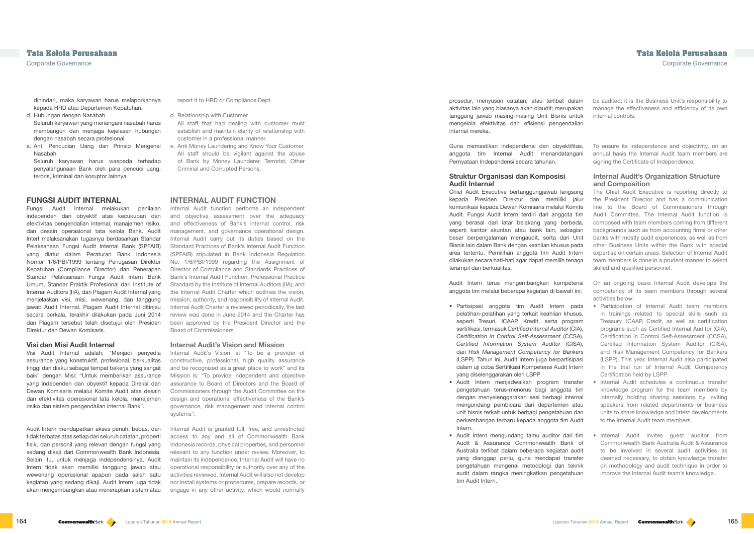report it to HRD or Compliance Dept.

- d. Relationship with Customer
- All staff that had dealing with customer must establish and maintain clarity of relationship with customer in a professional manner.
- e. Anti Money Laundering and Know Your Customer All staff should be vigilant against the abuse of Bank by Money Launderer, Terrorist, Other Criminal and Corrupted Persons.

## **INTERNAL AUDIT FUNCTION**

Internal Audit function performs an independent and objective assessment over the adequacy and effectiveness of Bank's internal control, risk management, and governance operational design. Internal Audit carry out its duties based on the Standard Practices of Bank's Internal Audit Function (SPFAIB) stipulated in Bank Indonesia Regulation No. 1/6/PBI/1999 regarding the Assignment of Director of Compliance and Standards Practices of Bank's Internal Audit Function, Professional Practice Standard by the Institute of Internal Auditors (IIA), and the Internal Audit Charter which outlines the vision, mission, authority, and responsibility of Internal Audit. Internal Audit Charter is reviewed periodically, the last review was done in June 2014 and the Charter has been approved by the President Director and the Board of Commissioners.

#### **Internal Audit's Vision and Mission**

Internal Audit's Vision is: "To be a provider of constructive, professional, high quality assurance and be recognized as a great place to work" and its Mission is: "To provide independent and objective assurance to Board of Directors and the Board of Commissioners through the Audit Committee on the design and operational effectiveness of the Bank's governance, risk management and internal control systems".

Internal Audit is granted full, free, and unrestricted access to any and all of Commonwealth Bank Indonesia records, physical properties, and personnel relevant to any function under review. Moreover, to maintain its independence, Internal Audit will have no operational responsibility or authority over any of the activities reviewed. Internal Audit will also not develop nor install systems or procedures, prepare records, or engage in any other activity, which would normally

be audited; it is the Business Unit's responsibility to

manage the effectiveness and efficiency of its own internal controls.

### **Internal Audit's Organization Structure and Composition**

- Internal Audit schedules a continuous transfer knowledge program for the team members by internally holding sharing sessions by inviting speakers from related departments or business units to share knowledge and latest developments to the Internal Audit team members.
- Internal Audit invites guest auditor from Commonwealth Bank Australia Audit & Assurance to be involved in several audit activities as deemed necessary, to obtain knowledge transfer on methodology and audit technique in order to improve the Internal Audit team's knowledge.

**Tata Kelola Perusahaan Tata Kelola Perusahaan** Corporate Governance Corporate Governance

dihindari, maka karyawan harus melaporkannya kepada HRD atau Departemen Kepatuhan.

- d. Hubungan dengan Nasabah Seluruh karyawan yang menangani nasabah harus membangun dan menjaga kejelasan hubungan
- dengan nasabah secara profesional e. Anti Pencucian Uang dan Prinsip Mengenal Nasabah

To ensure its independence and objectivity, on an annual basis the Internal Audit team members are signing the Certificate of Independence. Guna memastikan independensi dan obyektifitas, anggota tim Internal Audit menandatangani Pernyataan Independensi secara tahunan.

Seluruh karyawan harus waspada terhadap penyalahgunaan Bank oleh para pencuci uang, teroris, kriminal dan koruptor lainnya.

### **FUNGSI AUDIT INTERNAL**

The Chief Audit Executive is reporting directly to the President Director and has a communication line to the Board of Commissioners through Audit Committee. The Internal Audit function is composed with team members coming from different backgrounds such as from accounting firms or other banks with mostly audit experiences, as well as from other Business Units within the Bank with special expertise on certain areas. Selection of Internal Audit team members is done in a prudent manner to select skilled and qualified personnel. Chief Audit Executive bertanggungjawab langsung kepada Presiden Direktur dan memiliki jalur komunikasi kepada Dewan Komisaris melalui Komite Audit. Fungsi Audit Intern terdiri dari anggota tim yang berasal dari latar belakang yang berbeda, seperti kantor akuntan atau bank lain, sebagian besar berpengalaman mengaudit, serta dari Unit Bisnis lain dalam Bank dengan keahlian khusus pada area tertentu. Pemilihan anggota tim Audit Intern dilakukan secara hati-hati agar dapat memilih tenaga terampil dan berkualitas.

Fungsi Audit Internal melakukan penilaian independen dan obyektif atas kecukupan dan efektivitas pengendalian internal, manajemen risiko, dan desain operasional tata kelola Bank. Audit Interl melaksanakan tugasnya berdasarkan Standar Pelaksanaan Fungsi Audit Internal Bank (SPFAIB) yang diatur dalam Peraturan Bank Indonesia Nomor 1/6/PBI/1999 tentang Penugasan Direktur Kepatuhan (Compliance Director) dan Penerapan Standar Pelaksanaan Fungsi Audit Intern Bank Umum, Standar Praktik Profesional dari Institute of Internal Auditors (IIA), dan Piagam Audit Internal yang menjelaskan visi, misi, wewenang, dan tanggung jawab Audit Internal. Piagam Audit Internal ditinjau secara berkala, terakhir dilakukan pada Juni 2014 dan Piagam tersebut telah disetujui oleh Presiden Direktur dan Dewan Komisaris.

On an ongoing basis Internal Audit develops the competency of its team members through several activities below: Audit Intern terus mengembangkan kompetensi anggota tim melalui beberapa kegiatan di bawah ini:

#### **Visi dan Misi Audit Internal**

Visi Audit Internal adalah: "Menjadi penyedia assurance yang konstruktif, profesional, berkualitas tinggi dan diakui sebagai tempat bekerja yang sangat baik" dengan Misi: "Untuk memberikan assurance yang independen dan obyektif kepada Direksi dan Dewan Komisaris melalui Komite Audit atas desain dan efektivitas operasional tata kelola, manajemen risiko dan sistem pengendalian internal Bank".

- Participation of Internal Audit team members in trainings related to special skills such as Treasury, ICAAP, Credit, as well as certification programs such as Certified Internal Auditor (CIA), Certification in Control Self-Assessment (CCSA), Certified Information System Auditor (CISA), and Risk Management Competency for Bankers (LSPP). This year, Internal Audit also participated in the trial run of Internal Audit Competency Certification held by LSPP. • Partisipasi anggota tim Audit Intern pada pelatihan-pelatihan yang terkait keahlian khusus, seperti Tresuri, ICAAP, Kredit, serta program sertifikasi, termasuk *Certified Internal Auditor* (CIA), *Certification in Control Self-Assessment* (CCSA), *Certified Information System Auditor* (CISA), dan *Risk Management Competency for Bankers* (LSPP). Tahun ini, Audit Intern juga berpartisipasi dalam uji coba Sertifikasi Kompetensi Audit Intern yang diselenggarakan oleh LSPP.
- Audit Intern menjadwalkan program transfer pengetahuan terus-menerus bagi anggota tim dengan menyelenggarakan sesi berbagi internal mengundang pembicara dari departemen atau unit bisnis terkait untuk berbagi pengetahuan dan perkembangan terbaru kepada anggota tim Audit Intern.
- Audit Intern mengundang tamu auditor dari tim Audit & Assurance Commonwealth Bank of Australia terlibat dalam beberapa kegiatan audit yang dianggap perlu, guna mendapat transfer pengetahuan mengenai metodologi dan teknik audit dalam rangka meningkatkan pengetahuan tim Audit Intern.

Audit Intern mendapatkan akses penuh, bebas, dan tidak terbatas atas setiap dan seluruh catatan, properti fisik, dan personil yang relevan dengan fungsi yang sedang dikaji dari Commonwealth Bank Indonesia. Selain itu, untuk menjaga independensinya, Audit Intern tidak akan memiliki tanggung jawab atau wewenang operasional apapun pada salah satu kegiatan yang sedang dikaji. Audit Intern juga tidak akan mengembangkan atau menerapkan sistem atau

prosedur, menyusun catatan, atau terlibat dalam aktivitas lain yang biasanya akan diaudit; merupakan tanggung jawab masing-masing Unit Bisnis untuk mengelola efektivitas dan efisiensi pengendalian internal mereka.

#### **Struktur Organisasi dan Komposisi Audit Internal**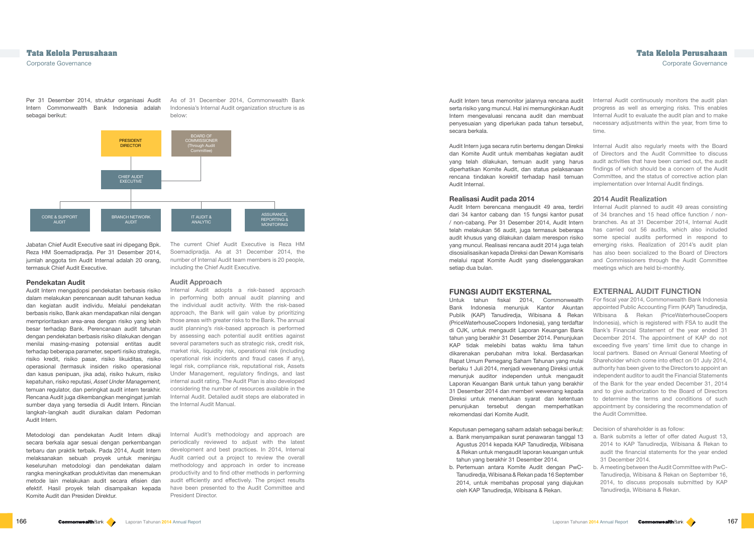Per 31 Desember 2014, struktur organisasi Audit Intern Commonwealth Bank Indonesia adalah sebagai berikut:

Jabatan Chief Audit Executive saat ini dipegang Bpk. Reza HM Soemadipradja. Per 31 Desember 2014, jumlah anggota tim Audit Internal adalah 20 orang. termasuk Chief Audit Executive.

#### **Pendekatan Audit**

Audit Intern mengadopsi pendekatan berbasis risiko dalam melakukan perencanaan audit tahunan kedua dan kegiatan audit individu. Melalui pendekatan berbasis risiko, Bank akan mendapatkan nilai dengan memprioritaskan area-area dengan risiko yang lebih besar terhadap Bank. Perencanaan audit tahunan dengan pendekatan berbasis risiko dilakukan dengan menilai masing-masing potensial entitas audit terhadap beberapa parameter, seperti risiko strategis, risiko kredit, risiko pasar, risiko likuiditas, risiko operasional (termasuk insiden risiko operasional dan kasus penipuan, jika ada), risiko hukum, risiko kepatuhan, risiko reputasi, *Asset Under Management,*  temuan regulator, dan peringkat audit intern terakhir. Rencana Audit juga dikembangkan mengingat jumlah sumber daya yang tersedia di Audit Intern. Rincian langkah-langkah audit diuraikan dalam Pedoman Audit Intern.

Metodologi dan pendekatan Audit Intern dikaji secara berkala agar sesuai dengan perkembangan terbaru dan praktik terbaik. Pada 2014, Audit Intern melaksanakan sebuah proyek untuk meninjau keseluruhan metodologi dan pendekatan dalam rangka meningkatkan produktivitas dan menemukan metode lain melakukan audit secara efisien dan efektif. Hasil proyek telah disampaikan kepada Komite Audit dan Presiden Direktur.

As of 31 December 2014, Commonwealth Bank Indonesia's Internal Audit organization structure is as below:



The current Chief Audit Executive is Reza HM Soemadipradja. As at 31 December 2014, the number of Internal Audit team members is 20 people, including the Chief Audit Executive.

#### **Audit Approach**

Internal Audit adopts a risk-based approach in performing both annual audit planning and the individual audit activity. With the risk-based approach, the Bank will gain value by prioritizing those areas with greater risks to the Bank. The annual audit planning's risk-based approach is performed by assessing each potential audit entities against several parameters such as strategic risk, credit risk, market risk, liquidity risk, operational risk (including operational risk incidents and fraud cases if any), legal risk, compliance risk, reputational risk, Assets Under Management, regulatory findings, and last internal audit rating. The Audit Plan is also developed considering the number of resources available in the Internal Audit. Detailed audit steps are elaborated in the Internal Audit Manual.

Internal Audit's methodology and approach are periodically reviewed to adjust with the latest development and best practices. In 2014, Internal Audit carried out a project to review the overall methodology and approach in order to increase productivity and to find other methods in performing audit efficiently and effectively. The project results have been presented to the Audit Committee and President Director.

Internal Audit continuously monitors the audit plan progress as well as emerging risks. This enables Internal Audit to evaluate the audit plan and to make necessary adjustments within the year, from time to time.

Internal Audit also regularly meets with the Board of Directors and the Audit Committee to discuss audit activities that have been carried out, the audit findings of which should be a concern of the Audit Committee, and the status of corrective action plan implementation over Internal Audit findings.

#### **2014 Audit Realization**

Internal Audit planned to audit 49 areas consisting of 34 branches and 15 head office function / nonbranches. As at 31 December 2014, Internal Audit has carried out 56 audits, which also included some special audits performed in respond to emerging risks. Realization of 2014's audit plan has also been socialized to the Board of Directors and Commissioners through the Audit Committee meetings which are held bi-monthly.

## **EXTERNAL AUDIT FUNCTION**

For fiscal year 2014, Commonwealth Bank Indonesia appointed Public Accounting Firm (KAP) Tanudiredja, WIbisana & Rekan (PriceWaterhouseCoopers Indonesia), which is registered with FSA to audit the Bank's Financial Statement of the year ended 31 December 2014. The appointment of KAP do not exceeding five years' time limit due to change in local partners. Based on Annual General Meeting of Shareholder which come into effect on 01 July 2014, authority has been given to the Directors to appoint an independent auditor to audit the Financial Statements of the Bank for the year ended December 31, 2014 and to give authorization to the Board of Directors to determine the terms and conditions of such appointment by considering the recommendation of the Audit Committee.

Decision of shareholder is as follow:

- a. Bank submits a letter of offer dated August 13, 2014 to KAP Tanudiredja, Wibisana & Rekan to audit the financial statements for the year ended 31 December 2014.
- b. A meeting between the Audit Committee with PwC-Tanudiredja, Wibisana & Rekan on September 16, 2014, to discuss proposals submitted by KAP Tanudiredja, Wibisana & Rekan.

## **Tata Kelola Perusahaan Tata Kelola Perusahaan**

Corporate Governance Corporate Governance

Audit Intern terus memonitor jalannya rencana audit serta risiko yang muncul. Hal ini memungkinkan Audit Intern mengevaluasi rencana audit dan membuat penyesuaian yang diperlukan pada tahun tersebut, secara berkala.

Audit Intern juga secara rutin bertemu dengan Direksi dan Komite Audit untuk membahas kegiatan audit yang telah dilakukan, temuan audit yang harus diperhatikan Komite Audit, dan status pelaksanaan rencana tindakan korektif terhadap hasil temuan Audit Internal.

#### **Realisasi Audit pada 2014**

Audit Intern berencana mengaudit 49 area, terdiri dari 34 kantor cabang dan 15 fungsi kantor pusat / non-cabang. Per 31 Desember 2014, Audit Intern telah melakukan 56 audit, juga termasuk beberapa audit khusus yang dilakukan dalam merespon risiko yang muncul. Realisasi rencana audit 2014 juga telah disosialisasikan kepada Direksi dan Dewan Komisaris melalui rapat Komite Audit yang diselenggarakan setiap dua bulan.

#### **FUNGSI AUDIT EKSTERNAL**

Untuk tahun fiskal 2014, Commonwealth Bank Indonesia menunjuk Kantor Akuntan Publik (KAP) Tanudiredja, Wibisana & Rekan (PriceWaterhouseCoopers Indonesia), yang terdaftar di OJK, untuk mengaudit Laporan Keuangan Bank tahun yang berakhir 31 Desember 2014. Penunjukan KAP tidak melebihi batas waktu lima tahun dikarenakan perubahan mitra lokal. Berdasarkan Rapat Umum Pemegang Saham Tahunan yang mulai berlaku 1 Juli 2014, menjadi wewenang Direksi untuk menunjuk auditor independen untuk mengaudit Laporan Keuangan Bank untuk tahun yang berakhir 31 Desember 2014 dan memberi wewenang kepada Direksi untuk menentukan syarat dan ketentuan penunjukan tersebut dengan memperhatikan rekomendasi dari Komite Audit.

Keputusan pemegang saham adalah sebagai berikut:

- a. Bank menyampaikan surat penawaran tanggal 13 Agustus 2014 kepada KAP Tanudiredja, Wibisana & Rekan untuk mengaudit laporan keuangan untuk tahun yang berakhir 31 Desember 2014.
- b. Pertemuan antara Komite Audit dengan PwC-Tanudiredja, Wibisana & Rekan pada 16 September 2014, untuk membahas proposal yang diajukan oleh KAP Tanudiredja, Wibisana & Rekan.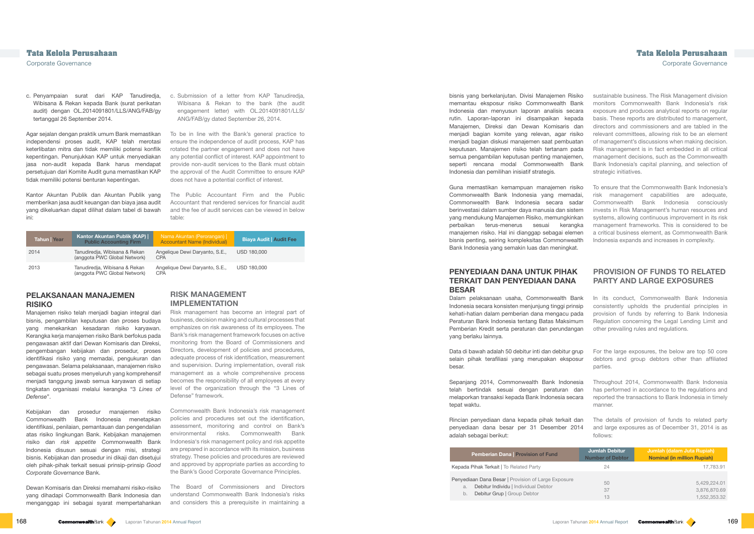c. Submission of a letter from KAP Tanudiredja, Wibisana & Rekan to the bank (the audit engagement letter) with OL.2014091801/LLS/ ANG/FAB/gy dated September 26, 2014.

To be in line with the Bank's general practice to ensure the independence of audit process, KAP has rotated the partner engagement and does not have any potential conflict of interest. KAP appointment to provide non-audit services to the Bank must obtain the approval of the Audit Committee to ensure KAP does not have a potential conflict of interest.

The Public Accountant Firm and the Public Accountant that rendered services for financial audit and the fee of audit services can be viewed in below table:

## **RISK MANAGEMENT IMPLEMENTATION**

Risk management has become an integral part of business, decision making and cultural processes that emphasizes on risk awareness of its employees. The Bank's risk management framework focuses on active monitoring from the Board of Commissioners and Directors, development of policies and procedures, adequate process of risk identification, measurement and supervision. During implementation, overall risk management as a whole comprehensive process becomes the responsibility of all employees at every level of the organization through the "3 Lines of Defense" framework.

Commonwealth Bank Indonesia's risk management policies and procedures set out the identification, assessment, monitoring and control on Bank's environmental risks. Commonwealth Bank Indonesia's risk management policy and risk appetite are prepared in accordance with its mission, business strategy. These policies and procedures are reviewed and approved by appropriate parties as according to the Bank's Good Corporate Governance Principles.

The Board of Commissioners and Directors understand Commonwealth Bank Indonesia's risks and considers this a prerequisite in maintaining a

sustainable business. The Risk Management division monitors Commonwealth Bank Indonesia's risk exposure and produces analytical reports on regular basis. These reports are distributed to management, directors and commissioners and are tabled in the relevant committees, allowing risk to be an element of management's discussions when making decision. Risk management is in fact embedded in all critical management decisions, such as the Commonwealth Bank Indonesia's capital planning, and selection of strategic initiatives.

To ensure that the Commonwealth Bank Indonesia's risk management capabilities are adequate, Commonwealth Bank Indonesia consciously invests in Risk Management's human resources and systems, allowing continuous improvement in its risk management frameworks. This is considered to be a critical business element, as Commonwealth Bank Indonesia expands and increases in complexity.

## **PROVISION OF FUNDS TO RELATED PARTY AND LARGE EXPOSURES**

|    | <b>Jumlah Debitur</b><br><b>Number of Debtor</b> | Jumlah (dalam Juta Rupiah)<br><b>Nominal (in million Rupiah)</b> |
|----|--------------------------------------------------|------------------------------------------------------------------|
|    | 24                                               | 17,783.91                                                        |
| re | 50<br>37<br>13                                   | 5,429,224.01<br>3,876,870.69<br>1,552,353.32                     |

## **Tata Kelola Perusahaan Tata Kelola Perusahaan**

Corporate Governance Corporate Governance

c. Penyampaian surat dari KAP Tanudiredja, Wibisana & Rekan kepada Bank (surat perikatan audit) dengan OL.2014091801/LLS/ANG/FAB/gy tertanggal 26 September 2014.

Agar sejalan dengan praktik umum Bank memastikan independensi proses audit, KAP telah merotasi keterlibatan mitra dan tidak memiliki potensi konflik kepentingan. Penunjukkan KAP untuk menyediakan jasa non-audit kepada Bank harus mendapat persetujuan dari Komite Audit guna memastikan KAP tidak memiliki potensi benturan kepentingan.

Kantor Akuntan Publik dan Akuntan Publik yang memberikan jasa audit keuangan dan biaya jasa audit yang dikeluarkan dapat dilihat dalam tabel di bawah ini:

| <b>Tahun Year</b> | Kantor Akuntan Publik (KAP)  <br><b>Public Accounting Firm</b> | Nama Akuntan (Perorangan)  <br><b>Accountant Name (Individual)</b> | <b>Biaya Audit   Audit Fee</b> |
|-------------------|----------------------------------------------------------------|--------------------------------------------------------------------|--------------------------------|
| 2014              | Tanudiredja, Wibisana & Rekan<br>(anggota PWC Global Network)  | Angelique Dewi Daryanto, S.E.,<br><b>CPA</b>                       | USD 180,000                    |
| 2013              | Tanudiredja, Wibisana & Rekan<br>(anggota PWC Global Network)  | Angelique Dewi Daryanto, S.E.,<br><b>CPA</b>                       | USD 180,000                    |

## **PELAKSANAAN MANAJEMEN RISIKO**

In its conduct, Commonwealth Bank Indonesia consistently upholds the prudential principles in provision of funds by referring to Bank Indonesia Regulation concerning the Legal Lending Limit and other prevailing rules and regulations. Dalam pelaksanaan usaha, Commonwealth Bank Indonesia secara konsisten menjunjung tinggi prinsip kehati-hatian dalam pemberian dana mengacu pada Peraturan Bank Indonesia tentang Batas Maksimum Pemberian Kredit serta peraturan dan perundangan yang berlaku lainnya.

Manajemen risiko telah menjadi bagian integral dari bisnis, pengambilan keputusan dan proses budaya yang menekankan kesadaran risiko karyawan. Kerangka kerja manajemen risiko Bank berfokus pada pengawasan aktif dari Dewan Komisaris dan Direksi, pengembangan kebijakan dan prosedur, proses identifikasi risiko yang memadai, pengukuran dan pengawasan. Selama pelaksanaan, manajemen risiko sebagai suatu proses menyeluruh yang komprehensif menjadi tanggung jawab semua karyawan di setiap tingkatan organisasi melalui kerangka "3 *Lines of Defense*".

For the large exposures, the below are top 50 core debtors and group debtors other than affiliated parties. Data di bawah adalah 50 debitur inti dan debitur grup selain pihak terafiliasi yang merupakan eksposur besar.

Throughout 2014, Commonwealth Bank Indonesia has performed in accordance to the regulations and reported the transactions to Bank Indonesia in timely manner. Sepanjang 2014, Commonwealth Bank Indonesia telah bertindak sesuai dengan peraturan dan melaporkan transaksi kepada Bank Indonesia secara tepat waktu.

The details of provision of funds to related party and large exposures as of December 31, 2014 is as follows: Rincian penyediaan dana kepada pihak terkait dan penyediaan dana besar per 31 Desember 2014 adalah sebagai berikut:

#### Pemberian Dana | Provision of Fund

Kepada Pihak Terkait | To Related Party

Penyediaan Dana Besar | Provision of Large Exposure a. Debitur Individu | Individual Debtor b. Debitur Grup | Group Debtor

Kebijakan dan prosedur manajemen risiko Commonwealth Bank Indonesia menetapkan identifikasi, penilaian, pemantauan dan pengendalian atas risiko lingkungan Bank. Kebijakan manajemen risiko dan *risk appetite* Commonwealth Bank Indonesia disusun sesuai dengan misi, strategi bisnis. Kebijakan dan prosedur ini dikaji dan disetujui oleh pihak-pihak terkait sesuai prinsip-prinsip *Good Corporate Governance* Bank.

Dewan Komisaris dan Direksi memahami risiko-risiko yang dihadapi Commonwealth Bank Indonesia dan menganggap ini sebagai syarat mempertahankan

bisnis yang berkelanjutan. Divisi Manajemen Risiko memantau eksposur risiko Commonwealth Bank Indonesia dan menyusun laporan analisis secara rutin. Laporan-laporan ini disampaikan kepada Manajemen, Direksi dan Dewan Komisaris dan menjadi bagian komite yang relevan, agar risiko menjadi bagian diskusi manajemen saat pembuatan keputusan. Manajemen risiko telah tertanam pada semua pengambilan keputusan penting manajemen, seperti rencana modal Commonwealth Bank Indonesia dan pemilihan inisiatif strategis.

Guna memastikan kemampuan manajemen risiko Commonwealth Bank Indonesia yang memadai, Commonwealth Bank Indonesia secara sadar berinvestasi dalam sumber daya manusia dan sistem yang mendukung Manajemen Risiko, memungkinkan perbaikan terus-menerus sesuai kerangka manajemen risiko. Hal ini dianggap sebagai elemen bisnis penting, seiring kompleksitas Commonwealth Bank Indonesia yang semakin luas dan meningkat.

## **PENYEDIAAN DANA UNTUK PIHAK TERKAIT DAN PENYEDIAAN DANA BESAR**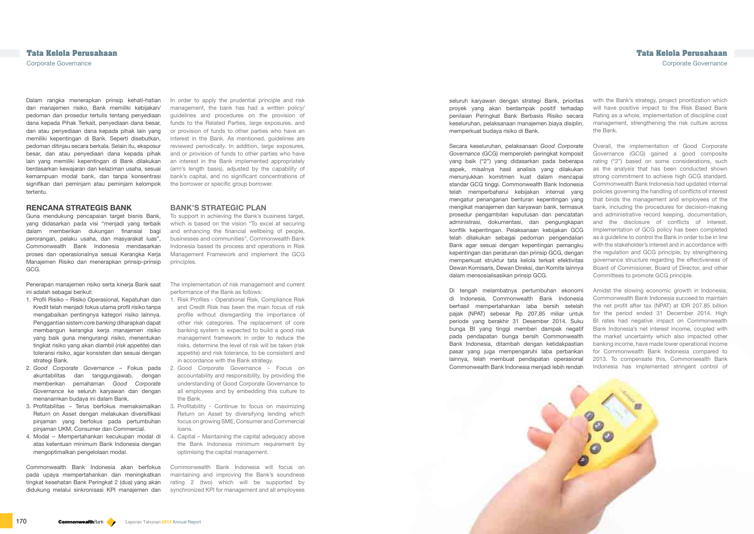In order to apply the prudential principle and risk management, the bank has had a written policy/ guidelines and procedures on the provision of funds to the Related Parties, large exposures, and or provision of funds to other parties who have an interest in the Bank. As mentioned, guidelines are reviewed periodically. In addition, large exposures, and or provision of funds to other parties who have an interest in the Bank implemented appropriately (arm's length basis), adjusted by the capability of bank's capital, and no significant concentrations of the borrower or specific group borrower.

## **BANK'S STRATEGIC PLAN**

To support in achieving the Bank's business target, which is based on the vision "To excel at securing and enhancing the financial wellbeing of people, businesses and communities", Commonwealth Bank Indonesia based its process and operations in Risk Management Framework and implement the GCG principles.

The implementation of risk management and current performance of the Bank as follows:

with the Bank's strategy, project prioritization which will have positive impact to the Risk Based Bank Rating as a whole, implementation of discipline cost management, strengthening the risk culture across the Bank.

- 1. Risk Profiles Operational Risk, Compliance Risk and Credit Risk has been the main focus of risk profile without disregarding the importance of other risk categories. The replacement of core banking system is expected to build a good risk management framework in order to reduce the risks, determine the level of risk will be taken (risk appetite) and risk tolerance, to be consistent and in accordance with the Bank strategy.
- 2. Good Corporate Governance Focus on accountability and responsibility, by providing the understanding of Good Corporate Governance to all employees and by embedding this culture to the Bank.
- 3. Profitability Continue to focus on maximizing Return on Asset by diversifying lending which focus on growing SME, Consumer and Commercial loans.
- 4. Capital Maintaining the capital adequacy above the Bank Indonesia minimum requirement by optimising the capital management.

Commonwealth Bank Indonesia will focus on maintaining and improving the Bank's soundness rating 2 (two) which will be supported by synchronized KPI for management and all employees Overall, the implementation of Good Corporate Governance (GCG) gained a good composite rating ("2") based on some considerations, such as the analysis that has been conducted shown strong commitment to achieve high GCG standard. Commonwealth Bank Indonesia had updated internal policies governing the handling of conflicts of interest that binds the management and employees of the bank, including the procedures for decision-making and administrative record keeping, documentation, and the disclosure of conflicts of interest. Implementation of GCG policy has been completed as a guideline to control the Bank in order to be in line with the stakeholder's interest and in accordance with the regulation and GCG principle, by strengthening governance structure regarding the effectiveness of Board of Commisioner, Board of Director, and other Committees to promote GCG principle.

# **Tata Kelola Perusahaan Tata Kelola Perusahaan**

Corporate Governance Corporate Governance

Dalam rangka menerapkan prinsip kehati-hatian dan manajemen risiko, Bank memiliki kebijakan/ pedoman dan prosedur tertulis tentang penyediaan dana kepada Pihak Terkait, penyediaan dana besar, dan atau penyediaan dana kepada pihak lain yang memiliki kepentingan di Bank. Seperti disebutkan, pedoman ditinjau secara berkala. Selain itu, eksposur besar, dan atau penyediaan dana kepada pihak lain yang memiliki kepentingan di Bank dilakukan berdasarkan kewajaran dan kelaziman usaha, sesuai kemampuan modal bank, dan tanpa konsentrasi signifikan dari peminjam atau peminjam kelompok tertentu.

### **RENCANA STRATEGIS BANK**

Guna mendukung pencapaian target bisnis Bank, yang didasarkan pada visi "menjadi yang terbaik dalam memberikan dukungan finansial bagi perorangan, pelaku usaha, dan masyarakat luas", Commonwealth Bank Indonesia mendasarkan proses dan operasionalnya sesuai Kerangka Kerja Manajemen Risiko dan menerapkan prinsip-prinsip GCG.

Penerapan manajemen risiko serta kinerja Bank saat ini adalah sebagai berikut:

- 1. Profil Risiko Risiko Operasional, Kepatuhan dan Kredit telah menjadi fokus utama profil risiko tanpa mengabaikan pentingnya kategori risiko lainnya. Penggantian sistem *core banking* diharapkan dapat membangun kerangka kerja manajemen risiko yang baik guna mengurangi risiko, menentukan tingkat risiko yang akan diambil (*risk appetite*) dan toleransi risiko, agar konsisten dan sesuai dengan strategi Bank.
- 2. *Good Corporate Governance*  Fokus pada akuntabilitas dan tanggungjawab, dengan memberikan pemahaman *Good Corporate Governance* ke seluruh karyawan dan dengan menanamkan budaya ini dalam Bank.
- 3. Profitabilitas Terus berfokus memaksimalkan Return on Asset dengan melakukan diversifikasi pinjaman yang berfokus pada pertumbuhan pinjaman UKM, Consumer dan Commercial.
- 4. Modal Mempertahankan kecukupan modal di atas ketentuan minimum Bank Indonesia dengan mengoptimalkan pengelolaan modal.

Amidst the slowing economic growth in Indonesia, Commonwealth Bank Indonesia succeed to maintain the net profit after tax (NPAT) at IDR 207.85 billion for the period ended 31 December 2014. High BI rates had negative impact on Commonwealth Bank Indonesia's net interest income, coupled with the market uncertainty which also impacted other banking income, have made lower operational income for Commonwealth Bank Indonesia compared to 2013. To compensate this, Commonwealth Bank Indonesia has implemented stringent control of Di tengah melambatnya pertumbuhan ekonomi di Indonesia, Commonwealth Bank Indonesia berhasil mempertahankan laba bersih setelah pajak (NPAT) sebesar Rp 207,85 miliar untuk periode yang berakhir 31 Desember 2014. Suku bunga BI yang tinggi memberi dampak negatif pada pendapatan bunga bersih Commonwealth Bank Indonesia, ditambah dengan ketidakpastian pasar yang juga mempengaruhi laba perbankan lainnya, telah membuat pendapatan operasional Commonwealth Bank Indonesia menjadi lebih rendah



Commonwealth Bank Indonesia akan berfokus pada upaya mempertahankan dan meningkatkan tingkat kesehatan Bank Peringkat 2 (dua) yang akan didukung melalui sinkronisasi KPI manajemen dan

seluruh karyawan dengan strategi Bank, prioritas proyek yang akan berdampak positif terhadap penilaian Peringkat Bank Berbasis Risiko secara keseluruhan, pelaksanaan manajemen biaya disiplin, memperkuat budaya risiko di Bank.

Secara keseluruhan, pelaksanaan *Good Corporate Governance* (GCG) memperoleh peringkat komposit yang baik ("2") yang didasarkan pada beberapa aspek, misalnya hasil analisis yang dilakukan menunjukkan komitmen kuat dalam mencapai standar GCG tinggi. Commonwealth Bank Indonesia telah memperbaharui kebijakan internal yang mengatur penanganan benturan kepentingan yang mengikat manajemen dan karyawan bank, termasuk prosedur pengambilan keputusan dan pencatatan administrasi, dokumentasi, dan pengungkapan konflik kepentingan. Pelaksanaan kebijakan GCG telah dilakukan sebagai pedoman pengendalian Bank agar sesuai dengan kepentingan pemangku kepentingan dan peraturan dan prinsip GCG, dengan memperkuat struktur tata kelola terkait efektivitas Dewan Komisaris, Dewan Direksi, dan Komite lainnya dalam mensosialisasikan prinsip GCG.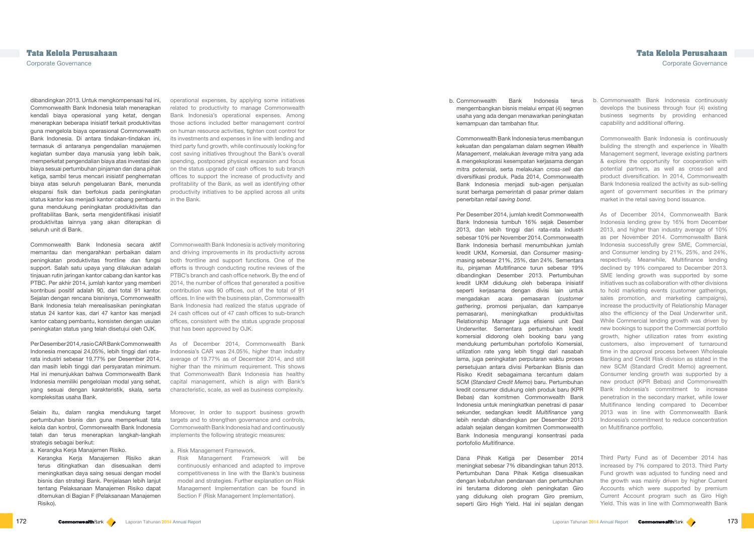operational expenses, by applying some initiatives related to productivity to manage Commonwealth Bank Indonesia's operational expenses. Among those actions included better management control on human resource activities, tighten cost control for its investments and expenses in line with lending and third party fund growth, while continuously looking for cost saving initiatives throughout the Bank's overall spending, postponed physical expansion and focus on the status upgrade of cash offices to sub branch offices to support the increase of productivity and profitability of the Bank, as well as identifying other productivity initiatives to be applied across all units in the Bank.

Commonwealth Bank Indonesia is actively monitoring and driving improvements in its productivity across both frontline and support functions. One of the efforts is through conducting routine reviews of the PTBC's branch and cash office network. By the end of 2014, the number of offices that generated a positive contribution was 90 offices, out of the total of 91 offices. In line with the business plan, Commonwealth Bank Indonesia had realized the status upgrade of 24 cash offices out of 47 cash offices to sub-branch offices, consistent with the status upgrade proposal that has been approved by OJK.

As of December 2014, Commonwealth Bank Indonesia's CAR was 24.05%, higher than industry average of 19.77% as of December 2014, and still higher than the minimum requirement. This shows that Commonwealth Bank Indonesia has healthy capital management, which is align with Bank's characteristic, scale, as well as business complexity.

Moreover, In order to support business growth targets and to strengthen governance and controls, Commonwealth Bank Indonesia had and continuously implements the following strategic measures:

a. Risk Management Framework.

Risk Management Framework will be continuously enhanced and adapted to improve competitiveness in line with the Bank's business model and strategies. Further explanation on Risk Management Implementation can be found in Section F (Risk Management Implementation).

b. Commonwealth Bank Indonesia continuously develops the business through four (4) existing business segments by providing enhanced capability and additional offering.

Commonwealth Bank Indonesia is continuously building the strength and experience in Wealth Management segment, leverage existing partners & explore the opportunity for cooperation with potential partners, as well as cross-sell and product diversification. In 2014, Commonwealth Bank Indonesia realized the activity as sub-selling agent of government securities in the primary market in the retail saving bond issuance.

As of December 2014, Commonwealth Bank Indonesia lending grew by 16% from December 2013, and higher than industry average of 10% as per November 2014. Commonwealth Bank Indonesia successfully grew SME, Commercial, and Consumer lending by 21%, 25%, and 24%, respectively. Meanwhile, Multifinance lending declined by 19% compared to December 2013. SME lending growth was supported by some initiatives such as collaboration with other divisions to hold marketing events (customer gatherings, sales promotion, and marketing campaigns), increase the productivity of Relationship Manager also the efficiency of the Deal Underwriter unit. While Commercial lending growth was driven by new bookings to support the Commercial portfolio growth, higher utilization rates from existing customers, also improvement of turnaround time in the approval process between Wholesale Banking and Credit Risk division as stated in the new SCM (Standard Credit Memo) agreement. Consumer lending growth was supported by a new product (KPR Bebas) and Commonwealth Bank Indonesia's commitment to increase penetration in the secondary market, while lower Multifinance lending compared to December 2013 was in line with Commonwealth Bank Indonesia's commitment to reduce concentration on Multifinance portfolio.

Third Party Fund as of December 2014 has increased by 7% compared to 2013. Third Party Fund growth was adjusted to funding need and the growth was mainly driven by higher Current Accounts which were supported by premium Current Account program such as Giro High Yield. This was in line with Commonwealth Bank

## **Tata Kelola Perusahaan Tata Kelola Perusahaan** Corporate Governance Corporate Governance

dibandingkan 2013. Untuk mengkompensasi hal ini, Commonwealth Bank Indonesia telah menerapkan kendali biaya operasional yang ketat, dengan menerapkan beberapa inisiatif terkait produktivitas guna mengelola biaya operasional Commonwealth Bank Indonesia. Di antara tindakan-tindakan ini, termasuk di antaranya pengendalian manajemen kegiatan sumber daya manusia yang lebih baik, memperketat pengendalian biaya atas investasi dan biaya sesuai pertumbuhan pinjaman dan dana pihak ketiga, sambil terus mencari inisiatif penghematan biaya atas seluruh pengeluaran Bank, menunda ekspansi fisik dan berfokus pada peningkatan status kantor kas menjadi kantor cabang pembantu guna mendukung peningkatan produktivitas dan profitabilitas Bank, serta mengidentifikasi inisiatif produktivitas lainnya yang akan diterapkan di seluruh unit di Bank.

Commonwealth Bank Indonesia secara aktif memantau dan mengarahkan perbaikan dalam peningkatan produktivitas frontline dan fungsi support. Salah satu upaya yang dilakukan adalah tinjauan rutin jaringan kantor cabang dan kantor kas PTBC. Per akhir 2014, jumlah kantor yang memberi kontribusi positif adalah 90, dari total 91 kantor. Sejalan dengan rencana bisnisnya, Commonwealth Bank Indonesia telah merealisasikan peningkatan status 24 kantor kas, dari 47 kantor kas menjadi kantor cabang pembantu, konsisten dengan usulan peningkatan status yang telah disetujui oleh OJK.

Per Desember 2014, rasio CAR Bank Commonwealth Indonesia mencapai 24,05%, lebih tinggi dari ratarata industri sebesar 19,77% per Desember 2014, dan masih lebih tinggi dari persyaratan minimum. Hal ini menunjukkan bahwa Commonwealth Bank Indonesia memiliki pengelolaan modal yang sehat, yang sesuai dengan karakteristik, skala, serta kompleksitas usaha Bank.

Selain itu, dalam rangka mendukung target pertumbuhan bisnis dan guna memperkuat tata kelola dan kontrol, Commonwealth Bank Indonesia telah dan terus menerapkan langkah-langkah strategis sebagai berikut:

a. Kerangka Kerja Manajemen Risiko.

Kerangka Kerja Manajemen Risiko akan terus ditingkatkan dan disesuaikan demi meningkatkan daya saing sesuai dengan model bisnis dan strategi Bank. Penjelasan lebih lanjut tentang Pelaksanaan Manajemen Risiko dapat ditemukan di Bagian F (Pelaksanaan Manajemen Risiko).

b. Commonwealth Bank Indonesia terus mengembangkan bisnis melalui empat (4) segmen usaha yang ada dengan menawarkan peningkatan kemampuan dan tambahan fitur.

Commonwealth Bank Indonesia terus membangun kekuatan dan pengalaman dalam segmen *Wealth Management*, melakukan *leverage* mitra yang ada & mengeksplorasi kesempatan kerjasama dengan mitra potensial, serta melakukan *cross-sell* dan diversifikasi produk. Pada 2014, Commonwealth Bank Indonesia menjadi sub-agen penjualan surat berharga pemerintah di pasar primer dalam penerbitan *retail saving bond*.

Per Desember 2014, jumlah kredit Commonwealth Bank Indonesia tumbuh 16% sejak Desember 2013, dan lebih tinggi dari rata-rata industri sebesar 10% per November 2014. Commonwealth Bank Indonesia berhasil menumbuhkan jumlah kredit UKM, Komersial, dan *Consumer* masingmasing sebesar 21%, 25%, dan 24%. Sementara itu, pinjaman *Multifinance* turun sebesar 19% dibandingkan Desember 2013. Pertumbuhan kredit UKM didukung oleh beberapa inisiatif seperti kerjasama dengan divisi lain untuk mengadakan acara pemasaran (*customer gathering*, promosi penjualan, dan kampanye pemasaran), meningkatkan produktivitas Relationship Manager juga efisiensi unit Deal Underwriter. Sementara pertumbuhan kredit komersial didorong oleh booking baru yang mendukung pertumbuhan portofolio Komersial, utilization rate yang lebih tinggi dari nasabah lama, juga peningkatan perputaran waktu proses persetujuan antara divisi Perbankan Bisnis dan Risiko Kredit sebagaimana tercantum dalam SCM (*Standard Credit Memo*) baru. Pertumbuhan kredit consumer didukung oleh produk baru (KPR Bebas) dan komitmen Commonwealth Bank Indonesia untuk meningkatkan penetrasi di pasar sekunder, sedangkan kredit *Multifinance* yang lebih rendah dibandingkan per Desember 2013 adalah sejalan dengan komitmen Commonwealth Bank Indonesia mengurangi konsentrasi pada portofolio *Multifinance*.

Dana Pihak Ketiga per Desember 2014 meningkat sebesar 7% dibandingkan tahun 2013. Pertumbuhan Dana Pihak Ketiga disesuaikan dengan kebutuhan pendanaan dan pertumbuhan ini terutama didorong oleh peningkatan Giro yang didukung oleh program Giro premium, seperti Giro High Yield. Hal ini sejalan dengan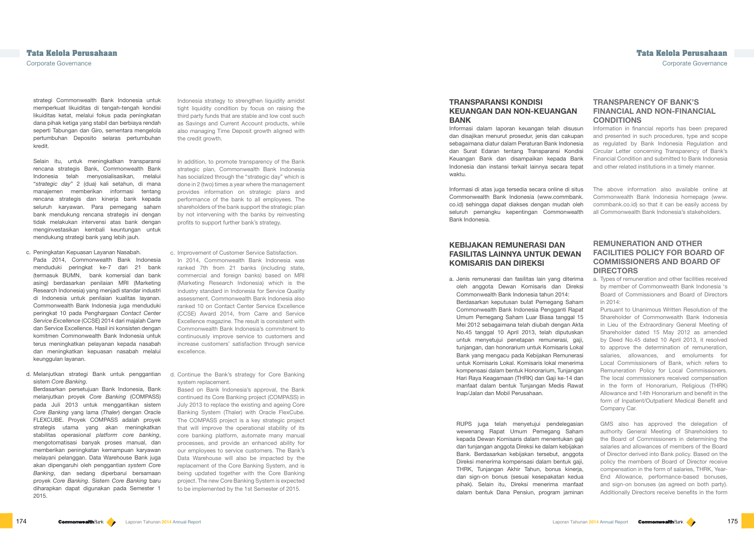Indonesia strategy to strengthen liquidity amidst tight liquidity condition by focus on raising the third party funds that are stable and low cost such as Savings and Current Account products, while also managing Time Deposit growth aligned with the credit growth.

- c. Improvement of Customer Service Satisfaction. In 2014, Commonwealth Bank Indonesia was ranked 7th from 21 banks (including state, commercial and foreign banks) based on MRI (Marketing Research Indonesia) which is the industry standard in Indonesia for Service Quality assessment. Commonwealth Bank Indonesia also ranked 10 on Contact Center Service Excellence (CCSE) Award 2014, from Carre and Service Excellence magazine. The result is consistent with Commonwealth Bank Indonesia's commitment to continuously improve service to customers and increase customers' satisfaction through service excellence.
- d. Continue the Bank's strategy for Core Banking system replacement.

In addition, to promote transparency of the Bank strategic plan, Commonwealth Bank Indonesia has socialized through the "strategic day" which is done in 2 (two) times a year where the management provides information on strategic plans and performance of the bank to all employees. The shareholders of the bank support the strategic plan by not intervening with the banks by reinvesting profits to support further bank's strategy.

> a. Types of remuneration and other facilities received by member of Commonwealth Bank Indonesia 's Board of Commissioners and Board of Directors  $in$  2014 $\cdot$

Based on Bank Indonesia's approval, the Bank continued its Core Banking project (COMPASS) in July 2013 to replace the existing and ageing Core Banking System (Thaler) with Oracle FlexCube. The COMPASS project is a key strategic project that will improve the operational stability of its core banking platform, automate many manual processes, and provide an enhanced ability for our employees to service customers. The Bank's Data Warehouse will also be impacted by the replacement of the Core Banking System, and is being updated together with the Core Banking project. The new Core Banking System is expected to be implemented by the 1st Semester of 2015.

## **TRANSPARENCY OF BANK'S FINANCIAL AND NON-FINANCIAL CONDITIONS**

Information in financial reports has been prepared and presented in such procedures, type and scope as regulated by Bank Indonesia Regulation and Circular Letter concerning Transparency of Bank's Financial Condition and submitted to Bank Indonesia and other related institutions in a timely manner.

The above information also available online at Commonwealth Bank Indonesia homepage (www. commbank.co.id) so that it can be easily access by all Commonwealth Bank Indonesia's stakeholders.

## **REMUNERATION AND OTHER FACILITIES POLICY FOR BOARD OF COMMISSIONERS AND BOARD OF DIRECTORS**

Pursuant to Unanimous Written Resolution of the Shareholder of Commonwealth Bank Indonesia in Lieu of the Extraordinary General Meeting of Shareholder dated 15 May 2012 as amended by Deed No.45 dated 10 April 2013, it resolved to approve the determination of remuneration, salaries, allowances, and emoluments for Local Commissioners of Bank, which refers to Remuneration Policy for Local Commissioners. The local commissioners received compensation in the form of Honorarium, Religious (THRK) Allowance and 14th Honorarium and benefit in the form of Inpatient/Outpatient Medical Benefit and Company Car.

GMS also has approved the delegation of authority General Meeting of Shareholders to the Board of Commissioners in determining the salaries and allowances of members of the Board of Director derived into Bank policy. Based on the policy the members of Board of Director receive compensation in the form of salaries, THRK, Year-End Allowance, performance-based bonuses, and sign-on bonuses (as agreed on both party). Additionally Directors receive benefits in the form

# **Tata Kelola Perusahaan Tata Kelola Perusahaan**

Corporate Governance Corporate Governance

strategi Commonwealth Bank Indonesia untuk memperkuat likuiditas di tengah-tengah kondisi likuiditas ketat, melalui fokus pada peningkatan dana pihak ketiga yang stabil dan berbiaya rendah seperti Tabungan dan Giro, sementara mengelola pertumbuhan Deposito selaras pertumbuhan kredit.

Selain itu, untuk meningkatkan transparansi rencana strategis Bank, Commonwealth Bank Indonesia telah menyosialisasikan, melalui "*strategic day*" 2 (dua) kali setahun, di mana manajemen memberikan informasi tentang rencana strategis dan kinerja bank kepada seluruh karyawan. Para pemegang saham bank mendukung rencana strategis ini dengan tidak melakukan intervensi atas bank dengan menginvestasikan kembali keuntungan untuk mendukung strategi bank yang lebih jauh.

- c. Peningkatan Kepuasan Layanan Nasabah. Pada 2014, Commonwealth Bank Indonesia menduduki peringkat ke-7 dari 21 bank (termasuk BUMN, bank komersial dan bank asing) berdasarkan penilaian MRI (Marketing Research Indonesia) yang menjadi standar industri di Indonesia untuk penilaian kualitas layanan. Commonwealth Bank Indonesia juga menduduki peringkat 10 pada Penghargaan *Contact Center Service Excellence* (CCSE) 2014 dari majalah Carre dan Service Excellence. Hasil ini konsisten dengan komitmen Commonwealth Bank Indonesia untuk terus meningkatkan pelayanan kepada nasabah dan meningkatkan kepuasan nasabah melalui keunggulan layanan.
- d. Melanjutkan strategi Bank untuk penggantian sistem *Core Banking* .

Berdasarkan persetujuan Bank Indonesia, Bank melanjutkan proyek *Core Banking* (COMPASS) pada Juli 2013 untuk menggantikan sistem *Core Banking* yang lama (*Thaler*) dengan Oracle FLEXCUBE. Proyek COMPASS adalah proyek strategis utama yang akan meningkatkan stabilitas operasional *platform core banking*, mengotomatisasi banyak proses manual, dan memberikan peningkatan kemampuan karyawan melayani pelanggan. Data Warehouse Bank juga akan dipengaruhi oleh penggantian *system Core Banking*, dan sedang diperbarui bersamaan proyek *Core Banking*. Sistem *Core Banking* baru diharapkan dapat digunakan pada Semester 1 2015.

## **TRANSPARANSI KONDISI KEUANGAN DAN NON-KEUANGAN BANK**

Informasi dalam laporan keuangan telah disusun dan disajikan menurut prosedur, jenis dan cakupan sebagaimana diatur dalam Peraturan Bank Indonesia dan Surat Edaran tentang Transparansi Kondisi Keuangan Bank dan disampaikan kepada Bank Indonesia dan instansi terkait lainnya secara tepat waktu.

Informasi di atas juga tersedia secara online di situs Commonwealth Bank Indonesia (www.commbank. co.id) sehingga dapat diakses dengan mudah oleh seluruh pemangku kepentingan Commonwealth Bank Indonesia.

## **KEBIJAKAN REMUNERASI DAN FASILITAS LAINNYA UNTUK DEWAN KOMISARIS DAN DIREKSI**

a. Jenis remunerasi dan fasilitas lain yang diterima oleh anggota Dewan Komisaris dan Direksi Commonwealth Bank Indonesia tahun 2014: Berdasarkan keputusan bulat Pemegang Saham Commonwealth Bank Indonesia Pengganti Rapat Umum Pemegang Saham Luar Biasa tanggal 15 Mei 2012 sebagaimana telah diubah dengan Akta No.45 tanggal 10 April 2013, telah diputuskan untuk menyetujui penetapan remunerasi, gaji, tunjangan, dan honorarium untuk Komisaris Lokal Bank yang mengacu pada Kebijakan Remunerasi untuk Komisaris Lokal. Komisaris lokal menerima kompensasi dalam bentuk Honorarium, Tunjangan Hari Raya Keagamaan (THRK) dan Gaji ke-14 dan manfaat dalam bentuk Tunjangan Medis Rawat Inap/Jalan dan Mobil Perusahaan.

RUPS juga telah menyetujui pendelegasian wewenang Rapat Umum Pemegang Saham kepada Dewan Komisaris dalam menentukan gaji dan tunjangan anggota Direksi ke dalam kebijakan Bank. Berdasarkan kebijakan tersebut, anggota Direksi menerima kompensasi dalam bentuk gaji, THRK, Tunjangan Akhir Tahun, bonus kinerja, dan sign-on bonus (sesuai kesepakatan kedua pihak). Selain itu, Direksi menerima manfaat dalam bentuk Dana Pensiun, program jaminan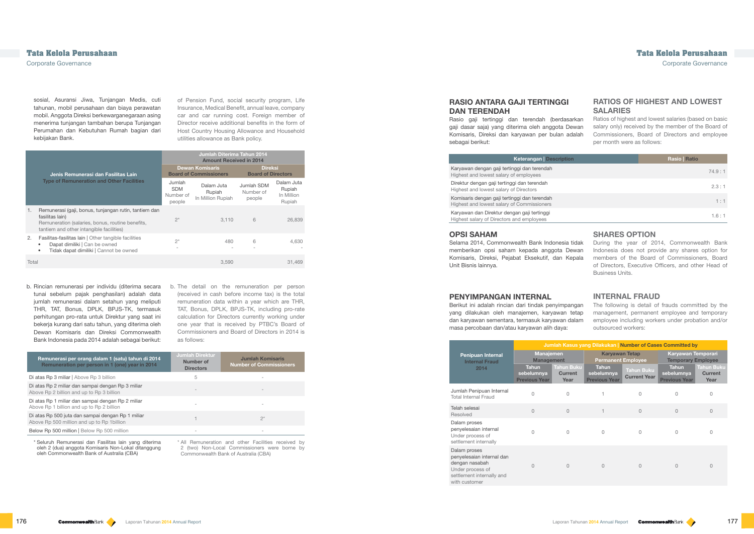of Pension Fund, social security program, Life Insurance, Medical Benefit, annual leave, company car and car running cost. Foreign member of Director receive additional benefits in the form of Host Country Housing Allowance and Household utilities allowance as Bank policy.

|       |                                                                                                                                                                          |                                             | Jumlah Diterima Tahun 2014<br><b>Amount Received in 2014</b> |                                             |                                              |  |
|-------|--------------------------------------------------------------------------------------------------------------------------------------------------------------------------|---------------------------------------------|--------------------------------------------------------------|---------------------------------------------|----------------------------------------------|--|
|       | Jenis Remunerasi dan Fasilitas Lain                                                                                                                                      |                                             | <b>Dewan Komisaris</b><br><b>Board of Commissioners</b>      | <b>Direksi</b><br><b>Board of Directors</b> |                                              |  |
|       | <b>Type of Remuneration and Other Facilities</b>                                                                                                                         | Jumlah<br><b>SDM</b><br>Number of<br>people | Dalam Juta<br>Rupiah<br>In Million Rupiah                    | Jumlah SDM<br>Number of<br>people           | Dalam Juta<br>Rupiah<br>In Million<br>Rupiah |  |
| 1.    | Remunerasi (gaji, bonus, tunjangan rutin, tantiem dan<br>fasilitas lain)<br>Remuneration (salaries, bonus, routine benefits,<br>tantiem and other intangible facilities) | $2^*$                                       | 3.110                                                        | 6                                           | 26,839                                       |  |
| 2.    | Fasilitas-fasilitas lain   Other tangible facilities<br>Dapat dimiliki   Can be owned<br>Tidak dapat dimiliki   Cannot be owned<br>$\bullet$                             | $2^*$                                       | 480                                                          | 6                                           | 4,630                                        |  |
| Total |                                                                                                                                                                          |                                             | 3,590                                                        |                                             | 31,469                                       |  |

b. The detail on the remuneration per person (received in cash before income tax) is the total remuneration data within a year which are THR, TAT, Bonus, DPLK, BPJS-TK, including pro-rate calculation for Directors currently working under one year that is received by PTBC's Board of Commissioners and Board of Directors in 2014 is as follows:

Karyawan dan Direktur dengan gaji tertinggi Highest salary of Directors and employees

| Remunerasi per orang dalam 1 (satu) tahun di 2014<br>Remuneration per person in 1 (one) year in 2014 | <b>Jumlah Direktur</b><br>Number of<br><b>Directors</b> | <b>Jumlah Komisaris</b><br><b>Number of Commissioners</b> |
|------------------------------------------------------------------------------------------------------|---------------------------------------------------------|-----------------------------------------------------------|
| Di atas Rp 3 miliar   Above Rp 3 billion                                                             | 5                                                       |                                                           |
| Di atas Rp 2 miliar dan sampai dengan Rp 3 miliar<br>Above Rp 2 billion and up to Rp 3 billion       |                                                         |                                                           |
| Di atas Rp 1 miliar dan sampai dengan Rp 2 miliar<br>Above Rp 1 billion and up to Rp 2 billion       |                                                         |                                                           |
| Di atas Rp 500 juta dan sampai dengan Rp 1 miliar<br>Above Rp 500 million and up to Rp 1 billion     |                                                         | $2^*$                                                     |
| Below Rp 500 million   Below Rp 500 million                                                          |                                                         |                                                           |

\* All Remuneration and other Facilities received by 2 (two) Non-Local Commissioners were borne by Commonwealth Bank of Australia (CBA)

## **RATIOS OF HIGHEST AND LOWEST SALARIES**

Ratios of highest and lowest salaries (based on basic salary only) received by the member of the Board of Commissioners, Board of Directors and employee per month were as follows:

| <b>on</b> | <b>Rasio</b>   Ratio |
|-----------|----------------------|
|           | 74.9:1               |
|           | 2.3:1                |
|           | 1:1                  |
|           | 1.6:1                |

Karyawan dengan gaji tertinggi dan terendah Highest and lowest salary of employees Direktur dengan gaji tertinggi dan terendah Highest and lowest salary of Directors Komisaris dengan gaji tertinggi dan terendah

Highest and lowest salary of Commissioners

## **SHARES OPTION**

During the year of 2014, Commonwealth Bank Indonesia does not provide any shares option for members of the Board of Commissioners, Board of Directors, Executive Officers, and other Head of Business Units.

## **INTERNAL FRAUD**

The following is detail of frauds committed by the management, permanent employee and temporary employee including workers under probation and/or outsourced workers:

|                                                                                                                               | Jumlah Kasus yang Dilakukan   Number of Cases Committed by |                                             |                                                    |                                          |                                                    |                                             |
|-------------------------------------------------------------------------------------------------------------------------------|------------------------------------------------------------|---------------------------------------------|----------------------------------------------------|------------------------------------------|----------------------------------------------------|---------------------------------------------|
| <b>Penipuan Internal</b><br><b>Internal Fraud</b>                                                                             | <b>Manajemen</b><br><b>Management</b>                      |                                             | <b>Karyawan Tetap</b><br><b>Permanent Employee</b> |                                          | Karyawan Temporari<br><b>Temporary Employee</b>    |                                             |
| 2014                                                                                                                          | <b>Tahun</b><br>sebelumnya<br><b>Previous Year</b>         | <b>Tahun Buku</b><br><b>Current</b><br>Year | <b>Tahun</b><br>sebelumnya<br><b>Previous Year</b> | <b>Tahun Buku</b><br><b>Current Year</b> | <b>Tahun</b><br>sebelumnya<br><b>Previous Year</b> | <b>Tahun Buku</b><br><b>Current</b><br>Year |
| Jumlah Penipuan Internal<br><b>Total Internal Fraud</b>                                                                       | $\Omega$                                                   | 0                                           |                                                    | 0                                        | O                                                  | 0                                           |
| Telah selesai<br>Resolved                                                                                                     | $\Omega$                                                   | $\overline{0}$                              |                                                    | $\Omega$                                 | $\Omega$                                           | $\overline{0}$                              |
| Dalam proses<br>penyelesaian internal<br>Under process of<br>settlement internally                                            | 0                                                          | $\Omega$                                    | 0                                                  | O                                        |                                                    | 0                                           |
| Dalam proses<br>penyelesaian internal dan<br>dengan nasabah<br>Under process of<br>settlement internally and<br>with customer | 0                                                          | $\overline{0}$                              | $\overline{0}$                                     | $\Omega$                                 | $\Omega$                                           | 0                                           |

Corporate Governance Corporate Governance

sosial, Asuransi Jiwa, Tunjangan Medis, cuti tahunan, mobil perusahaan dan biaya perawatan mobil. Anggota Direksi berkewarganegaraan asing menerima tunjangan tambahan berupa Tunjangan Perumahan dan Kebutuhan Rumah bagian dari kebijakan Bank.

b. Rincian remunerasi per individu (diterima secara tunai sebelum pajak penghasilan) adalah data jumlah remunerasi dalam setahun yang meliputi THR, TAT, Bonus, DPLK, BPJS-TK, termasuk perhitungan pro-rata untuk Direktur yang saat ini bekerja kurang dari satu tahun, yang diterima oleh Dewan Komisaris dan Direksi Commonwealth Bank Indonesia pada 2014 adalah sebagai berikut:

\* Seluruh Remunerasi dan Fasilitas lain yang diterima oleh 2 (dua) anggota Komisaris Non-Lokal ditanggung oleh Commonwealth Bank of Australia (CBA)

## **RASIO ANTARA GAJI TERTINGGI DAN TERENDAH**

Rasio gaji tertinggi dan terendah (berdasarkan gaji dasar saja) yang diterima oleh anggota Dewan Komisaris, Direksi dan karyawan per bulan adalah sebagai berikut:

#### Keterangan | Descript

## **OPSI SAHAM**

Selama 2014, Commonwealth Bank Indonesia tidak memberikan opsi saham kepada anggota Dewan Komisaris, Direksi, Pejabat Eksekutif, dan Kepala Unit Bisnis lainnya.

### **PENYIMPANGAN INTERNAL**

Berikut ini adalah rincian dari tindak penyimpangan yang dilakukan oleh manajemen, karyawan tetap dan karyawan sementara, termasuk karyawan dalam masa percobaan dan/atau karyawan alih daya: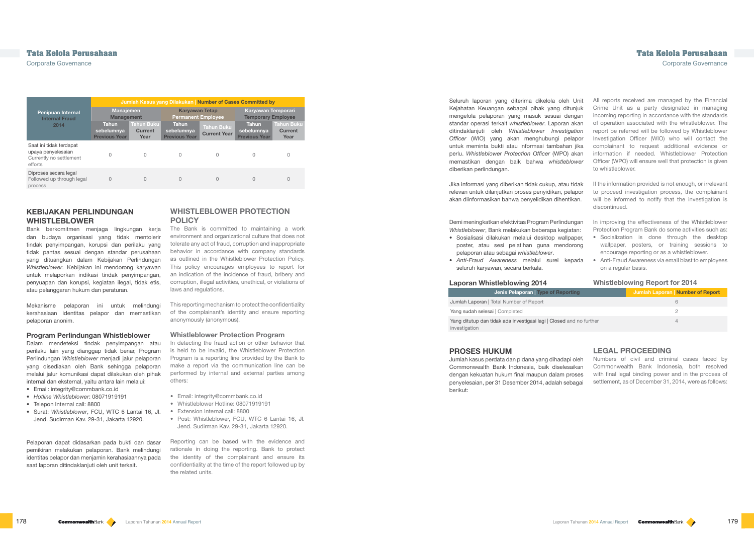|                                                                                     | <b>Jumlah Kasus yang Dilakukan   Number of Cases Committed by</b> |                                      |                                                    |                                          |                                                        |                                             |
|-------------------------------------------------------------------------------------|-------------------------------------------------------------------|--------------------------------------|----------------------------------------------------|------------------------------------------|--------------------------------------------------------|---------------------------------------------|
| <b>Penipuan Internal</b><br><b>Internal Fraud</b>                                   | <b>Manajemen</b><br><b>Management</b>                             |                                      | <b>Karyawan Tetap</b><br><b>Permanent Employee</b> |                                          | <b>Karyawan Temporari</b><br><b>Temporary Employee</b> |                                             |
| 2014                                                                                | <b>Tahun</b><br>sebelumnya<br><b>Previous Year</b>                | <b>Tahun Buku</b><br>Current<br>Year | <b>Tahun</b><br>sebelumnya<br><b>Previous Year</b> | <b>Tahun Buku</b><br><b>Current Year</b> | <b>Tahun</b><br>sebelumnya<br><b>Previous Year</b>     | <b>Tahun Buku</b><br><b>Current</b><br>Year |
| Saat ini tidak terdapat<br>upaya penyelesaian<br>Currently no settlement<br>efforts | 0                                                                 | 0                                    | 0                                                  | 0                                        | $\Omega$                                               | 0                                           |
| Diproses secara legal<br>Followed up through legal<br>process                       | 0                                                                 | 0                                    | 0                                                  | 0                                        | $\Omega$                                               | 0                                           |

## **WHISTLEBLOWER PROTECTION POLICY**

The Bank is committed to maintaining a work environment and organizational culture that does not tolerate any act of fraud, corruption and inappropriate behavior in accordance with company standards as outlined in the Whistleblower Protection Policy. This policy encourages employees to report for an indication of the incidence of fraud, bribery and corruption, illegal activities, unethical, or violations of laws and regulations.

This reporting mechanism to protect the confidentiality of the complainant's identity and ensure reporting anonymously (anonymous).

#### **Whistleblower Protection Program**

In detecting the fraud action or other behavior that is held to be invalid, the Whistleblower Protection Program is a reporting line provided by the Bank to make a report via the communication line can be performed by internal and external parties among others:

Yang ditutup dan tidak ada investigasi lagi | Closed a investigation

- Email: integrity@commbank.co.id
- Whistleblower Hotline: 08071919191
- Extension Internal call: 8800
- Post: Whistleblower, FCU, WTC 6 Lantai 16, Jl. Jend. Sudirman Kav. 29-31, Jakarta 12920.

Reporting can be based with the evidence and rationale in doing the reporting. Bank to protect the identity of the complainant and ensure its confidentiality at the time of the report followed up by the related units.

| Unit                     | All reports received are managed by the Financial                                                                                                                                      |
|--------------------------|----------------------------------------------------------------------------------------------------------------------------------------------------------------------------------------|
| unjuk                    | Crime Unit as a party designated in managing                                                                                                                                           |
| engan                    | incoming reporting in accordance with the standards                                                                                                                                    |
| akan                     | of operation associated with the whistleblower. The                                                                                                                                    |
| nation                   | report be referred will be followed by Whistleblower                                                                                                                                   |
| lapor!                   | Investigation Officer (WIO) who will contact the                                                                                                                                       |
| n jika                   | complainant to request additional evidence or                                                                                                                                          |
| akan                     | information if needed. Whistleblower Protection                                                                                                                                        |
| lower                    | Officer (WPO) will ensure well that protection is given                                                                                                                                |
|                          | to whistleblower.                                                                                                                                                                      |
| tidak<br>lapor!<br>ikan. | If the information provided is not enough, or irrelevant<br>to proceed investigation process, the complainant<br>will be informed to notify that the investigation is<br>discontinued. |
| ınqan<br>atan:           | In improving the effectiveness of the Whistleblower<br>Protection Program Bank do some activities such as:                                                                             |

Seluruh laporan yang diterima dikelola oleh Kejahatan Keuangan sebagai pihak yang diti mengelola pelaporan yang masuk sesuai de standar operasi terkait *whistleblower*. Laporan ditindaklanjuti oleh *Whistleblower Investig Officer* (WIO) yang akan menghubungi pe untuk meminta bukti atau informasi tambahar perlu. Whistleblower Protection Officer (WPO) memastikan dengan baik bahwa whistlebi diberikan perlindungan.

Jika informasi yang diberikan tidak cukup, atau relevan untuk dilanjutkan proses penyidikan, pe akan diinformasikan bahwa penyelidikan dihenti

Demi meningkatkan efektivitas Program Perlindu *Whistleblower*, Bank melakukan beberapa kegiatan:

• Socialization is done through the desktop wallpaper, posters, or training sessions to encourage reporting or as a whistleblower.

#### **Whistleblowing Report for 2014**

| rting          | <b>Jumlah Laporan</b> Number of Report |
|----------------|----------------------------------------|
|                | 6                                      |
|                |                                        |
| ind no further |                                        |
|                |                                        |

## **LEGAL PROCEEDING**

Numbers of civil and criminal cases faced by Commonwealth Bank Indonesia, both resolved with final legal binding power and in the process of settlement, as of December 31, 2014, were as follows:

## **Tata Kelola Perusahaan Tata Kelola Perusahaan**

Corporate Governance Corporate Governance

## **KEBIJAKAN PERLINDUNGAN WHISTLEBLOWER**

Bank berkomitmen menjaga lingkungan kerja dan budaya organisasi yang tidak mentolerir tindak penyimpangan, korupsi dan perilaku yang tidak pantas sesuai dengan standar perusahaan yang dituangkan dalam Kebijakan Perlindungan *Whistleblower*. Kebijakan ini mendorong karyawan untuk melaporkan indikasi tindak penyimpangan, penyuapan dan korupsi, kegiatan ilegal, tidak etis, atau pelanggaran hukum dan peraturan.

Mekanisme pelaporan ini untuk melindungi kerahasiaan identitas pelapor dan memastikan pelaporan anonim.

#### **Program Perlindungan Whistleblower**

Dalam mendeteksi tindak penyimpangan atau perilaku lain yang dianggap tidak benar, Program Perlindungan *Whistleblower* menjadi jalur pelaporan yang disediakan oleh Bank sehingga pelaporan melalui jalur komunikasi dapat dilakukan oleh pihak internal dan eksternal, yaitu antara lain melalui:

- Email: integrity@commbank.co.id
- *Hotline Whistleblower*: 08071919191
- Telepon Internal call: 8800
- Surat: *Whistleblower*, FCU, WTC 6 Lantai 16, Jl. Jend. Sudirman Kav. 29-31, Jakarta 12920.

Pelaporan dapat didasarkan pada bukti dan dasar pemikiran melakukan pelaporan. Bank melindungi identitas pelapor dan menjamin kerahasiaannya pada saat laporan ditindaklanjuti oleh unit terkait.

- Sosialisasi dilakukan melalui desktop wallpaper, poster, atau sesi pelatihan guna mendorong pelaporan atau sebagai *whistleblower*.
- Anti-Fraud Awareness via email blast to employees on a regular basis. • *Anti-Fraud Awareness* melalui surel kepada seluruh karyawan, secara berkala.

#### **Laporan Whistleblowing 2014**

#### Jenis Pelaporan | Type of Report

Jumlah Laporan | Total Number of Report

Yang sudah selesai | Completed

### **PROSES HUKUM**

Jumlah kasus perdata dan pidana yang dihadapi oleh Commonwealth Bank Indonesia, baik diselesaikan dengan kekuatan hukum final maupun dalam proses penyelesaian, per 31 Desember 2014, adalah sebagai berikut: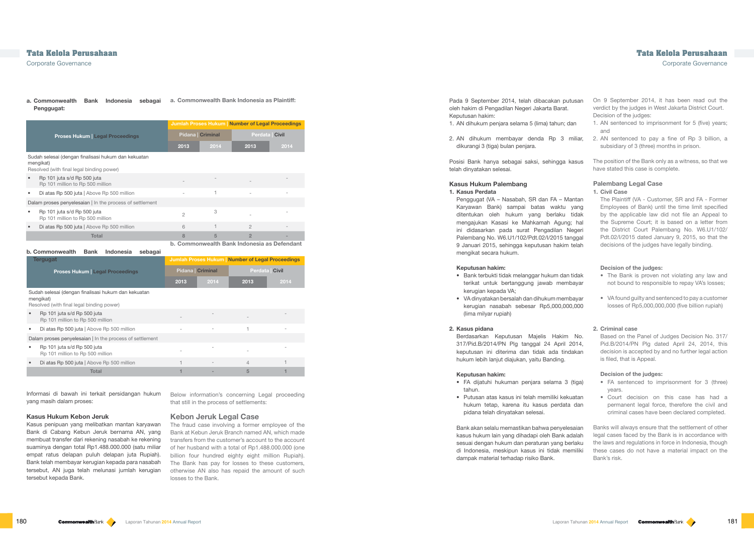Below information's concerning Legal proceeding that still in the process of settlements:

#### **Kebon Jeruk Legal Case**

Total 1 - 5  $1 -$  5  $1 -$  5  $1 -$  5  $1 -$ 

The fraud case involving a former employee of the Bank at Kebun Jeruk Branch named AN, which made transfers from the customer's account to the account of her husband with a total of Rp1.488.000.000 (one billion four hundred eighty eight million Rupiah). The Bank has pay for losses to these customers, otherwise AN also has repaid the amount of such losses to the Bank.

#### **a. Commonwealth Bank Indonesia as Plaintiff: a. Commonwealth Bank Indonesia sebagai Penggugat:**

On 9 September 2014, it has been read out the verdict by the judges in West Jakarta District Court.

|                                                                                                       |                                                                                                               |                |                        | Jumlah Proses Hukum   Number of Legal Proceedings |      |
|-------------------------------------------------------------------------------------------------------|---------------------------------------------------------------------------------------------------------------|----------------|------------------------|---------------------------------------------------|------|
| <b>Proses Hukum   Legal Proceedings</b>                                                               |                                                                                                               |                | <b>Pidana Criminal</b> | Perdata   Civil                                   |      |
|                                                                                                       |                                                                                                               | 2013           | 2014                   | 2013                                              | 2014 |
|                                                                                                       | Sudah selesai (dengan finalisasi hukum dan kekuatan<br>mengikat)<br>Resolved (with final legal binding power) |                |                        |                                                   |      |
|                                                                                                       | Rp 101 juta s/d Rp 500 juta<br>Rp 101 million to Rp 500 million                                               |                |                        |                                                   |      |
| ٠                                                                                                     | Di atas Rp 500 juta   Above Rp 500 million                                                                    |                | 1                      |                                                   |      |
| Dalam proses penyelesaian I In the process of settlement                                              |                                                                                                               |                |                        |                                                   |      |
|                                                                                                       | Rp 101 juta s/d Rp 500 juta<br>Rp 101 million to Rp 500 million                                               | $\overline{2}$ | 3                      |                                                   |      |
|                                                                                                       | Di atas Rp 500 juta   Above Rp 500 million                                                                    | 6              |                        | $\mathfrak{D}$                                    |      |
|                                                                                                       | Total                                                                                                         | 8              | 5                      | $\overline{2}$                                    |      |
| b. Commonwealth Bank Indonesia as Defendant<br>b. Commonwealth<br><b>Bank</b><br>Indonesia<br>sebagai |                                                                                                               |                |                        |                                                   |      |

Decision of the judges:

1. AN sentenced to imprisonment for 5 (five) years;

and

|                                                                                                               | b. Commonwealth<br>Bank<br><b>Indonesia</b><br>sebagai          |      |                                                   |      |                 |
|---------------------------------------------------------------------------------------------------------------|-----------------------------------------------------------------|------|---------------------------------------------------|------|-----------------|
|                                                                                                               | <b>Tergugat</b><br><b>Proses Hukum   Legal Proceedings</b>      |      | Jumlah Proses Hukum   Number of Legal Proceedings |      |                 |
|                                                                                                               |                                                                 |      | <b>Pidana Criminal</b>                            |      | Perdata   Civil |
|                                                                                                               |                                                                 | 2013 | 2014                                              | 2013 | 2014            |
| Sudah selesai (dengan finalisasi hukum dan kekuatan<br>mengikat)<br>Resolved (with final legal binding power) |                                                                 |      |                                                   |      |                 |
|                                                                                                               | Rp 101 juta s/d Rp 500 juta<br>Rp 101 million to Rp 500 million |      |                                                   |      |                 |
|                                                                                                               | Di atas Rp 500 juta   Above Rp 500 million                      |      | ٠                                                 |      |                 |
| Dalam proses penyelesaian   In the process of settlement                                                      |                                                                 |      |                                                   |      |                 |
|                                                                                                               | Rp 101 juta s/d Rp 500 juta<br>Rp 101 million to Rp 500 million |      |                                                   |      |                 |
|                                                                                                               | Di atas Rp 500 juta   Above Rp 500 million                      |      |                                                   | 4    |                 |

Posisi Bank hanya sebagai saksi, sehingga telah dinyatakan selesai.

Penggugat (VA – Nasabah, SR dan FA – M Karyawan Bank) sampai batas waktu ditentukan oleh hukum yang berlaku mengajukan Kasasi ke Mahkamah Agung ini didasarkan pada surat Pengadilan M Palembang No. W6.U1/102/Pdt.02/I/2015 ta 9 Januari 2015, sehingga keputusan hakim mengikat secara hukum.

- Bank terbukti tidak melanggar hukum dan terikat untuk bertanggung jawab mem kerugian kepada VA;
- VA dinyatakan bersalah dan dihukum mem kerugian nasabah sebesar Rp5,000,00 (lima milyar rupiah)

Berdasarkan Keputusan Majelis Hakim 317/Pid.B/2014/PN Plg tanggal 24 April keputusan ini diterima dan tidak ada tin hukum lebih lanjut diajukan, yaitu Banding.

- FA dijatuhi hukuman penjara selama 3 tahun.
- $\bullet$  Putusan atas kasus ini telah memiliki kek hukum tetap, karena itu kasus perdata pidana telah dinyatakan selesai.

|                                                                  | subsidiary of 3 (three) months in prison.                                                                                                                                                                                                                                                                                                                                                                       |
|------------------------------------------------------------------|-----------------------------------------------------------------------------------------------------------------------------------------------------------------------------------------------------------------------------------------------------------------------------------------------------------------------------------------------------------------------------------------------------------------|
| kasus                                                            | The position of the Bank only as a witness, so that we<br>have stated this case is complete.                                                                                                                                                                                                                                                                                                                    |
| lantan<br>yang<br>tidak<br>g; hal<br>Vegeri<br>anggal<br>ı telah | <b>Palembang Legal Case</b><br>1. Civil Case<br>The Plaintiff (VA - Customer, SR and FA - Former<br>Employees of Bank) until the time limit specified<br>by the applicable law did not file an Appeal to<br>the Supreme Court; it is based on a letter from<br>the District Court Palembang No. W6.U1/102/<br>Pdt.02/I/2015 dated January 9, 2015, so that the<br>decisions of the judges have legally binding. |
| າ tidak<br>ıbayar                                                | Decision of the judges:<br>• The Bank is proven not violating any law and<br>not bound to responsible to repay VA's losses;                                                                                                                                                                                                                                                                                     |
| ıbayar<br>0,000                                                  | • VA found guilty and sentenced to pay a customer<br>losses of Rp5,000,000,000 (five billion rupiah)                                                                                                                                                                                                                                                                                                            |
| No.<br>2014.<br>dakan                                            | 2. Criminal case<br>Based on the Panel of Judges Decision No. 317/<br>Pid.B/2014/PN Plg dated April 24, 2014, this<br>decision is accepted by and no further legal action<br>is filed, that is Appeal.                                                                                                                                                                                                          |
| (tiga)<br>cuatan<br>a dan                                        | Decision of the judges:<br>FA sentenced to imprisonment for 3 (three)<br>$\bullet$<br>years.<br>• Court decision on this case has had a<br>permanent legal force, therefore the civil and<br>criminal cases have been declared completed.                                                                                                                                                                       |
| esaian<br>adalah<br>erlaku<br>emiliki                            | Banks will always ensure that the settlement of other<br>legal cases faced by the Bank is in accordance with<br>the laws and regulations in force in Indonesia, though<br>these cases do not have a material impact on the                                                                                                                                                                                      |

Bank akan selalu memastikan bahwa penyele kasus hukum lain yang dihadapi oleh Bank a sesuai dengan hukum dan peraturan yang berlaku di Indonesia, meskipun kasus ini tidak me dampak material terhadap risiko Bank.

Bank's risk.

Corporate Governance Corporate Governance

Informasi di bawah ini terkait persidangan hukum yang masih dalam proses:

#### **Kasus Hukum Kebon Jeruk**

Kasus penipuan yang melibatkan mantan karyawan Bank di Cabang Kebun Jeruk bernama AN, yang membuat transfer dari rekening nasabah ke rekening suaminya dengan total Rp1.488.000.000 (satu miliar empat ratus delapan puluh delapan juta Rupiah). Bank telah membayar kerugian kepada para nasabah tersebut, AN juga telah melunasi jumlah kerugian tersebut kepada Bank.

Pada 9 September 2014, telah dibacakan putusan oleh hakim di Pengadilan Negeri Jakarta Barat. Keputusan hakim:

- 1. AN dihukum penjara selama 5 (lima) tahun; dan
- 2. AN dihukum membayar denda Rp 3 miliar, 2. AN sentenced to pay a fine of Rp 3 billion, a dikurangi 3 (tiga) bulan penjara.

#### **Kasus Hukum Palembang**

#### **1. Kasus Perdata**

#### **Keputusan hakim:**

### **2. Kasus pidana**

#### **Keputusan hakim:**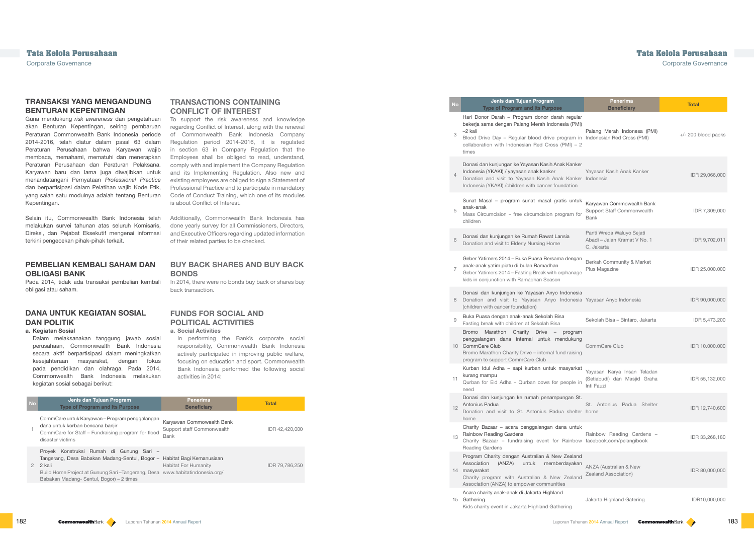## **TRANSACTIONS CONTAINING CONFLICT OF INTEREST**

To support the risk awareness and knowledge regarding Conflict of Interest, along with the renewal of Commonwealth Bank Indonesia Company Regulation period 2014-2016, it is regulated in section 63 in Company Regulation that the Employees shall be obliged to read, understand, comply with and implement the Company Regulation and its Implementing Regulation. Also new and existing employees are obliged to sign a Statement of Professional Practice and to participate in mandatory Code of Conduct Training, which one of its modules is about Conflict of Interest.

In 2014, there were no bonds buy back or shares buy back transaction.

Additionally, Commonwealth Bank Indonesia has done yearly survey for all Commissioners, Directors, and Executive Officers regarding updated information of their related parties to be checked.

## **BUY BACK SHARES AND BUY BACK BONDS**

- 3 Blood Drive Day – Regular blood drive program collaboration with Indonesian Red Cross (PMI) times
- Donasi dan kunjungan ke Yayasan Kasih Anak Ka Indonesia (YKAKI) / yayasan anak kanker
- 4 Donation and visit to Yayasan Kasih Anak Ka Indonesia (YKAKI) /children with cancer foundation

## **FUNDS FOR SOCIAL AND POLITICAL ACTIVITIES**

#### **a. Social Activities**

Hari Donor Darah – Program donor darah regular bekerja sama dengan Palang Merah Indonesia –2 kali

In performing the Bank's corporate social responsibility, Commonwealth Bank Indonesia actively participated in improving public welfare, focusing on education and sport. Commonwealth Bank Indonesia performed the following social activities in 2014:

#### Sunat Masal – program sunat masal gratis anak-anak

#### Geber Yatimers 2014 – Buka Puasa Bersama de anak-anak yatim piatu di bulan Ramadhan

| <b>No</b>     | Jenis dan Tujuan Program<br><b>Type of Program and Its Purpose</b>                                                                                                                                                                                      | <b>Penerima</b><br><b>Beneficiary</b>                                  | <b>Total</b>   |
|---------------|---------------------------------------------------------------------------------------------------------------------------------------------------------------------------------------------------------------------------------------------------------|------------------------------------------------------------------------|----------------|
|               | CommCare untuk Karyawan – Program penggalangan<br>dana untuk korban bencana banjir<br>CommCare for Staff - Fundraising program for flood<br>disaster victims                                                                                            | Karyawan Commowealth Bank<br>Support staff Commonwealth<br><b>Bank</b> | IDR 42.420,000 |
| $\mathcal{P}$ | Proyek Konstruksi Rumah di Gunung Sari –<br>Tangerang, Desa Babakan Madang-Sentul, Bogor - Habitat Bagi Kemanusiaan<br>2 kali<br>Build Home Project at Gunung Sari-Tangerang, Desa www.habitatindonesia.org/<br>Babakan Madang-Sentul, Bogor) – 2 times | <b>Habitat For Humanity</b>                                            | IDR 79,786,250 |
|               |                                                                                                                                                                                                                                                         |                                                                        |                |

#### Jenis dan Tujuan Program **Type of Program and Its Purpose**

Charity Bazaar – fundraising event for Rain Reading Gardens

14 masyarakat Program Charity dengan Australian & New Zealand Association (ANZA) untuk memberday

- Charity program with Australian & New Zeal Association (ANZA) to empower communities
- 15 Gathering Acara charity anak-anak di Jakarta Highland
- Kids charity event in Jakarta Highland Gathering

- 5 Mass Circumcision  $-$  free circumcision program children
- <sup>6</sup> Donasi dan kunjungan ke Rumah Rawat Lansia Donation and visit to Elderly Nursing Home

7 Geber Yatimers 2014 – Fasting Break with orpha kids in conjunction with Ramadhan Season

### Donasi dan kunjungan ke Yayasan Anyo Indo

|                            | Penerima<br><b>Beneficiary</b>                                            | <b>Total</b>          |
|----------------------------|---------------------------------------------------------------------------|-----------------------|
| gular<br>(PMI)<br>$1) - 2$ | Palang Merah Indonesa (PMI)<br>am in Indonesian Red Cross (PMI)           | $+/- 200$ blood packs |
| anker<br>tion              | Yayasan Kasih Anak Kanker<br>anker Indonesia                              | IDR 29,066,000        |
| untuk<br>m for             | Karyawan Commowealth Bank<br>Support Staff Commonwealth<br><b>Bank</b>    | IDR 7,309,000         |
|                            | Panti Wreda Waluyo Sejati<br>Abadi - Jalan Kramat V No. 1<br>C, Jakarta   | IDR 9,702,011         |
| ngan!<br>anage             | Berkah Community & Market<br>Plus Magazine                                | IDR 25.000.000        |
| nesia                      | nesia Yayasan Anyo Indonesia                                              | IDR 90,000,000        |
|                            | Sekolah Bisa - Bintaro, Jakarta                                           | IDR 5,473,200         |
| gram<br>ikung<br>aising    | CommCare Club                                                             | IDR 10.000.000        |
| rarkat<br>ple in           | Yayasan Karya Insan Teladan<br>(Setiabudi) dan Masjid Graha<br>Inti Fauzi | IDR 55,132,000        |
| ın St.                     | St. Antonius Padua Shelter<br>helter home                                 | IDR 12,740,600        |
| untuk                      | Rainbow Reading Gardens -<br>nbow facebook.com/pelangibook                | IDR 33,268,180        |
| aland<br>/akan<br>aland    | <b>ANZA (Australian &amp; New</b><br>Zealand Association)                 | IDR 80,000,000        |
|                            | Jakarta Highland Gatering                                                 | IDR10,000,000         |

- 8 Donation and visit to Yayasan Anyo Indonesia (children with cancer foundation)
- <sup>9</sup> Buka Puasa dengan anak-anak Sekolah Bisa Fasting break with children at Sekolah Bisa
- 10 CommCare Club Bromo Marathon Charity Drive – progr penggalangan dana internal untuk mendu
- Bromo Marathon Charity Drive internal fund raise program to support CommCare Club
- Kurban Idul Adha sapi kurban untuk masy kurang mampu
- 11 Qurban for Eid Adha Qurban cows for people in need
- Donasi dan kunjungan ke rumah penampunga Antonius Padua
- $12<sup>12</sup>$ Donation and visit to St. Antonius Padua sh home

## Rainbow Reading Gardens Charity Bazaar – acara penggalangan dana

Corporate Governance Corporate Governance

## **TRANSAKSI YANG MENGANDUNG BENTURAN KEPENTINGAN**

Guna mendukung *risk awareness* dan pengetahuan akan Benturan Kepentingan, seiring pembaruan Peraturan Commonwealth Bank Indonesia periode 2014-2016, telah diatur dalam pasal 63 dalam Peraturan Perusahaan bahwa Karyawan wajib membaca, memahami, mematuhi dan menerapkan Peraturan Perusahaan dan Peraturan Pelaksana. Karyawan baru dan lama juga diwajibkan untuk menandatangani Pernyataan *Professional Practice*  dan berpartisipasi dalam Pelatihan wajib Kode Etik, yang salah satu modulnya adalah tentang Benturan Kepentingan.

Selain itu, Commonwealth Bank Indonesia telah melakukan survei tahunan atas seluruh Komisaris, Direksi, dan Pejabat Eksekutif mengenai informasi terkini pengecekan pihak-pihak terkait.

## **PEMBELIAN KEMBALI SAHAM DAN OBLIGASI BANK**

Pada 2014, tidak ada transaksi pembelian kembali obligasi atau saham.

## **DANA UNTUK KEGIATAN SOSIAL DAN POLITIK**

**a. Kegiatan Sosial**

Dalam melaksanakan tanggung jawab sosial perusahaan, Commonwealth Bank Indonesia secara aktif berpartisipasi dalam meningkatkan kesejahteraan masyarakat, dengan fokus pada pendidikan dan olahraga. Pada 2014, Commonwealth Bank Indonesia melakukan kegiatan sosial sebagai berikut: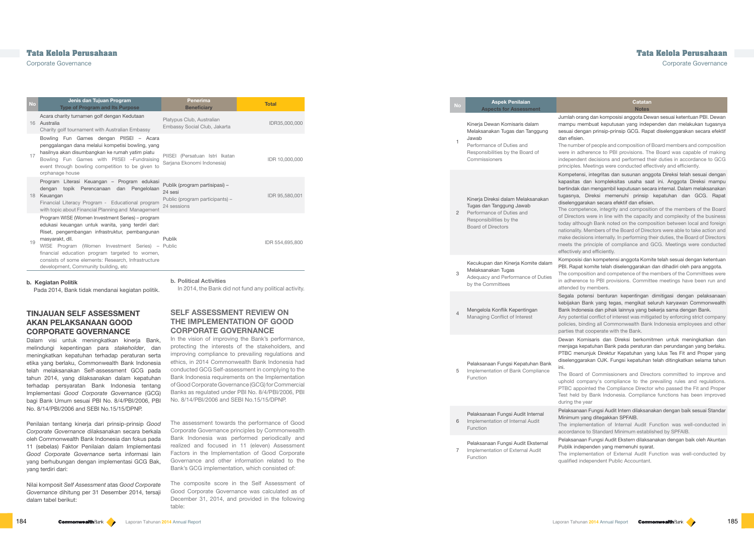| <b>No</b> | Jenis dan Tujuan Program<br><b>Type of Program and Its Purpose</b>                                                                                                                                                                                                                                                                                                              | <b>Penerima</b><br><b>Beneficiary</b>                                                       | <b>Total</b>    |
|-----------|---------------------------------------------------------------------------------------------------------------------------------------------------------------------------------------------------------------------------------------------------------------------------------------------------------------------------------------------------------------------------------|---------------------------------------------------------------------------------------------|-----------------|
|           | Acara charity turnamen golf dengan Kedutaan<br>16 Australia<br>Charity golf tournament with Australian Embassy                                                                                                                                                                                                                                                                  | Platypus Club, Australian<br>Embassy Social Club, Jakarta                                   | IDR35,000,000   |
| 17        | Bowling Fun Games dengan PIISEI - Acara<br>penggalangan dana melalui kompetisi bowling, yang<br>hasilnya akan disumbangkan ke rumah yatim piatu<br>Bowling Fun Games with PIISEI -Fundraising<br>event through bowling competition to be given to<br>orphanage house                                                                                                            | PIISEI (Persatuan Istri Ikatan<br>Sarjana Ekonomi Indonesia)                                | IDR 10,000,000  |
|           | Program Literasi Keuangan - Program edukasi<br>dengan topik Perencanaan dan Pengelolaan<br>18 Keuangan<br>Financial Literacy Program - Educational program<br>with topic about Financial Planning and Management                                                                                                                                                                | Publik (program partisipasi) -<br>24 sesi<br>Public (program participants) –<br>24 sessions | IDR 95,580,001  |
| 19        | Program WISE (Women Investment Series) – program<br>edukasi keuangan untuk wanita, yang terdiri dari:<br>Riset, pengembangan infrastruktur, pembangunan<br>masyarakt, dll.<br>WISE Program (Women Investment Series) – Public<br>financial education program targeted to women,<br>consists of some elements: Research, Infrastructure<br>development, Community building, etc. | <b>Publik</b>                                                                               | IDR 554,695,800 |

In the vision of improving the Bank's performance, protecting the interests of the stakeholders, and improving compliance to prevailing regulations and ethics, in 2014 Commonwealth Bank Indonesia had conducted GCG Self-assessment in complying to the Bank Indonesia requirements on the Implementation of Good Corporate Governance (GCG) for Commercial Banks as regulated under PBI No. 8/4/PBI/2006, PBI No. 8/14/PBI/2006 and SEBI No.15/15/DPNP.

#### **b. Political Activities**

In 2014, the Bank did not fund any political activity.

## **SELF ASSESSMENT REVIEW ON THE IMPLEMENTATION OF GOOD CORPORATE GOVERNANCE**

The competence, integrity and composition of the members of the Board of Directors were in line with the capacity and complexity of the business oday although Bank noted on the composition between local and foreign nationality. Members of the Board of Directors were able to take action and make decisions internally. In performing their duties, the Board of Directors meets the principle of compliance and GCG. Meetings were conducted effectively and efficiently.

The assessment towards the performance of Good Corporate Governance principles by Commonwealth Bank Indonesia was performed periodically and realized and focused in 11 (eleven) Assessment Factors in the Implementation of Good Corporate Governance and other information related to the Bank's GCG implementation, which consisted of:

The composite score in the Self Assessment of Good Corporate Governance was calculated as of December 31, 2014, and provided in the following table:

**Catatan Notes**

Jumlah orang dan komposisi anggota Dewan sesuai ketentuan PBI. Dewan mampu membuat keputusan yang independen dan melakukan tugasnya sesuai dengan prinsip-prinsip GCG. Rapat diselenggarakan secara efektif dan efisien.

The number of people and composition of Board members and composition were in adherence to PBI provisions. The Board was capable of making ndependent decisions and performed their duties in accordance to GCG principles. Meetings were conducted effectively and efficiently.

Dalam visi untuk meningkatkan kineria Bank, melindungi kepentingan para *stakeholder*, dan meningkatkan kepatuhan terhadap peraturan serta etika yang berlaku, Commonwealth Bank Indonesia telah melaksanakan Self-assessment GCG pada tahun 2014, yang dilaksanakan dalam kepatuhan terhadap persyaratan Bank Indonesia tentang Implementasi *Good Corporate Governance* (GCG) bagi Bank Umum sesuai PBI No. 8/4/PBI/2006, PBI No. 8/14/PBI/2006 and SEBI No.15/15/DPNP.

Kompetensi, integritas dan susunan anggota Direksi telah sesuai dengan kapasitas dan kompleksitas usaha saat ini. Anggota Direksi mampu bertindak dan mengambil keputusan secara internal. Dalam melaksanakan tugasnya, Direksi memenuhi prinsip kepatuhan dan GCG. Rapat diselenggarakan secara efektif dan efisien.

|  | No             | <b>Aspek Penilaian</b><br><b>Aspects for Assessment</b>                                                                                                     |                                                                                  |
|--|----------------|-------------------------------------------------------------------------------------------------------------------------------------------------------------|----------------------------------------------------------------------------------|
|  | 1              | Kinerja Dewan Komisaris dalam<br>Melaksanakan Tugas dan Tanggung<br>Jawab<br>Performance of Duties and<br>Responsibilities by the Board of<br>Commissioners | Jur<br>ma<br>ses<br>dar<br>The<br>wer<br>ind<br>prir                             |
|  | $\overline{2}$ | Kinerja Direksi dalam Melaksanakan<br>Tugas dan Tanggung Jawab<br>Performance of Duties and<br>Responsibilities by the<br><b>Board of Directors</b>         | Kor<br>kap<br>ber<br>tug<br>dis<br>The<br>of [<br>tod<br>nat<br>ma<br>me<br>effe |
|  | 3              | Kecukupan dan Kinerja Komite dalam<br>Melaksanakan Tugas<br>Adequacy and Performance of Duties<br>by the Committees                                         | Kor<br>PB<br>The<br>in a<br>atte                                                 |
|  | 4              | Mengelola Konflik Kepentingan<br>Managing Conflict of Interest                                                                                              | Seg<br>keb<br>Bar<br>Any<br>pol<br>par                                           |
|  | 5              | Pelaksanaan Fungsi Kepatuhan Bank<br>Implementation of Bank Compliance<br>Function                                                                          | De۱<br>me<br>PTI<br>dis<br>ini.<br>The<br>upł<br>PTI<br>Tes<br>dur               |
|  | 6              | Pelaksanaan Fungsi Audit Internal<br>Implementation of Internal Audit<br>Function                                                                           | Pel<br>Mir<br>The<br>acc                                                         |
|  | 7              | Pelaksanaan Fungsi Audit Eksternal<br>Implementation of External Audit<br>Function                                                                          | Pel<br>Puł<br>The<br>qua                                                         |

Komposisi dan kompetensi anggota Komite telah sesuai dengan ketentuan PBI. Rapat komite telah diselenggarakan dan dihadiri oleh para anggota.

The composition and competence of the members of the Committees were in adherence to PBI provisions. Committee meetings have been run and attended by members.

Segala potensi benturan kepentingan dimitigasi dengan pelaksanaan kebijakan Bank yang tegas, mengikat seluruh karyawan Commonwealth Bank Indonesia dan pihak lainnya yang bekerja sama dengan Bank.

Any potential conflict of interest was mitigated by enforcing strict company policies, binding all Commonwealth Bank Indonesia employees and other parties that cooperate with the Bank.

Dewan Komisaris dan Direksi berkomitmen untuk meningkatkan dan menjaga kepatuhan Bank pada peraturan dan perundangan yang berlaku. PTBC menunjuk Direktur Kepatuhan yang lulus Tes Fit and Proper yang diselenggarakan OJK. Fungsi kepatuhan telah ditingkatkan selama tahun

The Board of Commissioners and Directors committed to improve and uphold company's compliance to the prevailing rules and regulations. PTBC appointed the Compliance Director who passed the Fit and Proper Test held by Bank Indonesia. Compliance functions has been improved during the year

Pelaksanaan Fungsi Audit Intern dilaksanakan dengan baik sesuai Standar Minimum yang ditegakkan SPFAIB.

The implementation of Internal Audit Function was well-conducted in accordance to Standard Minimum established by SPFAIB.

Pelaksanaan Fungsi Audit Ekstern dilaksanakan dengan baik oleh Akuntan Publik independen yang memenuhi syarat.

The implementation of External Audit Function was well-conducted by qualified independent Public Accountant.

## **Tata Kelola Perusahaan Tata Kelola Perusahaan**

Corporate Governance Corporate Governance

**b. Kegiatan Politik**

Pada 2014, Bank tidak mendanai kegiatan politik.

## **TINJAUAN SELF ASSESSMENT AKAN PELAKSANAAN GOOD CORPORATE GOVERNANCE**

Penilaian tentang kinerja dari prinsip-prinsip *Good Corporate Governance* dilaksanakan secara berkala oleh Commonwealth Bank Indonesia dan fokus pada 11 (sebelas) Faktor Penilaian dalam Implementasi *Good Corporate Governance* serta informasi lain yang berhubungan dengan implementasi GCG Bak, yang terdiri dari:

Nilai komposit *Self Assessment* atas *Good Corporate Governance* dihitung per 31 Desember 2014, tersaji dalam tabel berikut: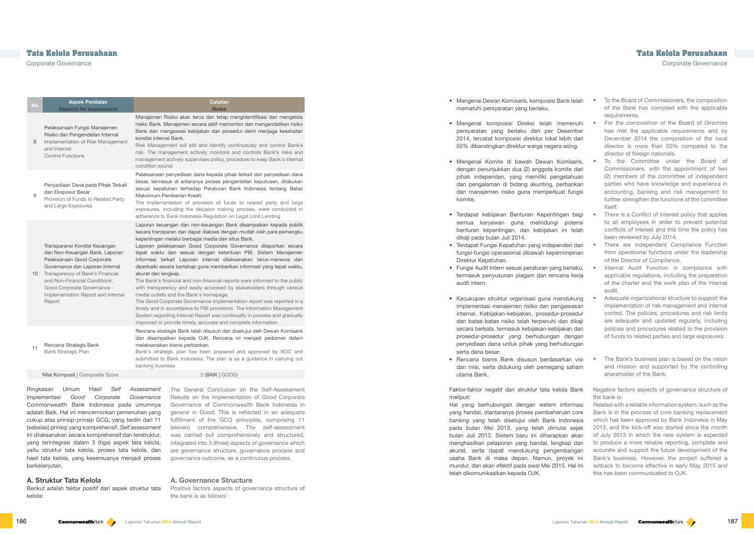## **Tata Kelola Perusahaan Tata Kelola Perusahaan** Corporate Governance Corporate Governance

## Manajemen Risiko akan terus dan tetap mengidentifikasi dan mengelola risiko Bank. Manajemen secara aktif memonitor dan mengendalikan risiko Bank dan mengawasi kebijakan dan prosedur demi menjaga kesehatan

Risk Management will still and identify continuously and control Bank's risk. The management actively monitors and controls Bank's risks and management actively supervises policy, procedure to keep Bank's internal

Pelaksanaan penyediaan dana kepada pihak terkait dan penyediaan dana besar, termasuk di antaranya proses pengambilan keputusan, dilakukan sesuai kepatuhan terhadap Peraturan Bank Indonesia tentang Batas

The implementation of provision of funds to related party and large exposures, including the decision making process, were conducted in

Laporan keuangan dan non-keuangan Bank disampaikan kepada publik secara transparan dan dapat diakses dengan mudah oleh para pemangku

Laporan pelaksanaan Good Corporate Governance dilaporkan secara tepat waktu dan sesuai dengan ketentuan PBI. Sistem Manajemen Informasi terkait Laporan internal dilaksanakan terus-menerus dan diperbaiki secara bertahap guna memberikan informasi yang tepat waktu,

The Bank's financial and non-financial reports were informed to the public with transparency and easily accessed by stakeholders through various Internal Audit Function in compliance with applicable regulations, including the preparation of the charter and the work plan of the internal audit.

The Good Corporate Governance implementation report was reported in a timely and in accordance to PBI provisions. The Information Management System regarding Internal Report was continually in process and gradually

- The Bank's business plan is based on the vision and mission and supported by the controlling shareholder of the Bank.
- Negative factors aspects of governance structure of the bank is:

Rencana strategis Bank telah disusun dan disetujui oleh Dewan Komisaris dan disampaikan kepada OJK. Rencana ini menjadi pedoman dalam

Bank's strategic plan has been prepared and approved by BOC and submitted to Bank Indonesia. The plan is as a guidance in carrying out

| No              | <b>Aspek Penilaian</b><br><b>Aspects for Assessment</b>                                                                                                                                                                                                                            | <b>Catatan</b><br><b>Notes</b>                                                                                                                                                                                                                                                                                                                                                                                                                                                                                                                                                                                                                                                                                                                                                                                                                                                                                                                    |
|-----------------|------------------------------------------------------------------------------------------------------------------------------------------------------------------------------------------------------------------------------------------------------------------------------------|---------------------------------------------------------------------------------------------------------------------------------------------------------------------------------------------------------------------------------------------------------------------------------------------------------------------------------------------------------------------------------------------------------------------------------------------------------------------------------------------------------------------------------------------------------------------------------------------------------------------------------------------------------------------------------------------------------------------------------------------------------------------------------------------------------------------------------------------------------------------------------------------------------------------------------------------------|
| 8               | Pelaksanaan Fungsi Manajemen<br>Risiko dan Pengendalian Internal<br>Implementation of Risk Management<br>and Internal<br><b>Control Functions</b>                                                                                                                                  | Manajemen Risiko akan terus dan tetap mengidentifikasi dan men<br>risiko Bank. Manajemen secara aktif memonitor dan mengendalikan<br>Bank dan mengawasi kebijakan dan prosedur demi menjaga kese<br>kondisi internal Bank.<br>Risk Management will still and identify continuously and control E<br>risk. The management actively monitors and controls Bank's risk<br>management actively supervises policy, procedure to keep Bank's in<br>condition sound.                                                                                                                                                                                                                                                                                                                                                                                                                                                                                     |
| 9               | Penyediaan Dana pada Pihak Terkait<br>dan Eksposur Besar<br>Provision of Funds to Related Party<br>and Large Exposures                                                                                                                                                             | Pelaksanaan penyediaan dana kepada pihak terkait dan penyediaan<br>besar, termasuk di antaranya proses pengambilan keputusan, dila<br>sesuai kepatuhan terhadap Peraturan Bank Indonesia tentang<br>Maksimum Pemberian Kredit.<br>The implementation of provision of funds to related party and<br>exposures, including the decision making process, were conduct<br>adherence to Bank Indonesia Regulation on Legal Limit Lending                                                                                                                                                                                                                                                                                                                                                                                                                                                                                                                |
| 10 <sup>1</sup> | Transparansi Kondisi Keuangan<br>dan Non-Keuangan Bank, Laporan<br>Pelaksanaan Good Corporate<br>Governance dan Laporan Internal<br>Transparency of Bank's Financial<br>and Non-Financial Conditions.<br>Good Corporate Governance<br>Implementation Report and Internal<br>Report | Laporan keuangan dan non-keuangan Bank disampaikan kepada<br>secara transparan dan dapat diakses dengan mudah oleh para pema<br>kepentingan melalui berbagai media dan situs Bank.<br>Laporan pelaksanaan Good Corporate Governance dilaporkan s<br>tepat waktu dan sesuai dengan ketentuan PBI. Sistem Manaj<br>Informasi terkait Laporan internal dilaksanakan terus-menerus<br>diperbaiki secara bertahap guna memberikan informasi yang tepat v<br>akurat dan lengkap.<br>The Bank's financial and non-financial reports were informed to the<br>with transparency and easily accessed by stakeholders through va<br>media outlets and the Bank's homepage.<br>The Good Corporate Governance implementation report was reporte<br>timely and in accordance to PBI provisions. The Information Manage<br>System regarding Internal Report was continually in process and gra<br>improved to provide timely, accurate and complete information. |
| 11              | Rencana Strategis Bank<br>Bank Strategic Plan                                                                                                                                                                                                                                      | Rencana strategis Bank telah disusun dan disetujui oleh Dewan Kon<br>dan disampaikan kepada OJK. Rencana ini menjadi pedoman o<br>melaksanakan bisnis perbankan.<br>Bank's strategic plan has been prepared and approved by BOC<br>submitted to Bank Indonesia. The plan is as a guidance in carryin<br>banking business                                                                                                                                                                                                                                                                                                                                                                                                                                                                                                                                                                                                                          |
|                 | Nilai Komposit   Composite Score                                                                                                                                                                                                                                                   | 2 (BAIK   GOOD)                                                                                                                                                                                                                                                                                                                                                                                                                                                                                                                                                                                                                                                                                                                                                                                                                                                                                                                                   |
| Ringkasan       | Umum<br>Hasil<br>Self                                                                                                                                                                                                                                                              | Assessment<br>The General Conclusion on the Self-Assess                                                                                                                                                                                                                                                                                                                                                                                                                                                                                                                                                                                                                                                                                                                                                                                                                                                                                           |

The General Conclusion on the Self-Assessment Results on the Implementation of Good Corporate Governance of Commonwealth Bank Indonesia in general in Good. This is reflected in an adequate fulfillment of the GCG principles, comprising 11 (eleven) comprehensive. The self-assessment was carried out comprehensively and structured, integrated into 3 (three) aspects of governance which are governance structure, governance process and governance outcome, as a continuous process.

#### **A. Governance Structure**

Positive factors aspects of governance structure of the bank is as follows:

- To the Board of Commissioners, the composition of the Bank has complied with the applicable requirements. • Mengenai Dewan Komisaris, komposisi Bank telah mematuhi persyaratan yang berlaku.
- For the composition of the Board of Directors has met the applicable requirements and by December 2014 the composition of the local director is more than 50% compared to the director of foreign nationals. • Mengenai komposisi Direksi telah memenuhi persyaratan yang berlaku dan per Desember 2014, tercatat komposisi direktur lokal lebih dari 50% dibandingkan direktur warga negara asing.
- To the Committee under the Board of Commissioners, with the appointment of two (2) members of the committee of independent parties who have knowledge and experience in accounting, banking and risk management to further strengthen the functions of the committee itself. • Mengenai Komite di bawah Dewan Komisaris, dengan penunjukkan dua (2) anggota komite dari pihak independen, yang memiliki pengetahuan dan pengalaman di bidang akunting, perbankan dan manajemen risiko guna memperkuat fungsi komite.
- There is a Conflict of Interest policy that applies to all employees in order to prevent potential conflicts of interest and this time the policy has been reviewed by July 2014. • Terdapat kebijakan Benturan Kepentingan bagi semua karyawan guna melindungi potensi benturan kepentingan, dan kebijakan ini telah dikaji pada bulan Juli 2014.
- There are independent Compliance Function from operational functions under the leadership of the Director of Compliance. • Terdapat Fungsi Kepatuhan yang independen dari fungsi-fungsi operasional dibawah kepemimpinan Direktur Kepatuhan.
- Fungsi Audit Intern sesuai peraturan yang berlaku, termasuk penyusunan piagam dan rencana kerja audit intern.
- Adequate organizational structure to support the implementation of risk management and internal control. The policies, procedures and risk limits are adequate and updated regularly, including policies and procedures related to the provision of funds to related parties and large exposures. • Kecukupan struktur organisasi guna mendukung implementasi manajemen risiko dan pengawasan internal. Kebijakan-kebijakan, prosedur-prosedur dan batas-batas risiko telah terpenuhi dan dikaji secara berkala, termasuk kebijakan-kebijakan dan prosedur-prosedur yang berhubungan dengan penyediaan dana untuk pihak yang berhubungan serta dana besar.
- Rencana bisnis Bank disusun berdasarkan visi dan misi, serta didukung oleh pemegang saham utama Bank.

Related with a reliable information system, such as the Bank is in the process of core banking replacement which has been approved by Bank Indonesia in May 2013, and the kick-off was started since the month of July 2013 in which the new system is expected to produce a more reliable reporting, complete and accurate and support the future development of the Bank's business. However, the project suffered a setback to become effective in early May 2015 and this has been communicated to OJK.

Implementasi *Good Corporate Governance*  Commonwealth Bank Indonesia pada umumnya adalah Baik. Hal ini mencerminkan pemenuhan yang cukup atas prinsip-prinsip GCG, yang terdiri dari 11 (sebelas) prinsip yang komprehensif. *Self assessment*  ini dilaksanakan secara komprehensif dan terstruktur, yang terintegrasi dalam 3 (tiga) aspek tata kelola, yaitu struktur tata kelola, proses tata kelola, dan hasil tata kelola, yang kesemuanya menjadi proses berkelanjutan.

#### **A. Struktur Tata Kelola**

Berikut adalah faktor positif dari aspek struktur tata kelola:

Faktor-faktor negatif dari struktur tata kelola Bank meliputi:

Hal yang berhubungan dengan sistem informasi yang handal, diantaranya proses pembaharuan *core banking* yang telah disetujui oleh Bank Indonesia pada bulan Mei 2013, yang telah dimulai sejak bulan Juli 2013. Sistem baru ini diharapkan akan menghasilkan pelaporan yang handal, lengkap dan akurat, serta dapat mendukung pengembangan usaha Bank di masa depan. Namun, proyek ini mundur, dan akan efektif pada awal Mei 2015. Hal ini telah dikomunikasikan kepada OJK.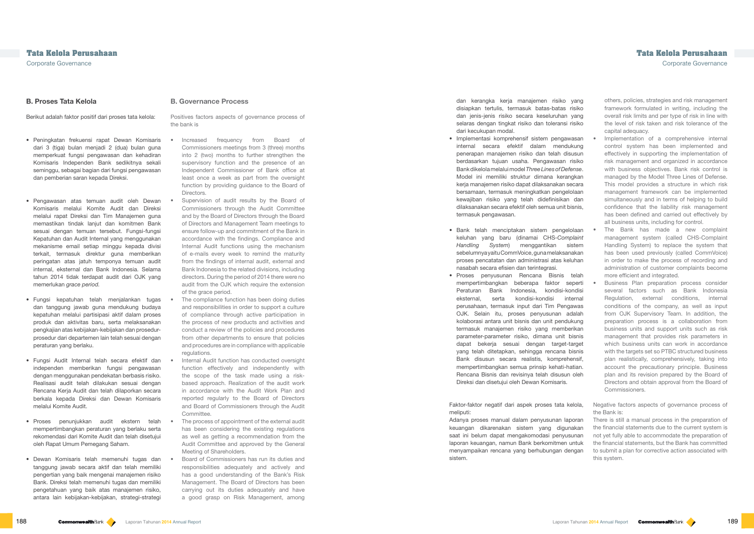**B. Governance Process**

#### Positives factors aspects of governance process of the bank is

- Increased frequency from Board of Commissioners meetings from 3 (three) months into 2 (two) months to further strengthen the supervisory function and the presence of an Independent Commissioner of Bank office at least once a week as part from the oversight function by providing guidance to the Board of Directors.
- Supervision of audit results by the Board of Commissioners through the Audit Committee and by the Board of Directors through the Board of Directors and Management Team meetings to ensure follow-up and commitment of the Bank in accordance with the findings. Compliance and Internal Audit functions using the mechanism of e-mails every week to remind the maturity from the findings of internal audit, external and Bank Indonesia to the related divisions, including directors. During the period of 2014 there were no audit from the OJK which require the extension of the grace period.
- The compliance function has been doing duties and responsibilities in order to support a culture of compliance through active participation in the process of new products and activities and conduct a review of the policies and procedures from other departments to ensure that policies and procedures are in compliance with applicable regulations.
- Internal Audit function has conducted oversight function effectively and independently with the scope of the task made using a riskbased approach. Realization of the audit work in accordance with the Audit Work Plan and reported regularly to the Board of Directors and Board of Commissioners through the Audit Committee.
- The process of appointment of the external audit has been considering the existing regulations as well as getting a recommendation from the Audit Committee and approved by the General Meeting of Shareholders.
- Board of Commissioners has run its duties and responsibilities adequately and actively and has a good understanding of the Bank's Risk Management. The Board of Directors has been carrying out its duties adequately and have a good grasp on Risk Management, among

others, policies, strategies and risk management framework formulated in writing, including the overall risk limits and per type of risk in line with the level of risk taken and risk tolerance of the capital adequacy.

- Implementation of a comprehensive internal control system has been implemented and effectively in supporting the implementation of risk management and organized in accordance with business objectives. Bank risk control is managed by the Model Three Lines of Defense. This model provides a structure in which risk management framework can be implemented simultaneously and in terms of helping to build confidence that the liability risk management has been defined and carried out effectively by all business units, including for control.
- The Bank has made a new complaint management system (called CHS-Complaint Handling System) to replace the system that has been used previously (called CommVoice) in order to make the process of recording and administration of customer complaints become

### **B. Proses Tata Kelola**

Berikut adalah faktor positif dari proses tata kelola:

- Peningkatan frekuensi rapat Dewan Komisaris dari 3 (tiga) bulan menjadi 2 (dua) bulan guna memperkuat fungsi pengawasan dan kehadiran Komisaris Independen Bank sedikitnya sekali seminggu, sebagai bagian dari fungsi pengawasan dan pemberian saran kepada Direksi.
- Pengawasan atas temuan audit oleh Dewan Komisaris melalui Komite Audit dan Direksi melalui rapat Direksi dan Tim Manajemen guna memastikan tindak lanjut dan komitmen Bank sesuai dengan temuan tersebut. Fungsi-fungsi Kepatuhan dan Audit Internal yang menggunakan mekanisme email setiap minggu kepada divisi terkait, termasuk direktur guna memberikan peringatan atas jatuh temponya temuan audit internal, eksternal dan Bank Indonesia. Selama tahun 2014 tidak terdapat audit dari OJK yang memerlukan *grace period.*
- Fungsi kepatuhan telah menjalankan tugas dan tanggung jawab guna mendukung budaya kepatuhan melalui partisipasi aktif dalam proses produk dan aktivitas baru, serta melaksanakan pengkajian atas kebijakan-kebijakan dan prosedurprosedur dari departemen lain telah sesuai dengan peraturan yang berlaku.
- Fungsi Audit Internal telah secara efektif dan independen memberikan fungsi pengawasan dengan menggunakan pendekatan berbasis risiko. Realisasi audit telah dilakukan sesuai dengan Rencana Kerja Audit dan telah dilaporkan secara berkala kepada Direksi dan Dewan Komisaris melalui Komite Audit.
- Proses penunjukkan audit ekstern telah mempertimbangkan peraturan yang berlaku serta rekomendasi dari Komite Audit dan telah disetujui oleh Rapat Umum Pemegang Saham.
- Dewan Komisaris telah memenuhi tugas dan tanggung jawab secara aktif dan telah memiliki pengertian yang baik mengenai manajemen risiko Bank. Direksi telah memenuhi tugas dan memiliki pengetahuan yang baik atas manajemen risiko, antara lain kebijakan-kebijakan, strategi-strategi

Negative factors aspects of governance process of the Bank is: There is still a manual process in the preparation of the financial statements due to the current system is not yet fully able to accommodate the preparation of the financial statements, but the Bank has committed to submit a plan for corrective action associated with Faktor-faktor negatif dari aspek proses tata kelola, meliputi: Adanya proses manual dalam penyusunan laporan keuangan dikarenakan sistem yang digunakan saat ini belum dapat mengakomodasi penyusunan laporan keuangan, namun Bank berkomitmen untuk menyampaikan rencana yang berhubungan dengan

this system. sistem.

dan kerangka kerja manajemen risiko yang disiapkan tertulis, termasuk batas-batas risiko dan jenis-jenis risiko secara keseluruhan yang selaras dengan tingkat risiko dan toleransi risiko dari kecukupan modal.

- Implementasi komprehensif sistem pengawasan internal secara efektif dalam mendukung penerapan manajemen risiko dan telah disusun berdasarkan tujuan usaha. Pengawasan risiko Bank dikelola melalui model *ThreeLines of Defense*. Model ini memiliki struktur dimana kerangkan kerja manajemen risiko dapat dilaksanakan secara bersamaan, termasuk meningkatkan pengelolaan kewajiban risiko yang telah didefinisikan dan dilaksanakan secara efektif oleh semua unit bisnis, termasuk pengawasan.
- Bank telah menciptakan sistem pengelolaan keluhan yang baru (dinamai CHS-*Complaint Handling System*) menggantikan sistem sebelumnya yaitu CommVoice, guna melaksanakan proses pencatatan dan administrasi atas keluhan nasabah secara efisien dan terintegrasi.
- more efficient and integrated. • Business Plan preparation process consider several factors such as Bank Indonesia Regulation, external conditions, internal conditions of the company, as well as input from OJK Supervisory Team. In addition, the preparation process is a collaboration from business units and support units such as risk management that provides risk parameters in which business units can work in accordance with the targets set so PTBC structured business plan realistically, comprehensively, taking into account the precautionary principle. Business plan and its revision prepared by the Board of Directors and obtain approval from the Board of Commissioners. • Proses penyusunan Rencana Bisnis telah mempertimbangkan beberapa faktor seperti Peraturan Bank Indonesia, kondisi-kondisi eksternal, serta kondisi-kondisi internal perusahaan, termasuk input dari Tim Pengawas OJK. Selain itu, proses penyusunan adalah kolaborasi antara unit bisnis dan unit pendukung termasuk manajemen risiko yang memberikan parameter-parameter risiko, dimana unit bisnis dapat bekerja sesuai dengan target-target yang telah ditetapkan, sehingga rencana bisnis Bank disusun secara realistis, komprehensif, mempertimbangkan semua prinsip kehati-hatian. Rencana Bisnis dan revisinya telah disusun oleh Direksi dan disetujui oleh Dewan Komisaris.

# **Tata Kelola Perusahaan Tata Kelola Perusahaan**

Corporate Governance Corporate Governance

- 
- 
-